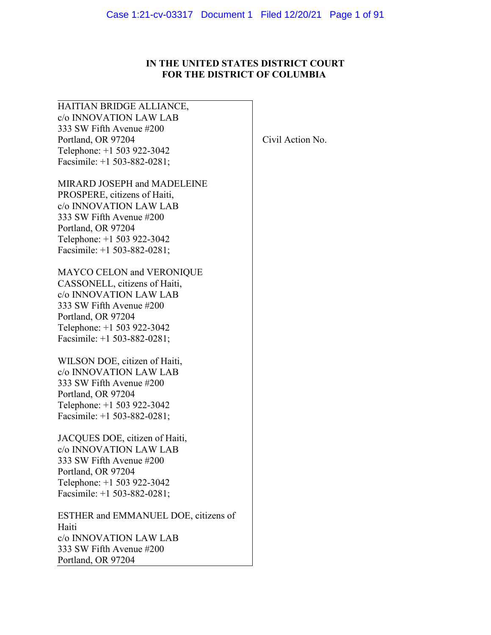# **IN THE UNITED STATES DISTRICT COURT FOR THE DISTRICT OF COLUMBIA**

| HAITIAN BRIDGE ALLIANCE,             |                  |
|--------------------------------------|------------------|
| c/o INNOVATION LAW LAB               |                  |
| 333 SW Fifth Avenue #200             |                  |
| Portland, OR 97204                   | Civil Action No. |
| Telephone: +1 503 922-3042           |                  |
| Facsimile: $+1$ 503-882-0281;        |                  |
| MIRARD JOSEPH and MADELEINE          |                  |
| PROSPERE, citizens of Haiti,         |                  |
| c/o INNOVATION LAW LAB               |                  |
| 333 SW Fifth Avenue #200             |                  |
| Portland, OR 97204                   |                  |
| Telephone: +1 503 922-3042           |                  |
| Facsimile: $+1$ 503-882-0281;        |                  |
| MAYCO CELON and VERONIQUE            |                  |
| CASSONELL, citizens of Haiti,        |                  |
| c/o INNOVATION LAW LAB               |                  |
| 333 SW Fifth Avenue #200             |                  |
| Portland, OR 97204                   |                  |
| Telephone: +1 503 922-3042           |                  |
| Facsimile: +1 503-882-0281;          |                  |
| WILSON DOE, citizen of Haiti,        |                  |
| c/o INNOVATION LAW LAB               |                  |
| 333 SW Fifth Avenue #200             |                  |
| Portland, OR 97204                   |                  |
| Telephone: +1 503 922-3042           |                  |
| Facsimile: $+1$ 503-882-0281;        |                  |
| JACQUES DOE, citizen of Haiti,       |                  |
| c/o INNOVATION LAW LAB               |                  |
| 333 SW Fifth Avenue #200             |                  |
| Portland, OR 97204                   |                  |
| Telephone: +1 503 922-3042           |                  |
| Facsimile: +1 503-882-0281;          |                  |
| ESTHER and EMMANUEL DOE, citizens of |                  |
| Haiti                                |                  |
| c/o INNOVATION LAW LAB               |                  |
| 333 SW Fifth Avenue #200             |                  |
| Portland, OR 97204                   |                  |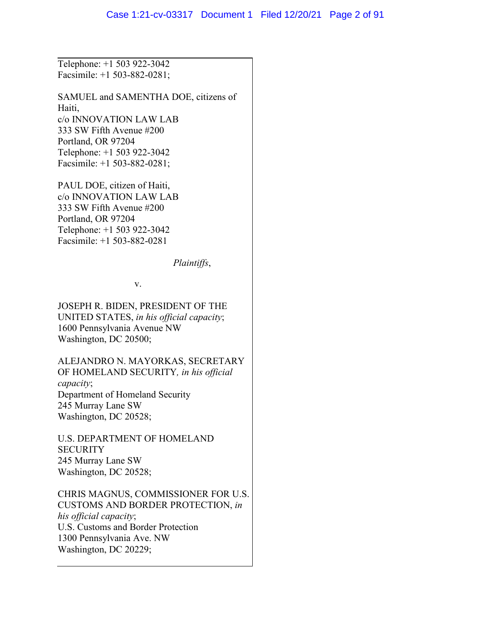Telephone: +1 503 922-3042 Facsimile: +1 [503-882-0281;](tel:5038820281)

SAMUEL and SAMENTHA DOE, citizens of Haiti, c/o INNOVATION LAW LAB 333 SW Fifth Avenue #200 Portland, OR 97204 Telephone: +1 503 922-3042 Facsimile: +1 [503-882-0281;](tel:5038820281)

PAUL DOE, citizen of Haiti, c/o INNOVATION LAW LAB 333 SW Fifth Avenue #200 Portland, OR 97204 Telephone: +1 503 922-3042 Facsimile: +1 [503-882-0281](tel:5038820281)

*Plaintiffs*,

v.

JOSEPH R. BIDEN, PRESIDENT OF THE UNITED STATES, *in his official capacity*; 1600 Pennsylvania Avenue NW Washington, DC 20500;

ALEJANDRO N. MAYORKAS, SECRETARY OF HOMELAND SECURITY*, in his official capacity*; Department of Homeland Security 245 Murray Lane SW Washington, DC 20528;

U.S. DEPARTMENT OF HOMELAND **SECURITY** 245 Murray Lane SW Washington, DC 20528;

CHRIS MAGNUS, COMMISSIONER FOR U.S. CUSTOMS AND BORDER PROTECTION, *in his official capacity*; U.S. Customs and Border Protection 1300 Pennsylvania Ave. NW Washington, DC 20229;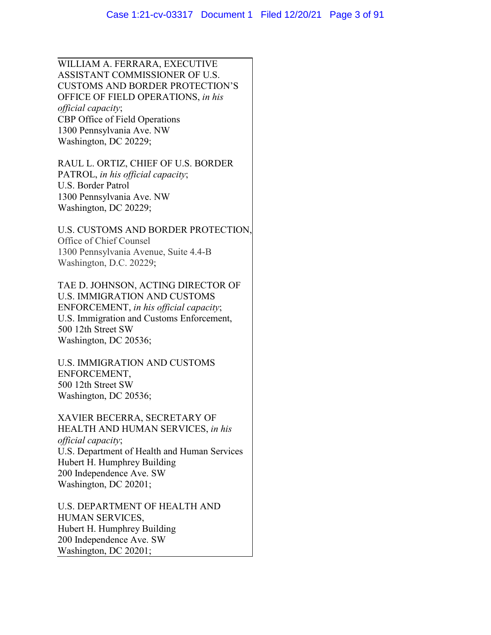WILLIAM A. FERRARA, EXECUTIVE ASSISTANT COMMISSIONER OF U.S. CUSTOMS AND BORDER PROTECTION'S OFFICE OF FIELD OPERATIONS, *in his official capacity*; CBP Office of Field Operations 1300 Pennsylvania Ave. NW Washington, DC 20229;

RAUL L. ORTIZ, CHIEF OF U.S. BORDER PATROL, *in his official capacity*; U.S. Border Patrol 1300 Pennsylvania Ave. NW Washington, DC 20229;

U.S. CUSTOMS AND BORDER PROTECTION, Office of Chief Counsel 1300 Pennsylvania Avenue, Suite 4.4-B Washington, D.C. 20229;

TAE D. JOHNSON, ACTING DIRECTOR OF U.S. IMMIGRATION AND CUSTOMS ENFORCEMENT, *in his official capacity*; U.S. Immigration and Customs Enforcement, 500 12th Street SW Washington, DC 20536;

U.S. IMMIGRATION AND CUSTOMS ENFORCEMENT, 500 12th Street SW Washington, DC 20536;

XAVIER BECERRA, SECRETARY OF HEALTH AND HUMAN SERVICES, *in his official capacity*; U.S. Department of Health and Human Services Hubert H. Humphrey Building 200 Independence Ave. SW Washington, DC 20201;

U.S. DEPARTMENT OF HEALTH AND HUMAN SERVICES, Hubert H. Humphrey Building 200 Independence Ave. SW Washington, DC 20201;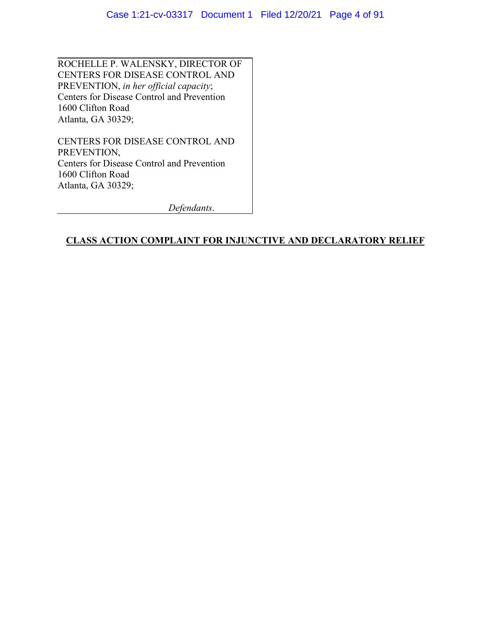ROCHELLE P. WALENSKY, DIRECTOR OF CENTERS FOR DISEASE CONTROL AND PREVENTION, *in her official capacity*; Centers for Disease Control and Prevention 1600 Clifton Road Atlanta, GA 30329;

CENTERS FOR DISEASE CONTROL AND PREVENTION, Centers for Disease Control and Prevention 1600 Clifton Road Atlanta, GA 30329;

*Defendants*.

## **CLASS ACTION COMPLAINT FOR INJUNCTIVE AND DECLARATORY RELIEF**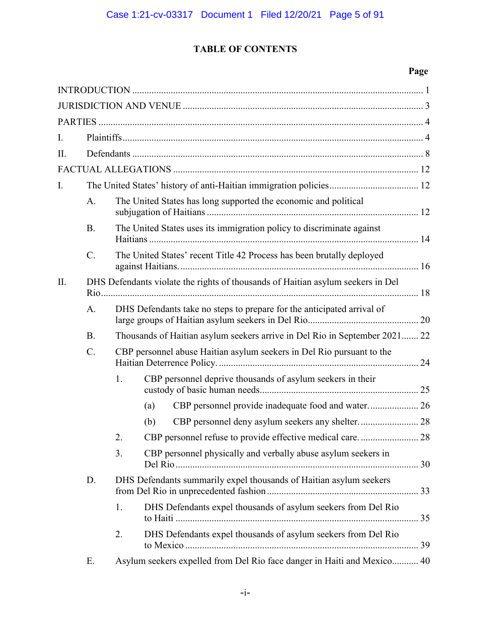# **TABLE OF CONTENTS**

# **Page**

| I. |                 |                                                                       |                                                                                 |  |  |
|----|-----------------|-----------------------------------------------------------------------|---------------------------------------------------------------------------------|--|--|
| Π. |                 |                                                                       |                                                                                 |  |  |
|    |                 |                                                                       |                                                                                 |  |  |
| I. |                 |                                                                       |                                                                                 |  |  |
|    | A.              | The United States has long supported the economic and political       |                                                                                 |  |  |
|    | <b>B.</b>       | The United States uses its immigration policy to discriminate against |                                                                                 |  |  |
|    | $\mathcal{C}$ . |                                                                       | The United States' recent Title 42 Process has been brutally deployed           |  |  |
| Π. |                 |                                                                       | DHS Defendants violate the rights of thousands of Haitian asylum seekers in Del |  |  |
|    | A.              |                                                                       | DHS Defendants take no steps to prepare for the anticipated arrival of          |  |  |
|    | <b>B.</b>       |                                                                       | Thousands of Haitian asylum seekers arrive in Del Rio in September 2021 22      |  |  |
|    | $C$ .           |                                                                       | CBP personnel abuse Haitian asylum seekers in Del Rio pursuant to the           |  |  |
|    |                 | 1.                                                                    | CBP personnel deprive thousands of asylum seekers in their                      |  |  |
|    |                 |                                                                       | CBP personnel provide inadequate food and water 26<br>(a)                       |  |  |
| D. |                 |                                                                       | (b)                                                                             |  |  |
|    |                 |                                                                       |                                                                                 |  |  |
|    |                 | 3.                                                                    | CBP personnel physically and verbally abuse asylum seekers in                   |  |  |
|    |                 |                                                                       | DHS Defendants summarily expel thousands of Haitian asylum seekers              |  |  |
|    |                 | 1.                                                                    | DHS Defendants expel thousands of asylum seekers from Del Rio                   |  |  |
|    |                 | 2.                                                                    | DHS Defendants expel thousands of asylum seekers from Del Rio                   |  |  |
|    | Ε.              |                                                                       | Asylum seekers expelled from Del Rio face danger in Haiti and Mexico 40         |  |  |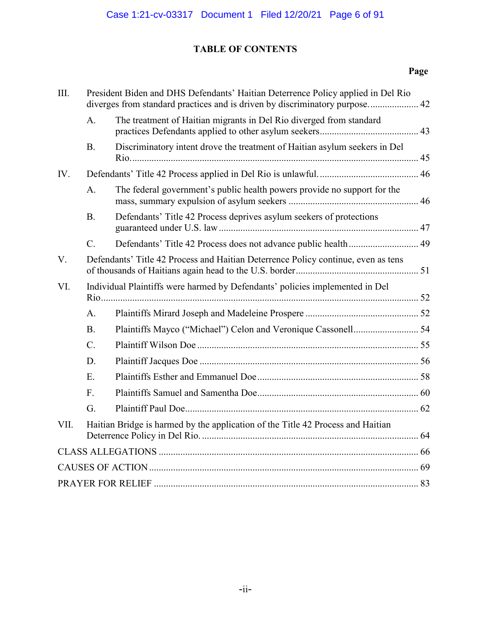# **TABLE OF CONTENTS**

# **Page**

| III. | President Biden and DHS Defendants' Haitian Deterrence Policy applied in Del Rio<br>diverges from standard practices and is driven by discriminatory purpose 42 |                                                                            |  |  |
|------|-----------------------------------------------------------------------------------------------------------------------------------------------------------------|----------------------------------------------------------------------------|--|--|
|      | A.                                                                                                                                                              | The treatment of Haitian migrants in Del Rio diverged from standard        |  |  |
|      | <b>B.</b>                                                                                                                                                       | Discriminatory intent drove the treatment of Haitian asylum seekers in Del |  |  |
| IV.  |                                                                                                                                                                 |                                                                            |  |  |
|      | A.                                                                                                                                                              | The federal government's public health powers provide no support for the   |  |  |
|      | <b>B.</b>                                                                                                                                                       | Defendants' Title 42 Process deprives asylum seekers of protections        |  |  |
|      | $C$ .                                                                                                                                                           |                                                                            |  |  |
| V.   | Defendants' Title 42 Process and Haitian Deterrence Policy continue, even as tens                                                                               |                                                                            |  |  |
| VI.  | Individual Plaintiffs were harmed by Defendants' policies implemented in Del                                                                                    |                                                                            |  |  |
|      | A.                                                                                                                                                              |                                                                            |  |  |
|      | <b>B.</b>                                                                                                                                                       |                                                                            |  |  |
|      | $\mathcal{C}$ .                                                                                                                                                 |                                                                            |  |  |
|      | D.                                                                                                                                                              |                                                                            |  |  |
|      | E.                                                                                                                                                              |                                                                            |  |  |
|      | F.                                                                                                                                                              |                                                                            |  |  |
|      | G.                                                                                                                                                              |                                                                            |  |  |
| VII. | Haitian Bridge is harmed by the application of the Title 42 Process and Haitian                                                                                 |                                                                            |  |  |
|      |                                                                                                                                                                 |                                                                            |  |  |
|      |                                                                                                                                                                 |                                                                            |  |  |
|      |                                                                                                                                                                 |                                                                            |  |  |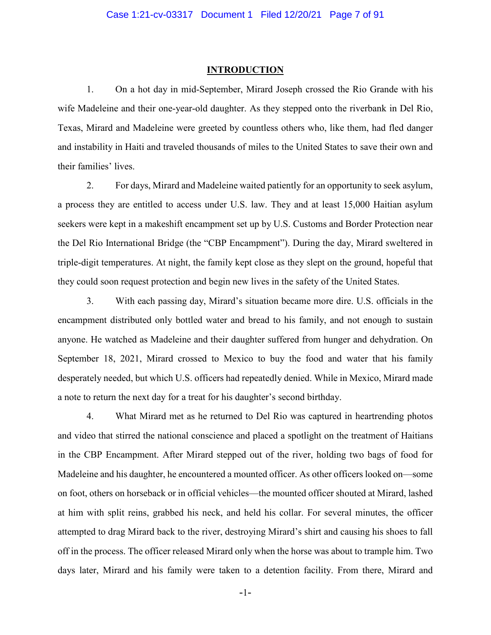#### **INTRODUCTION**

1. On a hot day in mid-September, Mirard Joseph crossed the Rio Grande with his wife Madeleine and their one-year-old daughter. As they stepped onto the riverbank in Del Rio, Texas, Mirard and Madeleine were greeted by countless others who, like them, had fled danger and instability in Haiti and traveled thousands of miles to the United States to save their own and their families' lives.

2. For days, Mirard and Madeleine waited patiently for an opportunity to seek asylum, a process they are entitled to access under U.S. law. They and at least 15,000 Haitian asylum seekers were kept in a makeshift encampment set up by U.S. Customs and Border Protection near the Del Rio International Bridge (the "CBP Encampment"). During the day, Mirard sweltered in triple-digit temperatures. At night, the family kept close as they slept on the ground, hopeful that they could soon request protection and begin new lives in the safety of the United States.

3. With each passing day, Mirard's situation became more dire. U.S. officials in the encampment distributed only bottled water and bread to his family, and not enough to sustain anyone. He watched as Madeleine and their daughter suffered from hunger and dehydration. On September 18, 2021, Mirard crossed to Mexico to buy the food and water that his family desperately needed, but which U.S. officers had repeatedly denied. While in Mexico, Mirard made a note to return the next day for a treat for his daughter's second birthday.

4. What Mirard met as he returned to Del Rio was captured in heartrending photos and video that stirred the national conscience and placed a spotlight on the treatment of Haitians in the CBP Encampment. After Mirard stepped out of the river, holding two bags of food for Madeleine and his daughter, he encountered a mounted officer. As other officers looked on—some on foot, others on horseback or in official vehicles—the mounted officer shouted at Mirard, lashed at him with split reins, grabbed his neck, and held his collar. For several minutes, the officer attempted to drag Mirard back to the river, destroying Mirard's shirt and causing his shoes to fall off in the process. The officer released Mirard only when the horse was about to trample him. Two days later, Mirard and his family were taken to a detention facility. From there, Mirard and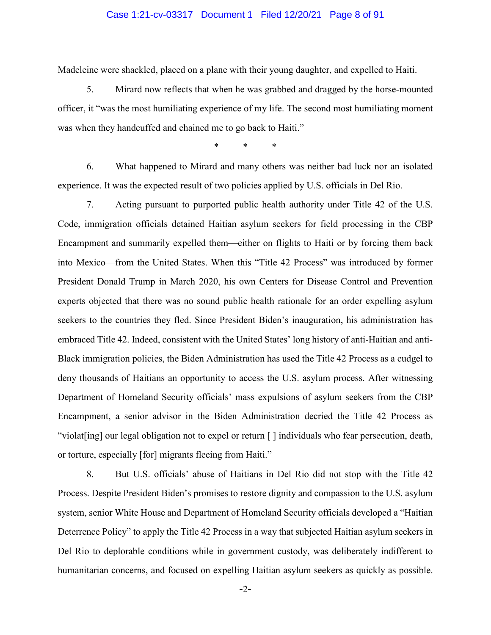#### Case 1:21-cv-03317 Document 1 Filed 12/20/21 Page 8 of 91

Madeleine were shackled, placed on a plane with their young daughter, and expelled to Haiti.

5. Mirard now reflects that when he was grabbed and dragged by the horse-mounted officer, it "was the most humiliating experience of my life. The second most humiliating moment was when they handcuffed and chained me to go back to Haiti."

\* \* \*

6. What happened to Mirard and many others was neither bad luck nor an isolated experience. It was the expected result of two policies applied by U.S. officials in Del Rio.

7. Acting pursuant to purported public health authority under Title 42 of the U.S. Code, immigration officials detained Haitian asylum seekers for field processing in the CBP Encampment and summarily expelled them—either on flights to Haiti or by forcing them back into Mexico—from the United States. When this "Title 42 Process" was introduced by former President Donald Trump in March 2020, his own Centers for Disease Control and Prevention experts objected that there was no sound public health rationale for an order expelling asylum seekers to the countries they fled. Since President Biden's inauguration, his administration has embraced Title 42. Indeed, consistent with the United States' long history of anti-Haitian and anti-Black immigration policies, the Biden Administration has used the Title 42 Process as a cudgel to deny thousands of Haitians an opportunity to access the U.S. asylum process. After witnessing Department of Homeland Security officials' mass expulsions of asylum seekers from the CBP Encampment, a senior advisor in the Biden Administration decried the Title 42 Process as "violat[ing] our legal obligation not to expel or return [ ] individuals who fear persecution, death, or torture, especially [for] migrants fleeing from Haiti."

8. But U.S. officials' abuse of Haitians in Del Rio did not stop with the Title 42 Process. Despite President Biden's promises to restore dignity and compassion to the U.S. asylum system, senior White House and Department of Homeland Security officials developed a "Haitian Deterrence Policy" to apply the Title 42 Process in a way that subjected Haitian asylum seekers in Del Rio to deplorable conditions while in government custody, was deliberately indifferent to humanitarian concerns, and focused on expelling Haitian asylum seekers as quickly as possible.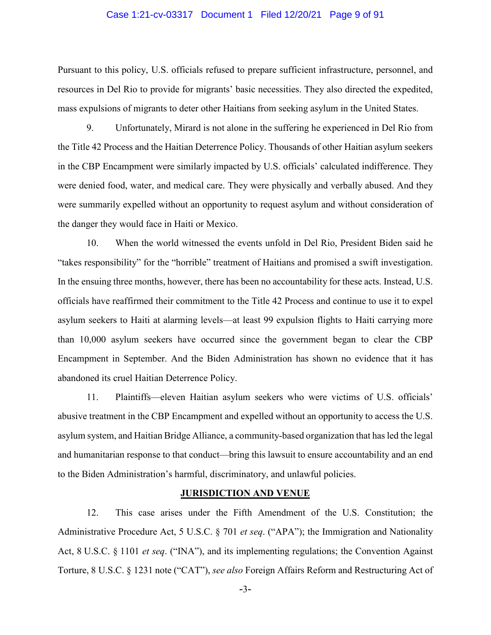#### Case 1:21-cv-03317 Document 1 Filed 12/20/21 Page 9 of 91

Pursuant to this policy, U.S. officials refused to prepare sufficient infrastructure, personnel, and resources in Del Rio to provide for migrants' basic necessities. They also directed the expedited, mass expulsions of migrants to deter other Haitians from seeking asylum in the United States.

9. Unfortunately, Mirard is not alone in the suffering he experienced in Del Rio from the Title 42 Process and the Haitian Deterrence Policy. Thousands of other Haitian asylum seekers in the CBP Encampment were similarly impacted by U.S. officials' calculated indifference. They were denied food, water, and medical care. They were physically and verbally abused. And they were summarily expelled without an opportunity to request asylum and without consideration of the danger they would face in Haiti or Mexico.

10. When the world witnessed the events unfold in Del Rio, President Biden said he "takes responsibility" for the "horrible" treatment of Haitians and promised a swift investigation. In the ensuing three months, however, there has been no accountability for these acts. Instead, U.S. officials have reaffirmed their commitment to the Title 42 Process and continue to use it to expel asylum seekers to Haiti at alarming levels—at least 99 expulsion flights to Haiti carrying more than 10,000 asylum seekers have occurred since the government began to clear the CBP Encampment in September. And the Biden Administration has shown no evidence that it has abandoned its cruel Haitian Deterrence Policy.

11. Plaintiffs—eleven Haitian asylum seekers who were victims of U.S. officials' abusive treatment in the CBP Encampment and expelled without an opportunity to access the U.S. asylum system, and Haitian Bridge Alliance, a community-based organization that has led the legal and humanitarian response to that conduct—bring this lawsuit to ensure accountability and an end to the Biden Administration's harmful, discriminatory, and unlawful policies.

#### **JURISDICTION AND VENUE**

12. This case arises under the Fifth Amendment of the U.S. Constitution; the Administrative Procedure Act, 5 U.S.C. § 701 *et seq*. ("APA"); the Immigration and Nationality Act, 8 U.S.C. § 1101 *et seq*. ("INA"), and its implementing regulations; the Convention Against Torture, 8 U.S.C. § 1231 note ("CAT"), *see also* Foreign Affairs Reform and Restructuring Act of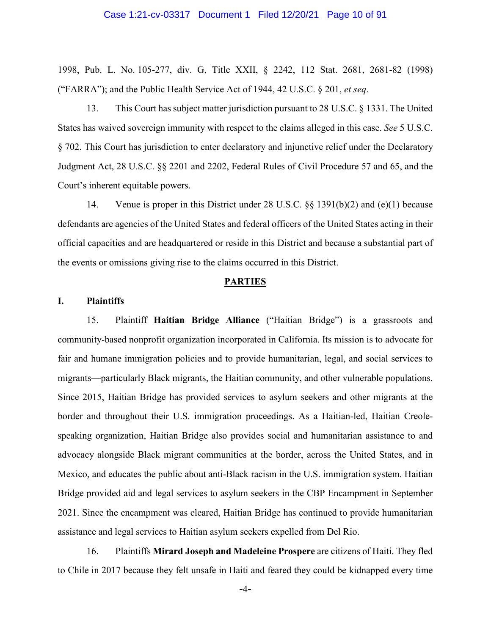#### Case 1:21-cv-03317 Document 1 Filed 12/20/21 Page 10 of 91

1998, Pub. L. No. 105-277, div. G, Title XXII, § 2242, 112 Stat. 2681, 2681-82 (1998) ("FARRA"); and the Public Health Service Act of 1944, 42 U.S.C. § 201, *et seq*.

13. This Court has subject matter jurisdiction pursuant to 28 U.S.C. § 1331. The United States has waived sovereign immunity with respect to the claims alleged in this case. *See* 5 U.S.C. § 702. This Court has jurisdiction to enter declaratory and injunctive relief under the Declaratory Judgment Act, 28 U.S.C. §§ 2201 and 2202, Federal Rules of Civil Procedure 57 and 65, and the Court's inherent equitable powers.

14. Venue is proper in this District under 28 U.S.C. §§ 1391(b)(2) and (e)(1) because defendants are agencies of the United States and federal officers of the United States acting in their official capacities and are headquartered or reside in this District and because a substantial part of the events or omissions giving rise to the claims occurred in this District.

#### **PARTIES**

#### **I. Plaintiffs**

15. Plaintiff **Haitian Bridge Alliance** ("Haitian Bridge") is a grassroots and community-based nonprofit organization incorporated in California. Its mission is to advocate for fair and humane immigration policies and to provide humanitarian, legal, and social services to migrants—particularly Black migrants, the Haitian community, and other vulnerable populations. Since 2015, Haitian Bridge has provided services to asylum seekers and other migrants at the border and throughout their U.S. immigration proceedings. As a Haitian-led, Haitian Creolespeaking organization, Haitian Bridge also provides social and humanitarian assistance to and advocacy alongside Black migrant communities at the border, across the United States, and in Mexico, and educates the public about anti-Black racism in the U.S. immigration system. Haitian Bridge provided aid and legal services to asylum seekers in the CBP Encampment in September 2021. Since the encampment was cleared, Haitian Bridge has continued to provide humanitarian assistance and legal services to Haitian asylum seekers expelled from Del Rio.

16. Plaintiffs **Mirard Joseph and Madeleine Prospere** are citizens of Haiti. They fled to Chile in 2017 because they felt unsafe in Haiti and feared they could be kidnapped every time

-4-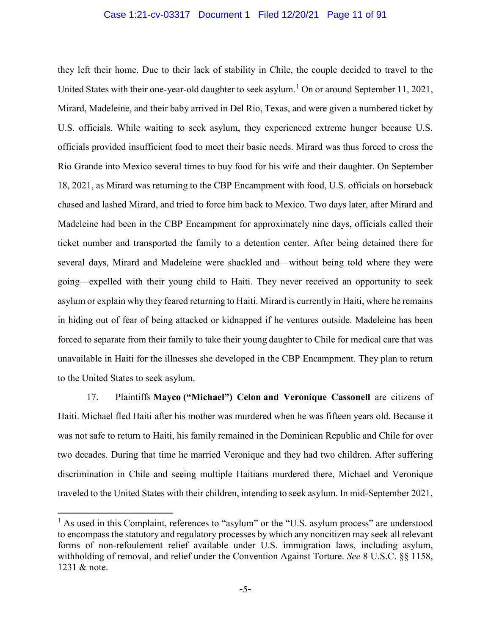#### Case 1:21-cv-03317 Document 1 Filed 12/20/21 Page 11 of 91

they left their home. Due to their lack of stability in Chile, the couple decided to travel to the United States with their one-year-old daughter to seek asylum.<sup>[1](#page-10-0)</sup> On or around September 11, 2021, Mirard, Madeleine, and their baby arrived in Del Rio, Texas, and were given a numbered ticket by U.S. officials. While waiting to seek asylum, they experienced extreme hunger because U.S. officials provided insufficient food to meet their basic needs. Mirard was thus forced to cross the Rio Grande into Mexico several times to buy food for his wife and their daughter. On September 18, 2021, as Mirard was returning to the CBP Encampment with food, U.S. officials on horseback chased and lashed Mirard, and tried to force him back to Mexico. Two days later, after Mirard and Madeleine had been in the CBP Encampment for approximately nine days, officials called their ticket number and transported the family to a detention center. After being detained there for several days, Mirard and Madeleine were shackled and—without being told where they were going—expelled with their young child to Haiti. They never received an opportunity to seek asylum or explain why they feared returning to Haiti. Mirard is currently in Haiti, where he remains in hiding out of fear of being attacked or kidnapped if he ventures outside. Madeleine has been forced to separate from their family to take their young daughter to Chile for medical care that was unavailable in Haiti for the illnesses she developed in the CBP Encampment. They plan to return to the United States to seek asylum.

17. Plaintiffs **Mayco ("Michael") Celon and Veronique Cassonell** are citizens of Haiti. Michael fled Haiti after his mother was murdered when he was fifteen years old. Because it was not safe to return to Haiti, his family remained in the Dominican Republic and Chile for over two decades. During that time he married Veronique and they had two children. After suffering discrimination in Chile and seeing multiple Haitians murdered there, Michael and Veronique traveled to the United States with their children, intending to seek asylum. In mid-September 2021,

<span id="page-10-0"></span> $<sup>1</sup>$  As used in this Complaint, references to "asylum" or the "U.S. asylum process" are understood</sup> to encompass the statutory and regulatory processes by which any noncitizen may seek all relevant forms of non-refoulement relief available under U.S. immigration laws, including asylum, withholding of removal, and relief under the Convention Against Torture. *See* 8 U.S.C. §§ 1158, 1231 & note.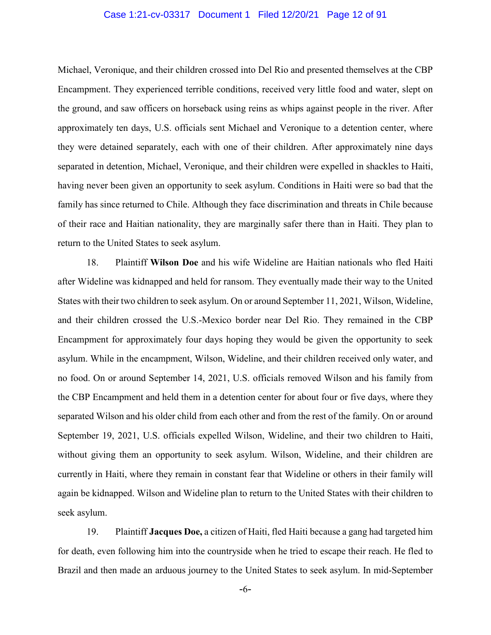#### Case 1:21-cv-03317 Document 1 Filed 12/20/21 Page 12 of 91

Michael, Veronique, and their children crossed into Del Rio and presented themselves at the CBP Encampment. They experienced terrible conditions, received very little food and water, slept on the ground, and saw officers on horseback using reins as whips against people in the river. After approximately ten days, U.S. officials sent Michael and Veronique to a detention center, where they were detained separately, each with one of their children. After approximately nine days separated in detention, Michael, Veronique, and their children were expelled in shackles to Haiti, having never been given an opportunity to seek asylum. Conditions in Haiti were so bad that the family has since returned to Chile. Although they face discrimination and threats in Chile because of their race and Haitian nationality, they are marginally safer there than in Haiti. They plan to return to the United States to seek asylum.

18. Plaintiff **Wilson Doe** and his wife Wideline are Haitian nationals who fled Haiti after Wideline was kidnapped and held for ransom. They eventually made their way to the United States with their two children to seek asylum. On or around September 11, 2021, Wilson, Wideline, and their children crossed the U.S.-Mexico border near Del Rio. They remained in the CBP Encampment for approximately four days hoping they would be given the opportunity to seek asylum. While in the encampment, Wilson, Wideline, and their children received only water, and no food. On or around September 14, 2021, U.S. officials removed Wilson and his family from the CBP Encampment and held them in a detention center for about four or five days, where they separated Wilson and his older child from each other and from the rest of the family. On or around September 19, 2021, U.S. officials expelled Wilson, Wideline, and their two children to Haiti, without giving them an opportunity to seek asylum. Wilson, Wideline, and their children are currently in Haiti, where they remain in constant fear that Wideline or others in their family will again be kidnapped. Wilson and Wideline plan to return to the United States with their children to seek asylum.

19. Plaintiff **Jacques Doe,** a citizen of Haiti, fled Haiti because a gang had targeted him for death, even following him into the countryside when he tried to escape their reach. He fled to Brazil and then made an arduous journey to the United States to seek asylum. In mid-September

-6-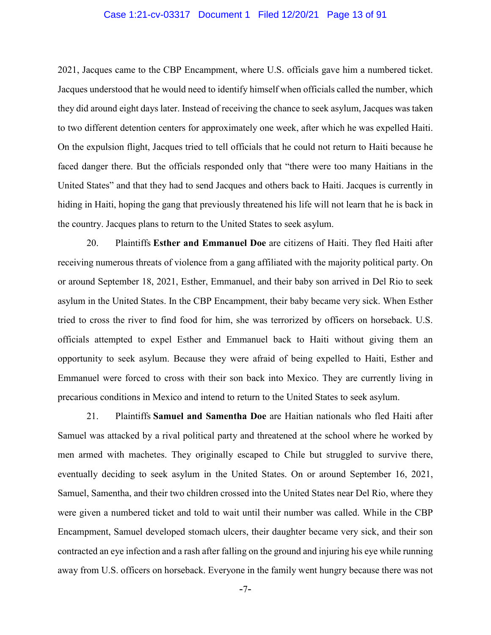#### Case 1:21-cv-03317 Document 1 Filed 12/20/21 Page 13 of 91

2021, Jacques came to the CBP Encampment, where U.S. officials gave him a numbered ticket. Jacques understood that he would need to identify himself when officials called the number, which they did around eight days later. Instead of receiving the chance to seek asylum, Jacques was taken to two different detention centers for approximately one week, after which he was expelled Haiti. On the expulsion flight, Jacques tried to tell officials that he could not return to Haiti because he faced danger there. But the officials responded only that "there were too many Haitians in the United States" and that they had to send Jacques and others back to Haiti. Jacques is currently in hiding in Haiti, hoping the gang that previously threatened his life will not learn that he is back in the country. Jacques plans to return to the United States to seek asylum.

20. Plaintiffs **Esther and Emmanuel Doe** are citizens of Haiti. They fled Haiti after receiving numerous threats of violence from a gang affiliated with the majority political party. On or around September 18, 2021, Esther, Emmanuel, and their baby son arrived in Del Rio to seek asylum in the United States. In the CBP Encampment, their baby became very sick. When Esther tried to cross the river to find food for him, she was terrorized by officers on horseback. U.S. officials attempted to expel Esther and Emmanuel back to Haiti without giving them an opportunity to seek asylum. Because they were afraid of being expelled to Haiti, Esther and Emmanuel were forced to cross with their son back into Mexico. They are currently living in precarious conditions in Mexico and intend to return to the United States to seek asylum.

21. Plaintiffs **Samuel and Samentha Doe** are Haitian nationals who fled Haiti after Samuel was attacked by a rival political party and threatened at the school where he worked by men armed with machetes. They originally escaped to Chile but struggled to survive there, eventually deciding to seek asylum in the United States. On or around September 16, 2021, Samuel, Samentha, and their two children crossed into the United States near Del Rio, where they were given a numbered ticket and told to wait until their number was called. While in the CBP Encampment, Samuel developed stomach ulcers, their daughter became very sick, and their son contracted an eye infection and a rash after falling on the ground and injuring his eye while running away from U.S. officers on horseback. Everyone in the family went hungry because there was not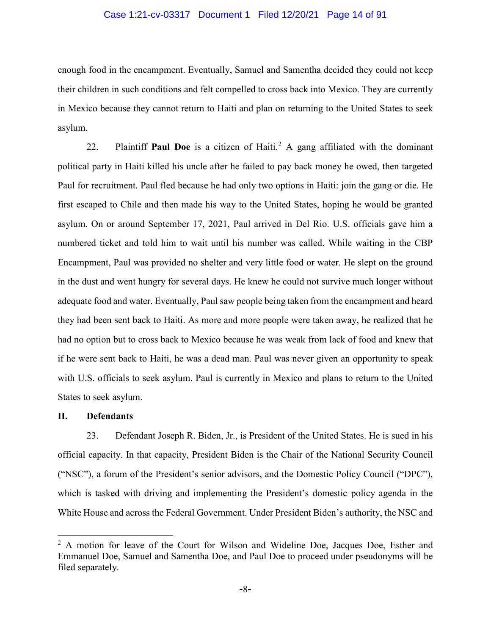#### Case 1:21-cv-03317 Document 1 Filed 12/20/21 Page 14 of 91

enough food in the encampment. Eventually, Samuel and Samentha decided they could not keep their children in such conditions and felt compelled to cross back into Mexico. They are currently in Mexico because they cannot return to Haiti and plan on returning to the United States to seek asylum.

22. Plaintiff **Paul Doe** is a citizen of Haiti. [2](#page-13-0) A gang affiliated with the dominant political party in Haiti killed his uncle after he failed to pay back money he owed, then targeted Paul for recruitment. Paul fled because he had only two options in Haiti: join the gang or die. He first escaped to Chile and then made his way to the United States, hoping he would be granted asylum. On or around September 17, 2021, Paul arrived in Del Rio. U.S. officials gave him a numbered ticket and told him to wait until his number was called. While waiting in the CBP Encampment, Paul was provided no shelter and very little food or water. He slept on the ground in the dust and went hungry for several days. He knew he could not survive much longer without adequate food and water. Eventually, Paul saw people being taken from the encampment and heard they had been sent back to Haiti. As more and more people were taken away, he realized that he had no option but to cross back to Mexico because he was weak from lack of food and knew that if he were sent back to Haiti, he was a dead man. Paul was never given an opportunity to speak with U.S. officials to seek asylum. Paul is currently in Mexico and plans to return to the United States to seek asylum.

#### **II. Defendants**

23. Defendant Joseph R. Biden, Jr., is President of the United States. He is sued in his official capacity. In that capacity, President Biden is the Chair of the National Security Council ("NSC"), a forum of the President's senior advisors, and the Domestic Policy Council ("DPC"), which is tasked with driving and implementing the President's domestic policy agenda in the White House and across the Federal Government. Under President Biden's authority, the NSC and

<span id="page-13-0"></span><sup>&</sup>lt;sup>2</sup> A motion for leave of the Court for Wilson and Wideline Doe, Jacques Doe, Esther and Emmanuel Doe, Samuel and Samentha Doe, and Paul Doe to proceed under pseudonyms will be filed separately.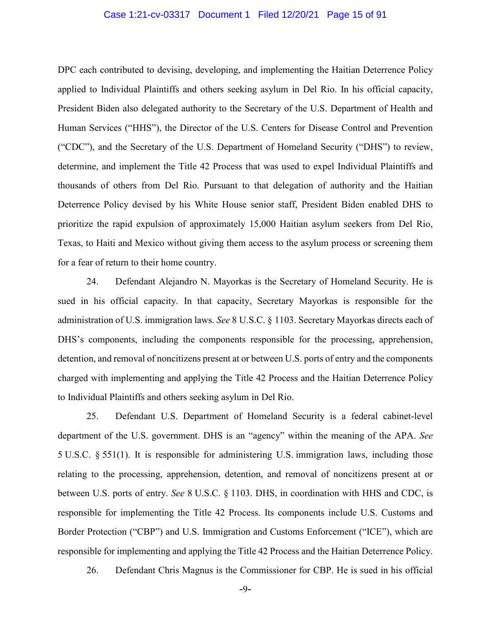#### Case 1:21-cv-03317 Document 1 Filed 12/20/21 Page 15 of 91

DPC each contributed to devising, developing, and implementing the Haitian Deterrence Policy applied to Individual Plaintiffs and others seeking asylum in Del Rio. In his official capacity, President Biden also delegated authority to the Secretary of the U.S. Department of Health and Human Services ("HHS"), the Director of the U.S. Centers for Disease Control and Prevention ("CDC"), and the Secretary of the U.S. Department of Homeland Security ("DHS") to review, determine, and implement the Title 42 Process that was used to expel Individual Plaintiffs and thousands of others from Del Rio. Pursuant to that delegation of authority and the Haitian Deterrence Policy devised by his White House senior staff, President Biden enabled DHS to prioritize the rapid expulsion of approximately 15,000 Haitian asylum seekers from Del Rio, Texas, to Haiti and Mexico without giving them access to the asylum process or screening them for a fear of return to their home country.

24. Defendant Alejandro N. Mayorkas is the Secretary of Homeland Security. He is sued in his official capacity. In that capacity, Secretary Mayorkas is responsible for the administration of U.S. immigration laws. *See* 8 U.S.C. § 1103. Secretary Mayorkas directs each of DHS's components, including the components responsible for the processing, apprehension, detention, and removal of noncitizens present at or between U.S. ports of entry and the components charged with implementing and applying the Title 42 Process and the Haitian Deterrence Policy to Individual Plaintiffs and others seeking asylum in Del Rio.

25. Defendant U.S. Department of Homeland Security is a federal cabinet-level department of the U.S. government. DHS is an "agency" within the meaning of the APA. *See* 5 U.S.C. § 551(1). It is responsible for administering U.S. immigration laws, including those relating to the processing, apprehension, detention, and removal of noncitizens present at or between U.S. ports of entry. *See* 8 U.S.C. § 1103. DHS, in coordination with HHS and CDC, is responsible for implementing the Title 42 Process. Its components include U.S. Customs and Border Protection ("CBP") and U.S. Immigration and Customs Enforcement ("ICE"), which are responsible for implementing and applying the Title 42 Process and the Haitian Deterrence Policy.

26. Defendant Chris Magnus is the Commissioner for CBP. He is sued in his official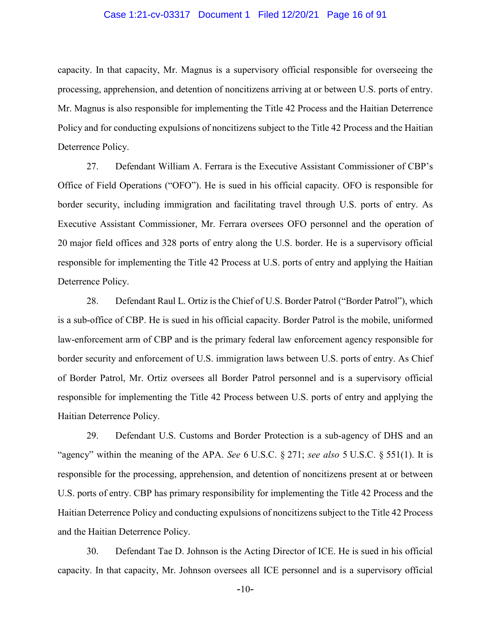#### Case 1:21-cv-03317 Document 1 Filed 12/20/21 Page 16 of 91

capacity. In that capacity, Mr. Magnus is a supervisory official responsible for overseeing the processing, apprehension, and detention of noncitizens arriving at or between U.S. ports of entry. Mr. Magnus is also responsible for implementing the Title 42 Process and the Haitian Deterrence Policy and for conducting expulsions of noncitizens subject to the Title 42 Process and the Haitian Deterrence Policy.

27. Defendant William A. Ferrara is the Executive Assistant Commissioner of CBP's Office of Field Operations ("OFO"). He is sued in his official capacity. OFO is responsible for border security, including immigration and facilitating travel through U.S. ports of entry. As Executive Assistant Commissioner, Mr. Ferrara oversees OFO personnel and the operation of 20 major field offices and 328 ports of entry along the U.S. border. He is a supervisory official responsible for implementing the Title 42 Process at U.S. ports of entry and applying the Haitian Deterrence Policy.

28. Defendant Raul L. Ortiz is the Chief of U.S. Border Patrol ("Border Patrol"), which is a sub-office of CBP. He is sued in his official capacity. Border Patrol is the mobile, uniformed law-enforcement arm of CBP and is the primary federal law enforcement agency responsible for border security and enforcement of U.S. immigration laws between U.S. ports of entry. As Chief of Border Patrol, Mr. Ortiz oversees all Border Patrol personnel and is a supervisory official responsible for implementing the Title 42 Process between U.S. ports of entry and applying the Haitian Deterrence Policy.

29. Defendant U.S. Customs and Border Protection is a sub-agency of DHS and an "agency" within the meaning of the APA. *See* 6 U.S.C. § 271; *see also* 5 U.S.C. § 551(1). It is responsible for the processing, apprehension, and detention of noncitizens present at or between U.S. ports of entry. CBP has primary responsibility for implementing the Title 42 Process and the Haitian Deterrence Policy and conducting expulsions of noncitizens subject to the Title 42 Process and the Haitian Deterrence Policy.

30. Defendant Tae D. Johnson is the Acting Director of ICE. He is sued in his official capacity. In that capacity, Mr. Johnson oversees all ICE personnel and is a supervisory official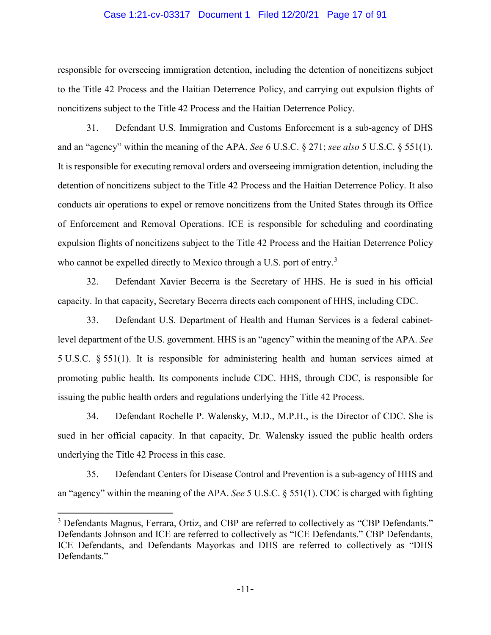#### Case 1:21-cv-03317 Document 1 Filed 12/20/21 Page 17 of 91

responsible for overseeing immigration detention, including the detention of noncitizens subject to the Title 42 Process and the Haitian Deterrence Policy, and carrying out expulsion flights of noncitizens subject to the Title 42 Process and the Haitian Deterrence Policy.

31. Defendant U.S. Immigration and Customs Enforcement is a sub-agency of DHS and an "agency" within the meaning of the APA. *See* 6 U.S.C. § 271; *see also* 5 U.S.C. § 551(1). It is responsible for executing removal orders and overseeing immigration detention, including the detention of noncitizens subject to the Title 42 Process and the Haitian Deterrence Policy. It also conducts air operations to expel or remove noncitizens from the United States through its Office of Enforcement and Removal Operations. ICE is responsible for scheduling and coordinating expulsion flights of noncitizens subject to the Title 42 Process and the Haitian Deterrence Policy who cannot be expelled directly to Mexico through a U.S. port of entry.<sup>[3](#page-16-0)</sup>

32. Defendant Xavier Becerra is the Secretary of HHS. He is sued in his official capacity. In that capacity, Secretary Becerra directs each component of HHS, including CDC.

33. Defendant U.S. Department of Health and Human Services is a federal cabinetlevel department of the U.S. government. HHS is an "agency" within the meaning of the APA. *See*  5 U.S.C. § 551(1). It is responsible for administering health and human services aimed at promoting public health. Its components include CDC. HHS, through CDC, is responsible for issuing the public health orders and regulations underlying the Title 42 Process.

34. Defendant Rochelle P. Walensky, M.D., M.P.H., is the Director of CDC. She is sued in her official capacity. In that capacity, Dr. Walensky issued the public health orders underlying the Title 42 Process in this case.

35. Defendant Centers for Disease Control and Prevention is a sub-agency of HHS and an "agency" within the meaning of the APA. *See* 5 U.S.C. § 551(1). CDC is charged with fighting

<span id="page-16-0"></span><sup>&</sup>lt;sup>3</sup> Defendants Magnus, Ferrara, Ortiz, and CBP are referred to collectively as "CBP Defendants." Defendants Johnson and ICE are referred to collectively as "ICE Defendants." CBP Defendants, ICE Defendants, and Defendants Mayorkas and DHS are referred to collectively as "DHS Defendants."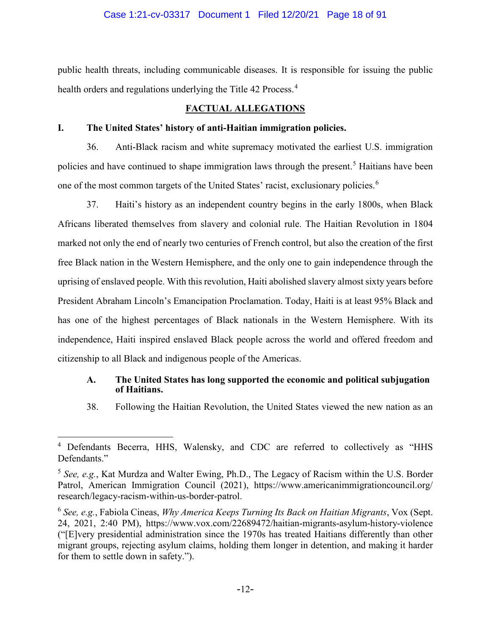public health threats, including communicable diseases. It is responsible for issuing the public health orders and regulations underlying the Title [4](#page-17-0)2 Process.<sup>4</sup>

## **FACTUAL ALLEGATIONS**

## **I. The United States' history of anti-Haitian immigration policies.**

36. Anti-Black racism and white supremacy motivated the earliest U.S. immigration policies and have continued to shape immigration laws through the present. [5](#page-17-1) Haitians have been one of the most common targets of the United States' racist, exclusionary policies.<sup>[6](#page-17-2)</sup>

37. Haiti's history as an independent country begins in the early 1800s, when Black Africans liberated themselves from slavery and colonial rule. The Haitian Revolution in 1804 marked not only the end of nearly two centuries of French control, but also the creation of the first free Black nation in the Western Hemisphere, and the only one to gain independence through the uprising of enslaved people. With this revolution, Haiti abolished slavery almost sixty years before President Abraham Lincoln's Emancipation Proclamation. Today, Haiti is at least 95% Black and has one of the highest percentages of Black nationals in the Western Hemisphere. With its independence, Haiti inspired enslaved Black people across the world and offered freedom and citizenship to all Black and indigenous people of the Americas.

### **A. The United States has long supported the economic and political subjugation of Haitians.**

38. Following the Haitian Revolution, the United States viewed the new nation as an

<span id="page-17-0"></span><sup>&</sup>lt;sup>4</sup> Defendants Becerra, HHS, Walensky, and CDC are referred to collectively as "HHS Defendants."

<span id="page-17-1"></span><sup>5</sup> *See, e.g.*, Kat Murdza and Walter Ewing, Ph.D., The Legacy of Racism within the U.S. Border Patrol, American Immigration Council (2021), https://www.americanimmigrationcouncil.org/ research/legacy-racism-within-us-border-patrol.

<span id="page-17-2"></span><sup>6</sup> *See, e.g.*, Fabiola Cineas, *Why America Keeps Turning Its Back on Haitian Migrants*, Vox (Sept. 24, 2021, 2:40 PM), https://www.vox.com/22689472/haitian-migrants-asylum-history-violence ("[E]very presidential administration since the 1970s has treated Haitians differently than other migrant groups, rejecting asylum claims, holding them longer in detention, and making it harder for them to settle down in safety.").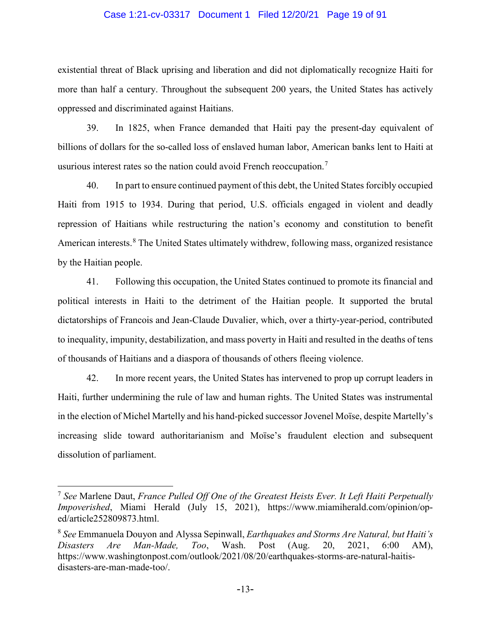#### Case 1:21-cv-03317 Document 1 Filed 12/20/21 Page 19 of 91

existential threat of Black uprising and liberation and did not diplomatically recognize Haiti for more than half a century. Throughout the subsequent 200 years, the United States has actively oppressed and discriminated against Haitians.

39. In 1825, when France demanded that Haiti pay the present-day equivalent of billions of dollars for the so-called loss of enslaved human labor, American banks lent to Haiti at usurious interest rates so the nation could avoid French reoccupation.<sup>[7](#page-18-0)</sup>

40. In part to ensure continued payment of this debt, the United States forcibly occupied Haiti from 1915 to 1934. During that period, U.S. officials engaged in violent and deadly repression of Haitians while restructuring the nation's economy and constitution to benefit American interests.<sup>[8](#page-18-1)</sup> The United States ultimately withdrew, following mass, organized resistance by the Haitian people.

41. Following this occupation, the United States continued to promote its financial and political interests in Haiti to the detriment of the Haitian people. It supported the brutal dictatorships of Francois and Jean-Claude Duvalier, which, over a thirty-year-period, contributed to inequality, impunity, destabilization, and mass poverty in Haiti and resulted in the deaths of tens of thousands of Haitians and a diaspora of thousands of others fleeing violence.

42. In more recent years, the United States has intervened to prop up corrupt leaders in Haiti, further undermining the rule of law and human rights. The United States was instrumental in the election of Michel Martelly and his hand-picked successor Jovenel Moïse, despite Martelly's increasing slide toward authoritarianism and Moïse's fraudulent election and subsequent dissolution of parliament.

<span id="page-18-0"></span> <sup>7</sup> *See* Marlene Daut, *France Pulled Off One of the Greatest Heists Ever. It Left Haiti Perpetually Impoverished*, Miami Herald (July 15, 2021), https://www.miamiherald.com/opinion/oped/article252809873.html.

<span id="page-18-1"></span><sup>8</sup> *See* Emmanuela Douyon and Alyssa Sepinwall, *Earthquakes and Storms Are Natural, but Haiti's Disasters Are Man-Made, Too*, Wash. Post (Aug. 20, 2021, 6:00 AM), https://www.washingtonpost.com/outlook/2021/08/20/earthquakes-storms-are-natural-haitisdisasters-are-man-made-too/.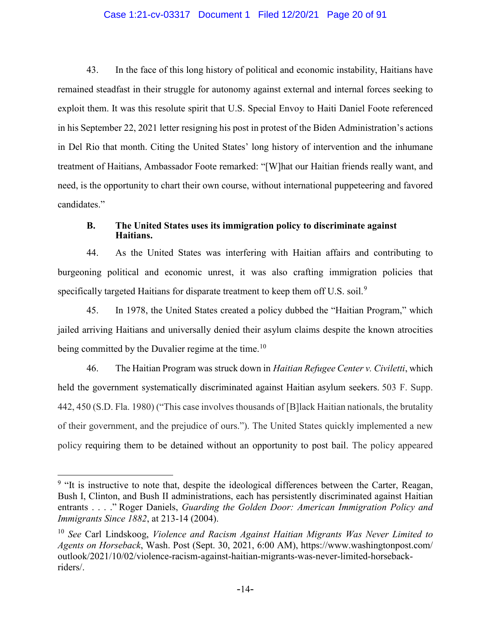#### Case 1:21-cv-03317 Document 1 Filed 12/20/21 Page 20 of 91

43. In the face of this long history of political and economic instability, Haitians have remained steadfast in their struggle for autonomy against external and internal forces seeking to exploit them. It was this resolute spirit that U.S. Special Envoy to Haiti Daniel Foote referenced in his September 22, 2021 letter resigning his post in protest of the Biden Administration's actions in Del Rio that month. Citing the United States' long history of intervention and the inhumane treatment of Haitians, Ambassador Foote remarked: "[W]hat our Haitian friends really want, and need, is the opportunity to chart their own course, without international puppeteering and favored candidates."

#### **B. The United States uses its immigration policy to discriminate against Haitians.**

44. As the United States was interfering with Haitian affairs and contributing to burgeoning political and economic unrest, it was also crafting immigration policies that specifically targeted Haitians for disparate treatment to keep them off U.S. soil.<sup>[9](#page-19-0)</sup>

45. In 1978, the United States created a policy dubbed the "Haitian Program," which jailed arriving Haitians and universally denied their asylum claims despite the known atrocities being committed by the Duvalier regime at the time.<sup>[10](#page-19-1)</sup>

46. The Haitian Program was struck down in *Haitian Refugee Center v. Civiletti*, which held the government systematically discriminated against Haitian asylum seekers. 503 F. Supp. 442, 450 (S.D. Fla. 1980) ("This case involves thousands of [B]lack Haitian nationals, the brutality of their government, and the prejudice of ours."). The United States quickly implemented a new policy requiring them to be detained without an opportunity to post bail. The policy appeared

<span id="page-19-0"></span><sup>&</sup>lt;sup>9</sup> "It is instructive to note that, despite the ideological differences between the Carter, Reagan, Bush I, Clinton, and Bush II administrations, each has persistently discriminated against Haitian entrants . . . ." Roger Daniels, *Guarding the Golden Door: American Immigration Policy and Immigrants Since 1882*, at 213-14 (2004).

<span id="page-19-1"></span><sup>10</sup> *See* Carl Lindskoog, *Violence and Racism Against Haitian Migrants Was Never Limited to Agents on Horseback*, Wash. Post (Sept. 30, 2021, 6:00 AM), https://www.washingtonpost.com/ outlook/2021/10/02/violence-racism-against-haitian-migrants-was-never-limited-horsebackriders/.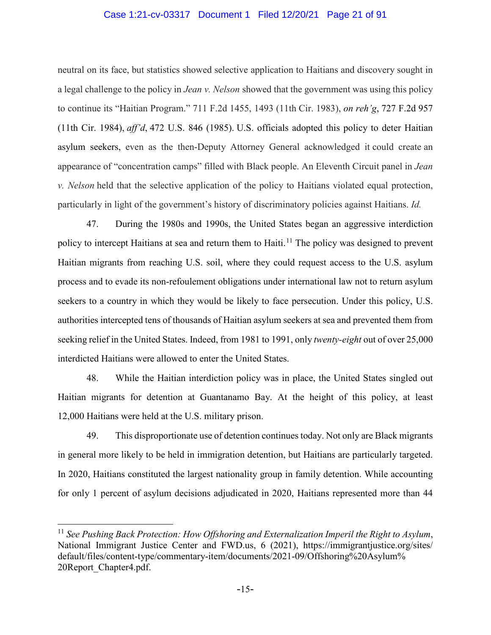#### Case 1:21-cv-03317 Document 1 Filed 12/20/21 Page 21 of 91

neutral on its face, but statistics showed selective application to Haitians and discovery sought in a legal challenge to the policy in *Jean v. Nelson* showed that the government was using this policy to continue its "Haitian Program." 711 F.2d 1455, 1493 (11th Cir. 1983), *on reh'g*, 727 F.2d 957 (11th Cir. 1984), *aff'd*, 472 U.S. 846 (1985). U.S. officials adopted this policy to deter Haitian asylum seekers, even as the then-Deputy Attorney General acknowledged it could create an appearance of "concentration camps" filled with Black people. An Eleventh Circuit panel in *Jean v. Nelson* held that the selective application of the policy to Haitians violated equal protection, particularly in light of the government's history of discriminatory policies against Haitians. *Id.*

47. During the 1980s and 1990s, the United States began an aggressive interdiction policy to intercept Haitians at sea and return them to Haiti.<sup>[11](#page-20-0)</sup> The policy was designed to prevent Haitian migrants from reaching U.S. soil, where they could request access to the U.S. asylum process and to evade its non-refoulement obligations under international law not to return asylum seekers to a country in which they would be likely to face persecution. Under this policy, U.S. authorities intercepted tens of thousands of Haitian asylum seekers at sea and prevented them from seeking relief in the United States. Indeed, from 1981 to 1991, only *twenty-eight* out of over 25,000 interdicted Haitians were allowed to enter the United States.

48. While the Haitian interdiction policy was in place, the United States singled out Haitian migrants for detention at Guantanamo Bay. At the height of this policy, at least 12,000 Haitians were held at the U.S. military prison.

49. This disproportionate use of detention continues today. Not only are Black migrants in general more likely to be held in immigration detention, but Haitians are particularly targeted. In 2020, Haitians constituted the largest nationality group in family detention. While accounting for only 1 percent of asylum decisions adjudicated in 2020, Haitians represented more than 44

<span id="page-20-0"></span> <sup>11</sup> *See Pushing Back Protection: How Offshoring and Externalization Imperil the Right to Asylum*, National Immigrant Justice Center and FWD.us, 6 (2021), https://immigrantjustice.org/sites/ default/files/content-type/commentary-item/documents/2021-09/Offshoring%20Asylum% 20Report\_Chapter4.pdf.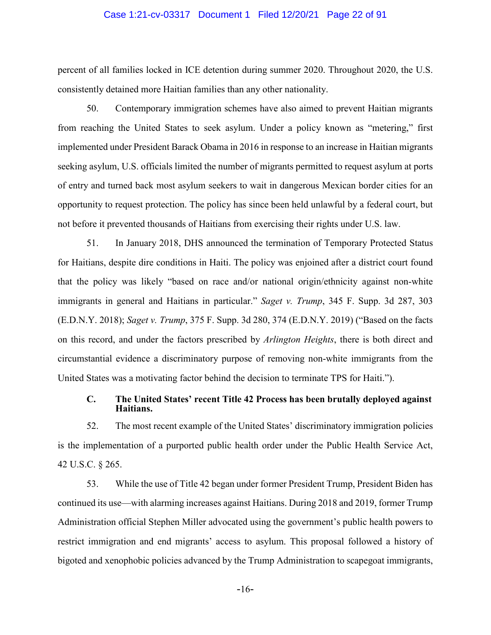#### Case 1:21-cv-03317 Document 1 Filed 12/20/21 Page 22 of 91

percent of all families locked in ICE detention during summer 2020. Throughout 2020, the U.S. consistently detained more Haitian families than any other nationality.

50. Contemporary immigration schemes have also aimed to prevent Haitian migrants from reaching the United States to seek asylum. Under a policy known as "metering," first implemented under President Barack Obama in 2016 in response to an increase in Haitian migrants seeking asylum, U.S. officials limited the number of migrants permitted to request asylum at ports of entry and turned back most asylum seekers to wait in dangerous Mexican border cities for an opportunity to request protection. The policy has since been held unlawful by a federal court, but not before it prevented thousands of Haitians from exercising their rights under U.S. law.

51. In January 2018, DHS announced the termination of Temporary Protected Status for Haitians, despite dire conditions in Haiti. The policy was enjoined after a district court found that the policy was likely "based on race and/or national origin/ethnicity against non-white immigrants in general and Haitians in particular." *Saget v. Trump*, 345 F. Supp. 3d 287, 303 (E.D.N.Y. 2018); *Saget v. Trump*, 375 F. Supp. 3d 280, 374 (E.D.N.Y. 2019) ("Based on the facts on this record, and under the factors prescribed by *Arlington Heights*, there is both direct and circumstantial evidence a discriminatory purpose of removing non-white immigrants from the United States was a motivating factor behind the decision to terminate TPS for Haiti.").

### **C. The United States' recent Title 42 Process has been brutally deployed against Haitians.**

52. The most recent example of the United States' discriminatory immigration policies is the implementation of a purported public health order under the Public Health Service Act, 42 U.S.C. § 265.

53. While the use of Title 42 began under former President Trump, President Biden has continued its use—with alarming increases against Haitians. During 2018 and 2019, former Trump Administration official Stephen Miller advocated using the government's public health powers to restrict immigration and end migrants' access to asylum. This proposal followed a history of bigoted and xenophobic policies advanced by the Trump Administration to scapegoat immigrants,

-16-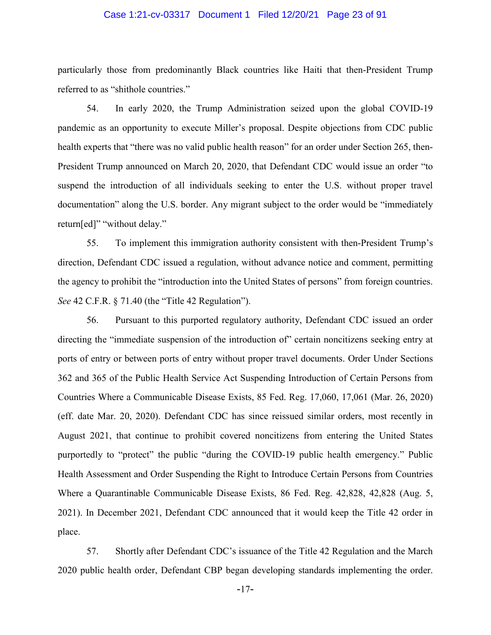#### Case 1:21-cv-03317 Document 1 Filed 12/20/21 Page 23 of 91

particularly those from predominantly Black countries like Haiti that then-President Trump referred to as "shithole countries."

54. In early 2020, the Trump Administration seized upon the global COVID-19 pandemic as an opportunity to execute Miller's proposal. Despite objections from CDC public health experts that "there was no valid public health reason" for an order under Section 265, then-President Trump announced on March 20, 2020, that Defendant CDC would issue an order "to suspend the introduction of all individuals seeking to enter the U.S. without proper travel documentation" along the U.S. border. Any migrant subject to the order would be "immediately return[ed]" "without delay."

55. To implement this immigration authority consistent with then-President Trump's direction, Defendant CDC issued a regulation, without advance notice and comment, permitting the agency to prohibit the "introduction into the United States of persons" from foreign countries. *See* 42 C.F.R. § 71.40 (the "Title 42 Regulation").

56. Pursuant to this purported regulatory authority, Defendant CDC issued an order directing the "immediate suspension of the introduction of" certain noncitizens seeking entry at ports of entry or between ports of entry without proper travel documents. Order Under Sections 362 and 365 of the Public Health Service Act Suspending Introduction of Certain Persons from Countries Where a Communicable Disease Exists, 85 Fed. Reg. 17,060, 17,061 (Mar. 26, 2020) (eff. date Mar. 20, 2020). Defendant CDC has since reissued similar orders, most recently in August 2021, that continue to prohibit covered noncitizens from entering the United States purportedly to "protect" the public "during the COVID-19 public health emergency." Public Health Assessment and Order Suspending the Right to Introduce Certain Persons from Countries Where a Quarantinable Communicable Disease Exists, 86 Fed. Reg. 42,828, 42,828 (Aug. 5, 2021). In December 2021, Defendant CDC announced that it would keep the Title 42 order in place.

57. Shortly after Defendant CDC's issuance of the Title 42 Regulation and the March 2020 public health order, Defendant CBP began developing standards implementing the order.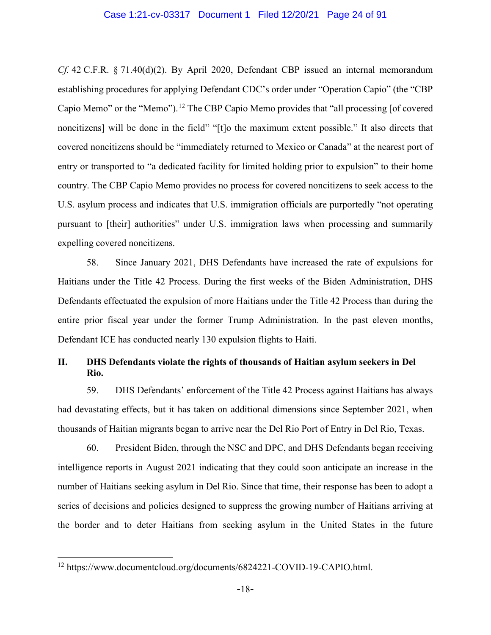#### Case 1:21-cv-03317 Document 1 Filed 12/20/21 Page 24 of 91

*Cf.* 42 C.F.R. § 71.40(d)(2). By April 2020, Defendant CBP issued an internal memorandum establishing procedures for applying Defendant CDC's order under "Operation Capio" (the "CBP Capio Memo" or the "Memo").[12](#page-23-0) The CBP Capio Memo provides that "all processing [of covered noncitizens] will be done in the field" "[t]o the maximum extent possible." It also directs that covered noncitizens should be "immediately returned to Mexico or Canada" at the nearest port of entry or transported to "a dedicated facility for limited holding prior to expulsion" to their home country. The CBP Capio Memo provides no process for covered noncitizens to seek access to the U.S. asylum process and indicates that U.S. immigration officials are purportedly "not operating pursuant to [their] authorities" under U.S. immigration laws when processing and summarily expelling covered noncitizens.

58. Since January 2021, DHS Defendants have increased the rate of expulsions for Haitians under the Title 42 Process. During the first weeks of the Biden Administration, DHS Defendants effectuated the expulsion of more Haitians under the Title 42 Process than during the entire prior fiscal year under the former Trump Administration. In the past eleven months, Defendant ICE has conducted nearly 130 expulsion flights to Haiti.

# **II. DHS Defendants violate the rights of thousands of Haitian asylum seekers in Del Rio.**

59. DHS Defendants' enforcement of the Title 42 Process against Haitians has always had devastating effects, but it has taken on additional dimensions since September 2021, when thousands of Haitian migrants began to arrive near the Del Rio Port of Entry in Del Rio, Texas.

60. President Biden, through the NSC and DPC, and DHS Defendants began receiving intelligence reports in August 2021 indicating that they could soon anticipate an increase in the number of Haitians seeking asylum in Del Rio. Since that time, their response has been to adopt a series of decisions and policies designed to suppress the growing number of Haitians arriving at the border and to deter Haitians from seeking asylum in the United States in the future

<span id="page-23-0"></span> <sup>12</sup> https://www.documentcloud.org/documents/6824221-COVID-19-CAPIO.html.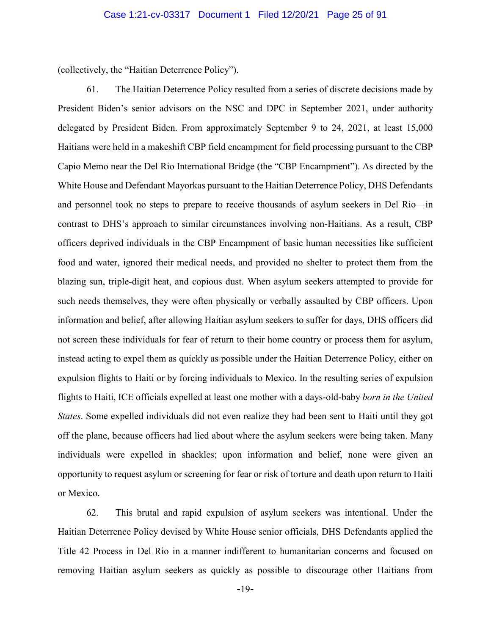(collectively, the "Haitian Deterrence Policy").

61. The Haitian Deterrence Policy resulted from a series of discrete decisions made by President Biden's senior advisors on the NSC and DPC in September 2021, under authority delegated by President Biden. From approximately September 9 to 24, 2021, at least 15,000 Haitians were held in a makeshift CBP field encampment for field processing pursuant to the CBP Capio Memo near the Del Rio International Bridge (the "CBP Encampment"). As directed by the White House and Defendant Mayorkas pursuant to the Haitian Deterrence Policy, DHS Defendants and personnel took no steps to prepare to receive thousands of asylum seekers in Del Rio—in contrast to DHS's approach to similar circumstances involving non-Haitians. As a result, CBP officers deprived individuals in the CBP Encampment of basic human necessities like sufficient food and water, ignored their medical needs, and provided no shelter to protect them from the blazing sun, triple-digit heat, and copious dust. When asylum seekers attempted to provide for such needs themselves, they were often physically or verbally assaulted by CBP officers. Upon information and belief, after allowing Haitian asylum seekers to suffer for days, DHS officers did not screen these individuals for fear of return to their home country or process them for asylum, instead acting to expel them as quickly as possible under the Haitian Deterrence Policy, either on expulsion flights to Haiti or by forcing individuals to Mexico. In the resulting series of expulsion flights to Haiti, ICE officials expelled at least one mother with a days-old-baby *born in the United States*. Some expelled individuals did not even realize they had been sent to Haiti until they got off the plane, because officers had lied about where the asylum seekers were being taken. Many individuals were expelled in shackles; upon information and belief, none were given an opportunity to request asylum or screening for fear or risk of torture and death upon return to Haiti or Mexico.

62. This brutal and rapid expulsion of asylum seekers was intentional. Under the Haitian Deterrence Policy devised by White House senior officials, DHS Defendants applied the Title 42 Process in Del Rio in a manner indifferent to humanitarian concerns and focused on removing Haitian asylum seekers as quickly as possible to discourage other Haitians from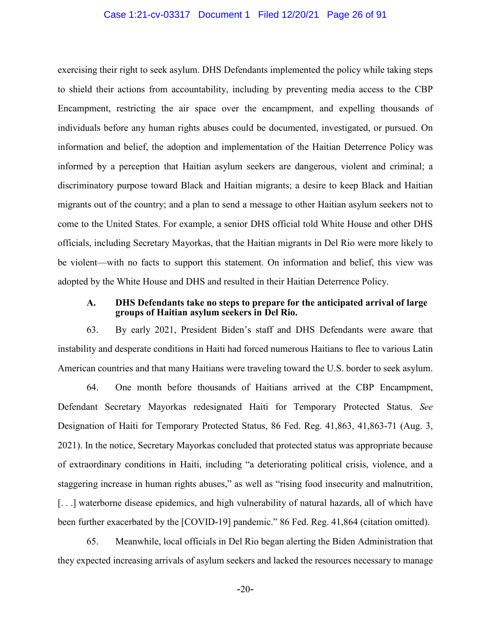#### Case 1:21-cv-03317 Document 1 Filed 12/20/21 Page 26 of 91

exercising their right to seek asylum. DHS Defendants implemented the policy while taking steps to shield their actions from accountability, including by preventing media access to the CBP Encampment, restricting the air space over the encampment, and expelling thousands of individuals before any human rights abuses could be documented, investigated, or pursued. On information and belief, the adoption and implementation of the Haitian Deterrence Policy was informed by a perception that Haitian asylum seekers are dangerous, violent and criminal; a discriminatory purpose toward Black and Haitian migrants; a desire to keep Black and Haitian migrants out of the country; and a plan to send a message to other Haitian asylum seekers not to come to the United States. For example, a senior DHS official told White House and other DHS officials, including Secretary Mayorkas, that the Haitian migrants in Del Rio were more likely to be violent—with no facts to support this statement. On information and belief, this view was adopted by the White House and DHS and resulted in their Haitian Deterrence Policy.

#### **A. DHS Defendants take no steps to prepare for the anticipated arrival of large groups of Haitian asylum seekers in Del Rio.**

63. By early 2021, President Biden's staff and DHS Defendants were aware that instability and desperate conditions in Haiti had forced numerous Haitians to flee to various Latin American countries and that many Haitians were traveling toward the U.S. border to seek asylum.

64. One month before thousands of Haitians arrived at the CBP Encampment, Defendant Secretary Mayorkas redesignated Haiti for Temporary Protected Status. *See* Designation of Haiti for Temporary Protected Status, 86 Fed. Reg. 41,863, 41,863-71 (Aug. 3, 2021). In the notice, Secretary Mayorkas concluded that protected status was appropriate because of extraordinary conditions in Haiti, including "a deteriorating political crisis, violence, and a staggering increase in human rights abuses," as well as "rising food insecurity and malnutrition, [. . .] waterborne disease epidemics, and high vulnerability of natural hazards, all of which have been further exacerbated by the [COVID-19] pandemic." 86 Fed. Reg. 41,864 (citation omitted).

65. Meanwhile, local officials in Del Rio began alerting the Biden Administration that they expected increasing arrivals of asylum seekers and lacked the resources necessary to manage

-20-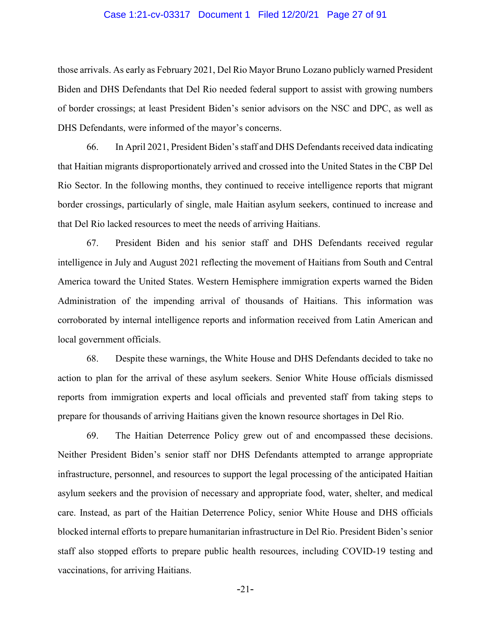#### Case 1:21-cv-03317 Document 1 Filed 12/20/21 Page 27 of 91

those arrivals. As early as February 2021, Del Rio Mayor Bruno Lozano publicly warned President Biden and DHS Defendants that Del Rio needed federal support to assist with growing numbers of border crossings; at least President Biden's senior advisors on the NSC and DPC, as well as DHS Defendants, were informed of the mayor's concerns.

66. In April 2021, President Biden's staff and DHS Defendants received data indicating that Haitian migrants disproportionately arrived and crossed into the United States in the CBP Del Rio Sector. In the following months, they continued to receive intelligence reports that migrant border crossings, particularly of single, male Haitian asylum seekers, continued to increase and that Del Rio lacked resources to meet the needs of arriving Haitians.

67. President Biden and his senior staff and DHS Defendants received regular intelligence in July and August 2021 reflecting the movement of Haitians from South and Central America toward the United States. Western Hemisphere immigration experts warned the Biden Administration of the impending arrival of thousands of Haitians. This information was corroborated by internal intelligence reports and information received from Latin American and local government officials.

68. Despite these warnings, the White House and DHS Defendants decided to take no action to plan for the arrival of these asylum seekers. Senior White House officials dismissed reports from immigration experts and local officials and prevented staff from taking steps to prepare for thousands of arriving Haitians given the known resource shortages in Del Rio.

69. The Haitian Deterrence Policy grew out of and encompassed these decisions. Neither President Biden's senior staff nor DHS Defendants attempted to arrange appropriate infrastructure, personnel, and resources to support the legal processing of the anticipated Haitian asylum seekers and the provision of necessary and appropriate food, water, shelter, and medical care. Instead, as part of the Haitian Deterrence Policy, senior White House and DHS officials blocked internal efforts to prepare humanitarian infrastructure in Del Rio. President Biden's senior staff also stopped efforts to prepare public health resources, including COVID-19 testing and vaccinations, for arriving Haitians.

-21-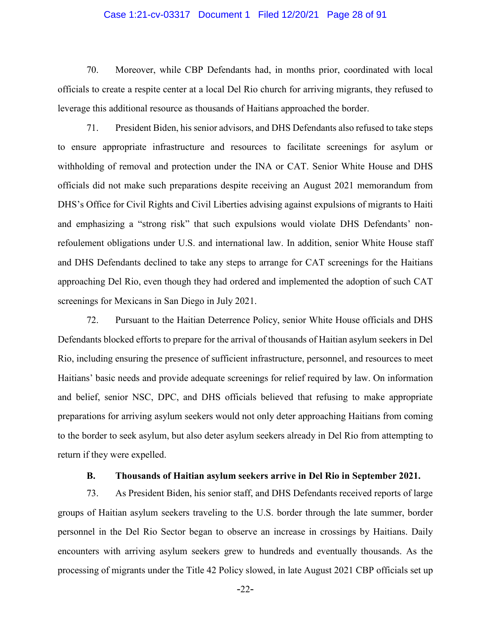#### Case 1:21-cv-03317 Document 1 Filed 12/20/21 Page 28 of 91

70. Moreover, while CBP Defendants had, in months prior, coordinated with local officials to create a respite center at a local Del Rio church for arriving migrants, they refused to leverage this additional resource as thousands of Haitians approached the border.

71. President Biden, his senior advisors, and DHS Defendants also refused to take steps to ensure appropriate infrastructure and resources to facilitate screenings for asylum or withholding of removal and protection under the INA or CAT. Senior White House and DHS officials did not make such preparations despite receiving an August 2021 memorandum from DHS's Office for Civil Rights and Civil Liberties advising against expulsions of migrants to Haiti and emphasizing a "strong risk" that such expulsions would violate DHS Defendants' nonrefoulement obligations under U.S. and international law. In addition, senior White House staff and DHS Defendants declined to take any steps to arrange for CAT screenings for the Haitians approaching Del Rio, even though they had ordered and implemented the adoption of such CAT screenings for Mexicans in San Diego in July 2021.

72. Pursuant to the Haitian Deterrence Policy, senior White House officials and DHS Defendants blocked efforts to prepare for the arrival of thousands of Haitian asylum seekers in Del Rio, including ensuring the presence of sufficient infrastructure, personnel, and resources to meet Haitians' basic needs and provide adequate screenings for relief required by law. On information and belief, senior NSC, DPC, and DHS officials believed that refusing to make appropriate preparations for arriving asylum seekers would not only deter approaching Haitians from coming to the border to seek asylum, but also deter asylum seekers already in Del Rio from attempting to return if they were expelled.

### **B. Thousands of Haitian asylum seekers arrive in Del Rio in September 2021.**

73. As President Biden, his senior staff, and DHS Defendants received reports of large groups of Haitian asylum seekers traveling to the U.S. border through the late summer, border personnel in the Del Rio Sector began to observe an increase in crossings by Haitians. Daily encounters with arriving asylum seekers grew to hundreds and eventually thousands. As the processing of migrants under the Title 42 Policy slowed, in late August 2021 CBP officials set up

-22-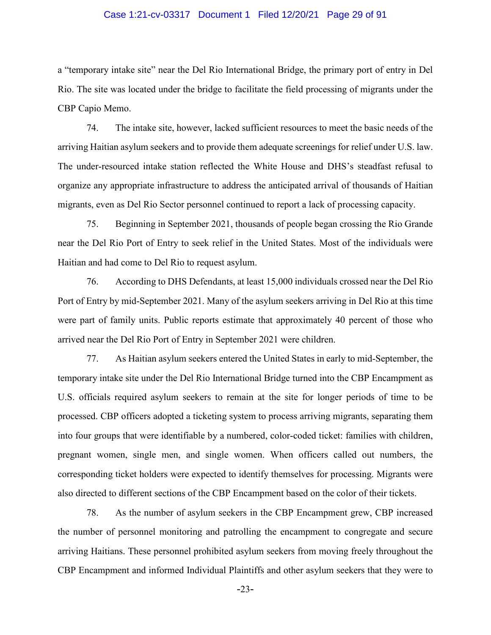#### Case 1:21-cv-03317 Document 1 Filed 12/20/21 Page 29 of 91

a "temporary intake site" near the Del Rio International Bridge, the primary port of entry in Del Rio. The site was located under the bridge to facilitate the field processing of migrants under the CBP Capio Memo.

74. The intake site, however, lacked sufficient resources to meet the basic needs of the arriving Haitian asylum seekers and to provide them adequate screenings for relief under U.S. law. The under-resourced intake station reflected the White House and DHS's steadfast refusal to organize any appropriate infrastructure to address the anticipated arrival of thousands of Haitian migrants, even as Del Rio Sector personnel continued to report a lack of processing capacity.

75. Beginning in September 2021, thousands of people began crossing the Rio Grande near the Del Rio Port of Entry to seek relief in the United States. Most of the individuals were Haitian and had come to Del Rio to request asylum.

76. According to DHS Defendants, at least 15,000 individuals crossed near the Del Rio Port of Entry by mid-September 2021. Many of the asylum seekers arriving in Del Rio at this time were part of family units. Public reports estimate that approximately 40 percent of those who arrived near the Del Rio Port of Entry in September 2021 were children.

77. As Haitian asylum seekers entered the United States in early to mid-September, the temporary intake site under the Del Rio International Bridge turned into the CBP Encampment as U.S. officials required asylum seekers to remain at the site for longer periods of time to be processed. CBP officers adopted a ticketing system to process arriving migrants, separating them into four groups that were identifiable by a numbered, color-coded ticket: families with children, pregnant women, single men, and single women. When officers called out numbers, the corresponding ticket holders were expected to identify themselves for processing. Migrants were also directed to different sections of the CBP Encampment based on the color of their tickets.

78. As the number of asylum seekers in the CBP Encampment grew, CBP increased the number of personnel monitoring and patrolling the encampment to congregate and secure arriving Haitians. These personnel prohibited asylum seekers from moving freely throughout the CBP Encampment and informed Individual Plaintiffs and other asylum seekers that they were to

-23-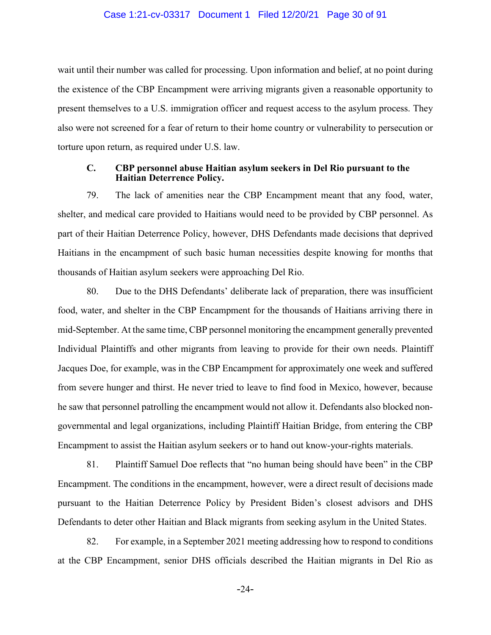#### Case 1:21-cv-03317 Document 1 Filed 12/20/21 Page 30 of 91

wait until their number was called for processing. Upon information and belief, at no point during the existence of the CBP Encampment were arriving migrants given a reasonable opportunity to present themselves to a U.S. immigration officer and request access to the asylum process. They also were not screened for a fear of return to their home country or vulnerability to persecution or torture upon return, as required under U.S. law.

#### **C. CBP personnel abuse Haitian asylum seekers in Del Rio pursuant to the Haitian Deterrence Policy.**

79. The lack of amenities near the CBP Encampment meant that any food, water, shelter, and medical care provided to Haitians would need to be provided by CBP personnel. As part of their Haitian Deterrence Policy, however, DHS Defendants made decisions that deprived Haitians in the encampment of such basic human necessities despite knowing for months that thousands of Haitian asylum seekers were approaching Del Rio.

80. Due to the DHS Defendants' deliberate lack of preparation, there was insufficient food, water, and shelter in the CBP Encampment for the thousands of Haitians arriving there in mid-September. At the same time, CBP personnel monitoring the encampment generally prevented Individual Plaintiffs and other migrants from leaving to provide for their own needs. Plaintiff Jacques Doe, for example, was in the CBP Encampment for approximately one week and suffered from severe hunger and thirst. He never tried to leave to find food in Mexico, however, because he saw that personnel patrolling the encampment would not allow it. Defendants also blocked nongovernmental and legal organizations, including Plaintiff Haitian Bridge, from entering the CBP Encampment to assist the Haitian asylum seekers or to hand out know-your-rights materials.

81. Plaintiff Samuel Doe reflects that "no human being should have been" in the CBP Encampment. The conditions in the encampment, however, were a direct result of decisions made pursuant to the Haitian Deterrence Policy by President Biden's closest advisors and DHS Defendants to deter other Haitian and Black migrants from seeking asylum in the United States.

82. For example, in a September 2021 meeting addressing how to respond to conditions at the CBP Encampment, senior DHS officials described the Haitian migrants in Del Rio as

-24-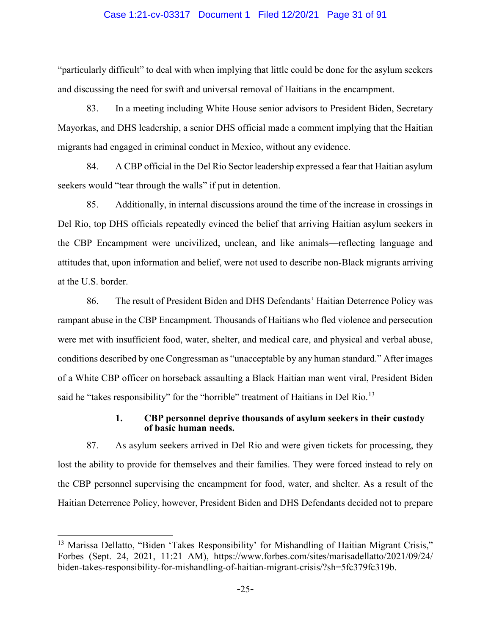#### Case 1:21-cv-03317 Document 1 Filed 12/20/21 Page 31 of 91

"particularly difficult" to deal with when implying that little could be done for the asylum seekers and discussing the need for swift and universal removal of Haitians in the encampment.

83. In a meeting including White House senior advisors to President Biden, Secretary Mayorkas, and DHS leadership, a senior DHS official made a comment implying that the Haitian migrants had engaged in criminal conduct in Mexico, without any evidence.

84. A CBP official in the Del Rio Sector leadership expressed a fear that Haitian asylum seekers would "tear through the walls" if put in detention.

85. Additionally, in internal discussions around the time of the increase in crossings in Del Rio, top DHS officials repeatedly evinced the belief that arriving Haitian asylum seekers in the CBP Encampment were uncivilized, unclean, and like animals—reflecting language and attitudes that, upon information and belief, were not used to describe non-Black migrants arriving at the U.S. border.

86. The result of President Biden and DHS Defendants' Haitian Deterrence Policy was rampant abuse in the CBP Encampment. Thousands of Haitians who fled violence and persecution were met with insufficient food, water, shelter, and medical care, and physical and verbal abuse, conditions described by one Congressman as "unacceptable by any human standard." After images of a White CBP officer on horseback assaulting a Black Haitian man went viral, President Biden said he "takes responsibility" for the "horrible" treatment of Haitians in Del Rio.<sup>[13](#page-30-0)</sup>

#### **1. CBP personnel deprive thousands of asylum seekers in their custody of basic human needs.**

87. As asylum seekers arrived in Del Rio and were given tickets for processing, they lost the ability to provide for themselves and their families. They were forced instead to rely on the CBP personnel supervising the encampment for food, water, and shelter. As a result of the Haitian Deterrence Policy, however, President Biden and DHS Defendants decided not to prepare

<span id="page-30-0"></span><sup>&</sup>lt;sup>13</sup> Marissa Dellatto, "Biden 'Takes Responsibility' for Mishandling of Haitian Migrant Crisis," Forbes (Sept. 24, 2021, 11:21 AM), https://www.forbes.com/sites/marisadellatto/2021/09/24/ biden-takes-responsibility-for-mishandling-of-haitian-migrant-crisis/?sh=5fc379fc319b.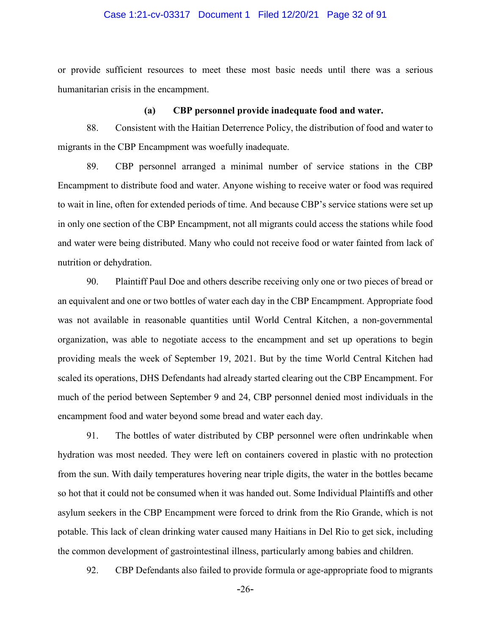#### Case 1:21-cv-03317 Document 1 Filed 12/20/21 Page 32 of 91

or provide sufficient resources to meet these most basic needs until there was a serious humanitarian crisis in the encampment.

#### **(a) CBP personnel provide inadequate food and water.**

88. Consistent with the Haitian Deterrence Policy, the distribution of food and water to migrants in the CBP Encampment was woefully inadequate.

89. CBP personnel arranged a minimal number of service stations in the CBP Encampment to distribute food and water. Anyone wishing to receive water or food was required to wait in line, often for extended periods of time. And because CBP's service stations were set up in only one section of the CBP Encampment, not all migrants could access the stations while food and water were being distributed. Many who could not receive food or water fainted from lack of nutrition or dehydration.

90. Plaintiff Paul Doe and others describe receiving only one or two pieces of bread or an equivalent and one or two bottles of water each day in the CBP Encampment. Appropriate food was not available in reasonable quantities until World Central Kitchen, a non-governmental organization, was able to negotiate access to the encampment and set up operations to begin providing meals the week of September 19, 2021. But by the time World Central Kitchen had scaled its operations, DHS Defendants had already started clearing out the CBP Encampment. For much of the period between September 9 and 24, CBP personnel denied most individuals in the encampment food and water beyond some bread and water each day.

91. The bottles of water distributed by CBP personnel were often undrinkable when hydration was most needed. They were left on containers covered in plastic with no protection from the sun. With daily temperatures hovering near triple digits, the water in the bottles became so hot that it could not be consumed when it was handed out. Some Individual Plaintiffs and other asylum seekers in the CBP Encampment were forced to drink from the Rio Grande, which is not potable. This lack of clean drinking water caused many Haitians in Del Rio to get sick, including the common development of gastrointestinal illness, particularly among babies and children.

92. CBP Defendants also failed to provide formula or age-appropriate food to migrants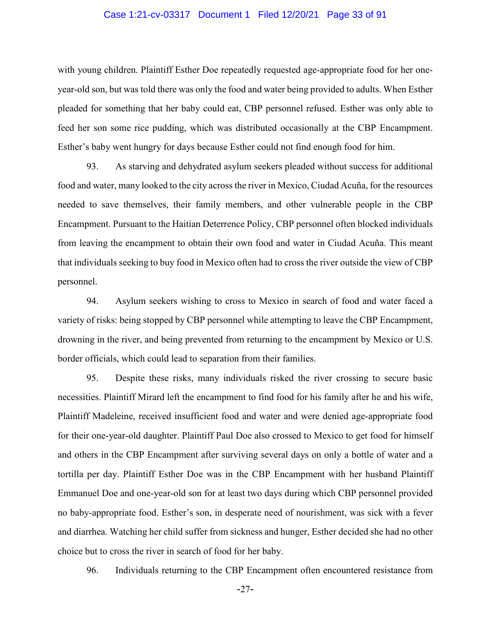#### Case 1:21-cv-03317 Document 1 Filed 12/20/21 Page 33 of 91

with young children. Plaintiff Esther Doe repeatedly requested age-appropriate food for her oneyear-old son, but was told there was only the food and water being provided to adults. When Esther pleaded for something that her baby could eat, CBP personnel refused. Esther was only able to feed her son some rice pudding, which was distributed occasionally at the CBP Encampment. Esther's baby went hungry for days because Esther could not find enough food for him.

93. As starving and dehydrated asylum seekers pleaded without success for additional food and water, many looked to the city across the river in Mexico, Ciudad Acuña, for the resources needed to save themselves, their family members, and other vulnerable people in the CBP Encampment. Pursuant to the Haitian Deterrence Policy, CBP personnel often blocked individuals from leaving the encampment to obtain their own food and water in Ciudad Acuña. This meant that individuals seeking to buy food in Mexico often had to cross the river outside the view of CBP personnel.

94. Asylum seekers wishing to cross to Mexico in search of food and water faced a variety of risks: being stopped by CBP personnel while attempting to leave the CBP Encampment, drowning in the river, and being prevented from returning to the encampment by Mexico or U.S. border officials, which could lead to separation from their families.

95. Despite these risks, many individuals risked the river crossing to secure basic necessities. Plaintiff Mirard left the encampment to find food for his family after he and his wife, Plaintiff Madeleine, received insufficient food and water and were denied age-appropriate food for their one-year-old daughter. Plaintiff Paul Doe also crossed to Mexico to get food for himself and others in the CBP Encampment after surviving several days on only a bottle of water and a tortilla per day. Plaintiff Esther Doe was in the CBP Encampment with her husband Plaintiff Emmanuel Doe and one-year-old son for at least two days during which CBP personnel provided no baby-appropriate food. Esther's son, in desperate need of nourishment, was sick with a fever and diarrhea. Watching her child suffer from sickness and hunger, Esther decided she had no other choice but to cross the river in search of food for her baby.

96. Individuals returning to the CBP Encampment often encountered resistance from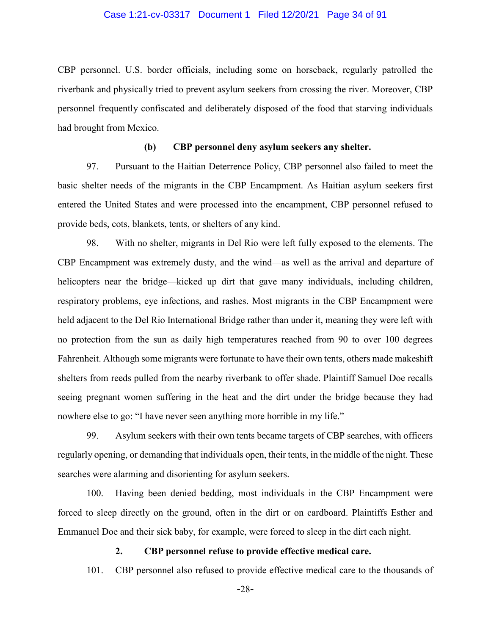#### Case 1:21-cv-03317 Document 1 Filed 12/20/21 Page 34 of 91

CBP personnel. U.S. border officials, including some on horseback, regularly patrolled the riverbank and physically tried to prevent asylum seekers from crossing the river. Moreover, CBP personnel frequently confiscated and deliberately disposed of the food that starving individuals had brought from Mexico.

#### **(b) CBP personnel deny asylum seekers any shelter.**

97. Pursuant to the Haitian Deterrence Policy, CBP personnel also failed to meet the basic shelter needs of the migrants in the CBP Encampment. As Haitian asylum seekers first entered the United States and were processed into the encampment, CBP personnel refused to provide beds, cots, blankets, tents, or shelters of any kind.

98. With no shelter, migrants in Del Rio were left fully exposed to the elements. The CBP Encampment was extremely dusty, and the wind—as well as the arrival and departure of helicopters near the bridge—kicked up dirt that gave many individuals, including children, respiratory problems, eye infections, and rashes. Most migrants in the CBP Encampment were held adjacent to the Del Rio International Bridge rather than under it, meaning they were left with no protection from the sun as daily high temperatures reached from 90 to over 100 degrees Fahrenheit. Although some migrants were fortunate to have their own tents, others made makeshift shelters from reeds pulled from the nearby riverbank to offer shade. Plaintiff Samuel Doe recalls seeing pregnant women suffering in the heat and the dirt under the bridge because they had nowhere else to go: "I have never seen anything more horrible in my life."

99. Asylum seekers with their own tents became targets of CBP searches, with officers regularly opening, or demanding that individuals open, their tents, in the middle of the night. These searches were alarming and disorienting for asylum seekers.

100. Having been denied bedding, most individuals in the CBP Encampment were forced to sleep directly on the ground, often in the dirt or on cardboard. Plaintiffs Esther and Emmanuel Doe and their sick baby, for example, were forced to sleep in the dirt each night.

#### **2. CBP personnel refuse to provide effective medical care.**

101. CBP personnel also refused to provide effective medical care to the thousands of

-28-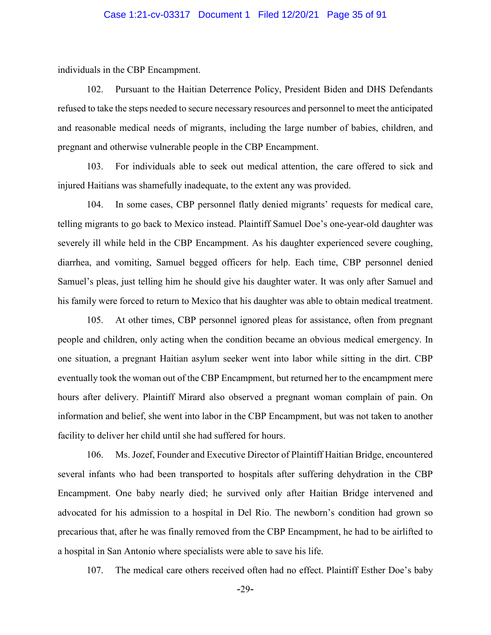#### Case 1:21-cv-03317 Document 1 Filed 12/20/21 Page 35 of 91

individuals in the CBP Encampment.

102. Pursuant to the Haitian Deterrence Policy, President Biden and DHS Defendants refused to take the steps needed to secure necessary resources and personnel to meet the anticipated and reasonable medical needs of migrants, including the large number of babies, children, and pregnant and otherwise vulnerable people in the CBP Encampment.

103. For individuals able to seek out medical attention, the care offered to sick and injured Haitians was shamefully inadequate, to the extent any was provided.

104. In some cases, CBP personnel flatly denied migrants' requests for medical care, telling migrants to go back to Mexico instead. Plaintiff Samuel Doe's one-year-old daughter was severely ill while held in the CBP Encampment. As his daughter experienced severe coughing, diarrhea, and vomiting, Samuel begged officers for help. Each time, CBP personnel denied Samuel's pleas, just telling him he should give his daughter water. It was only after Samuel and his family were forced to return to Mexico that his daughter was able to obtain medical treatment.

105. At other times, CBP personnel ignored pleas for assistance, often from pregnant people and children, only acting when the condition became an obvious medical emergency. In one situation, a pregnant Haitian asylum seeker went into labor while sitting in the dirt. CBP eventually took the woman out of the CBP Encampment, but returned her to the encampment mere hours after delivery. Plaintiff Mirard also observed a pregnant woman complain of pain. On information and belief, she went into labor in the CBP Encampment, but was not taken to another facility to deliver her child until she had suffered for hours.

106. Ms. Jozef, Founder and Executive Director of Plaintiff Haitian Bridge, encountered several infants who had been transported to hospitals after suffering dehydration in the CBP Encampment. One baby nearly died; he survived only after Haitian Bridge intervened and advocated for his admission to a hospital in Del Rio. The newborn's condition had grown so precarious that, after he was finally removed from the CBP Encampment, he had to be airlifted to a hospital in San Antonio where specialists were able to save his life.

107. The medical care others received often had no effect. Plaintiff Esther Doe's baby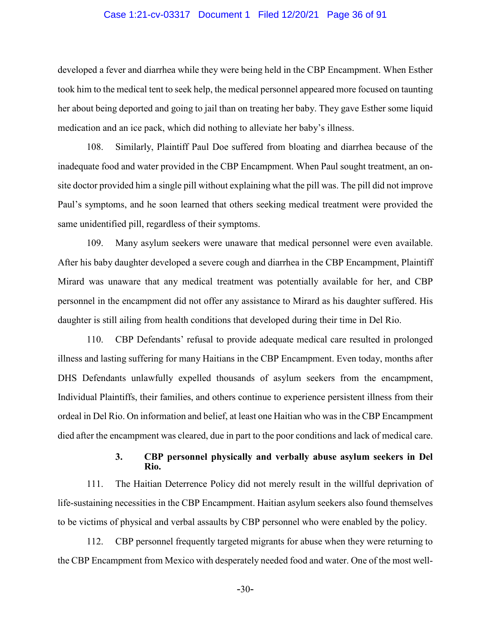#### Case 1:21-cv-03317 Document 1 Filed 12/20/21 Page 36 of 91

developed a fever and diarrhea while they were being held in the CBP Encampment. When Esther took him to the medical tent to seek help, the medical personnel appeared more focused on taunting her about being deported and going to jail than on treating her baby. They gave Esther some liquid medication and an ice pack, which did nothing to alleviate her baby's illness.

108. Similarly, Plaintiff Paul Doe suffered from bloating and diarrhea because of the inadequate food and water provided in the CBP Encampment. When Paul sought treatment, an onsite doctor provided him a single pill without explaining what the pill was. The pill did not improve Paul's symptoms, and he soon learned that others seeking medical treatment were provided the same unidentified pill, regardless of their symptoms.

109. Many asylum seekers were unaware that medical personnel were even available. After his baby daughter developed a severe cough and diarrhea in the CBP Encampment, Plaintiff Mirard was unaware that any medical treatment was potentially available for her, and CBP personnel in the encampment did not offer any assistance to Mirard as his daughter suffered. His daughter is still ailing from health conditions that developed during their time in Del Rio.

110. CBP Defendants' refusal to provide adequate medical care resulted in prolonged illness and lasting suffering for many Haitians in the CBP Encampment. Even today, months after DHS Defendants unlawfully expelled thousands of asylum seekers from the encampment, Individual Plaintiffs, their families, and others continue to experience persistent illness from their ordeal in Del Rio. On information and belief, at least one Haitian who was in the CBP Encampment died after the encampment was cleared, due in part to the poor conditions and lack of medical care.

### **3. CBP personnel physically and verbally abuse asylum seekers in Del Rio.**

111. The Haitian Deterrence Policy did not merely result in the willful deprivation of life-sustaining necessities in the CBP Encampment. Haitian asylum seekers also found themselves to be victims of physical and verbal assaults by CBP personnel who were enabled by the policy.

112. CBP personnel frequently targeted migrants for abuse when they were returning to the CBP Encampment from Mexico with desperately needed food and water. One of the most well-

-30-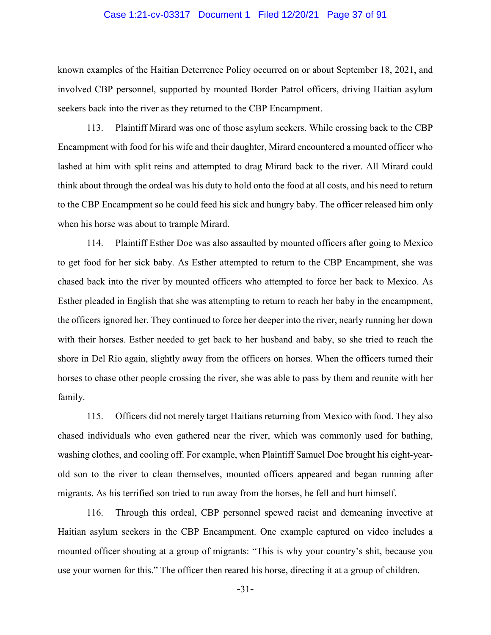#### Case 1:21-cv-03317 Document 1 Filed 12/20/21 Page 37 of 91

known examples of the Haitian Deterrence Policy occurred on or about September 18, 2021, and involved CBP personnel, supported by mounted Border Patrol officers, driving Haitian asylum seekers back into the river as they returned to the CBP Encampment.

113. Plaintiff Mirard was one of those asylum seekers. While crossing back to the CBP Encampment with food for his wife and their daughter, Mirard encountered a mounted officer who lashed at him with split reins and attempted to drag Mirard back to the river. All Mirard could think about through the ordeal was his duty to hold onto the food at all costs, and his need to return to the CBP Encampment so he could feed his sick and hungry baby. The officer released him only when his horse was about to trample Mirard.

114. Plaintiff Esther Doe was also assaulted by mounted officers after going to Mexico to get food for her sick baby. As Esther attempted to return to the CBP Encampment, she was chased back into the river by mounted officers who attempted to force her back to Mexico. As Esther pleaded in English that she was attempting to return to reach her baby in the encampment, the officers ignored her. They continued to force her deeper into the river, nearly running her down with their horses. Esther needed to get back to her husband and baby, so she tried to reach the shore in Del Rio again, slightly away from the officers on horses. When the officers turned their horses to chase other people crossing the river, she was able to pass by them and reunite with her family.

115. Officers did not merely target Haitians returning from Mexico with food. They also chased individuals who even gathered near the river, which was commonly used for bathing, washing clothes, and cooling off. For example, when Plaintiff Samuel Doe brought his eight-yearold son to the river to clean themselves, mounted officers appeared and began running after migrants. As his terrified son tried to run away from the horses, he fell and hurt himself.

116. Through this ordeal, CBP personnel spewed racist and demeaning invective at Haitian asylum seekers in the CBP Encampment. One example captured on video includes a mounted officer shouting at a group of migrants: "This is why your country's shit, because you use your women for this." The officer then reared his horse, directing it at a group of children.

-31-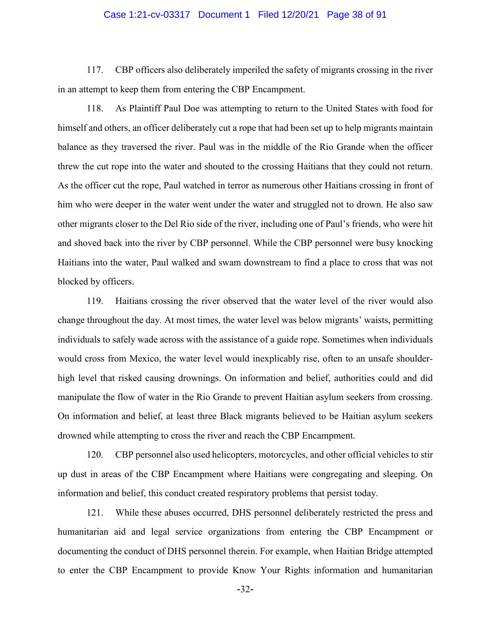#### Case 1:21-cv-03317 Document 1 Filed 12/20/21 Page 38 of 91

117. CBP officers also deliberately imperiled the safety of migrants crossing in the river in an attempt to keep them from entering the CBP Encampment.

118. As Plaintiff Paul Doe was attempting to return to the United States with food for himself and others, an officer deliberately cut a rope that had been set up to help migrants maintain balance as they traversed the river. Paul was in the middle of the Rio Grande when the officer threw the cut rope into the water and shouted to the crossing Haitians that they could not return. As the officer cut the rope, Paul watched in terror as numerous other Haitians crossing in front of him who were deeper in the water went under the water and struggled not to drown. He also saw other migrants closer to the Del Rio side of the river, including one of Paul's friends, who were hit and shoved back into the river by CBP personnel. While the CBP personnel were busy knocking Haitians into the water, Paul walked and swam downstream to find a place to cross that was not blocked by officers.

119. Haitians crossing the river observed that the water level of the river would also change throughout the day. At most times, the water level was below migrants' waists, permitting individuals to safely wade across with the assistance of a guide rope. Sometimes when individuals would cross from Mexico, the water level would inexplicably rise, often to an unsafe shoulderhigh level that risked causing drownings. On information and belief, authorities could and did manipulate the flow of water in the Rio Grande to prevent Haitian asylum seekers from crossing. On information and belief, at least three Black migrants believed to be Haitian asylum seekers drowned while attempting to cross the river and reach the CBP Encampment.

120. CBP personnel also used helicopters, motorcycles, and other official vehicles to stir up dust in areas of the CBP Encampment where Haitians were congregating and sleeping. On information and belief, this conduct created respiratory problems that persist today.

121. While these abuses occurred, DHS personnel deliberately restricted the press and humanitarian aid and legal service organizations from entering the CBP Encampment or documenting the conduct of DHS personnel therein. For example, when Haitian Bridge attempted to enter the CBP Encampment to provide Know Your Rights information and humanitarian

-32-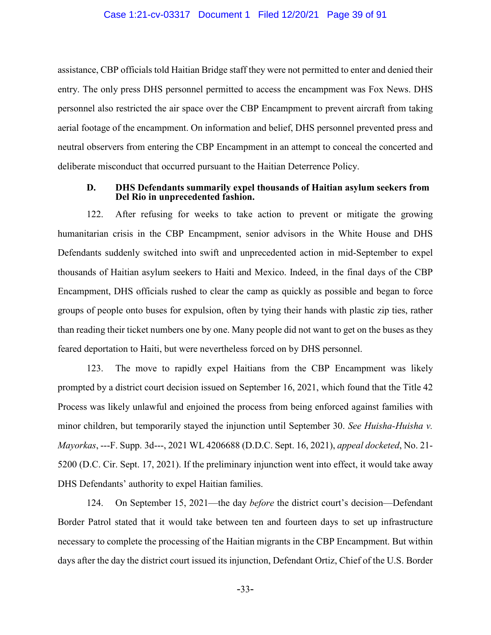assistance, CBP officials told Haitian Bridge staff they were not permitted to enter and denied their entry. The only press DHS personnel permitted to access the encampment was Fox News. DHS personnel also restricted the air space over the CBP Encampment to prevent aircraft from taking aerial footage of the encampment. On information and belief, DHS personnel prevented press and neutral observers from entering the CBP Encampment in an attempt to conceal the concerted and deliberate misconduct that occurred pursuant to the Haitian Deterrence Policy.

#### **D. DHS Defendants summarily expel thousands of Haitian asylum seekers from Del Rio in unprecedented fashion.**

122. After refusing for weeks to take action to prevent or mitigate the growing humanitarian crisis in the CBP Encampment, senior advisors in the White House and DHS Defendants suddenly switched into swift and unprecedented action in mid-September to expel thousands of Haitian asylum seekers to Haiti and Mexico. Indeed, in the final days of the CBP Encampment, DHS officials rushed to clear the camp as quickly as possible and began to force groups of people onto buses for expulsion, often by tying their hands with plastic zip ties, rather than reading their ticket numbers one by one. Many people did not want to get on the buses as they feared deportation to Haiti, but were nevertheless forced on by DHS personnel.

123. The move to rapidly expel Haitians from the CBP Encampment was likely prompted by a district court decision issued on September 16, 2021, which found that the Title 42 Process was likely unlawful and enjoined the process from being enforced against families with minor children, but temporarily stayed the injunction until September 30. *See Huisha-Huisha v. Mayorkas*, ---F. Supp. 3d---, 2021 WL 4206688 (D.D.C. Sept. 16, 2021), *appeal docketed*, No. 21- 5200 (D.C. Cir. Sept. 17, 2021). If the preliminary injunction went into effect, it would take away DHS Defendants' authority to expel Haitian families.

124. On September 15, 2021—the day *before* the district court's decision—Defendant Border Patrol stated that it would take between ten and fourteen days to set up infrastructure necessary to complete the processing of the Haitian migrants in the CBP Encampment. But within days after the day the district court issued its injunction, Defendant Ortiz, Chief of the U.S. Border

-33-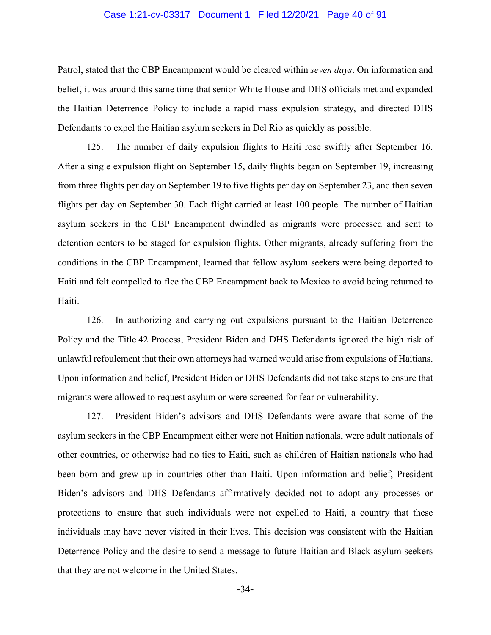#### Case 1:21-cv-03317 Document 1 Filed 12/20/21 Page 40 of 91

Patrol, stated that the CBP Encampment would be cleared within *seven days*. On information and belief, it was around this same time that senior White House and DHS officials met and expanded the Haitian Deterrence Policy to include a rapid mass expulsion strategy, and directed DHS Defendants to expel the Haitian asylum seekers in Del Rio as quickly as possible.

125. The number of daily expulsion flights to Haiti rose swiftly after September 16. After a single expulsion flight on September 15, daily flights began on September 19, increasing from three flights per day on September 19 to five flights per day on September 23, and then seven flights per day on September 30. Each flight carried at least 100 people. The number of Haitian asylum seekers in the CBP Encampment dwindled as migrants were processed and sent to detention centers to be staged for expulsion flights. Other migrants, already suffering from the conditions in the CBP Encampment, learned that fellow asylum seekers were being deported to Haiti and felt compelled to flee the CBP Encampment back to Mexico to avoid being returned to Haiti.

126. In authorizing and carrying out expulsions pursuant to the Haitian Deterrence Policy and the Title 42 Process, President Biden and DHS Defendants ignored the high risk of unlawful refoulement that their own attorneys had warned would arise from expulsions of Haitians. Upon information and belief, President Biden or DHS Defendants did not take steps to ensure that migrants were allowed to request asylum or were screened for fear or vulnerability.

127. President Biden's advisors and DHS Defendants were aware that some of the asylum seekers in the CBP Encampment either were not Haitian nationals, were adult nationals of other countries, or otherwise had no ties to Haiti, such as children of Haitian nationals who had been born and grew up in countries other than Haiti. Upon information and belief, President Biden's advisors and DHS Defendants affirmatively decided not to adopt any processes or protections to ensure that such individuals were not expelled to Haiti, a country that these individuals may have never visited in their lives. This decision was consistent with the Haitian Deterrence Policy and the desire to send a message to future Haitian and Black asylum seekers that they are not welcome in the United States.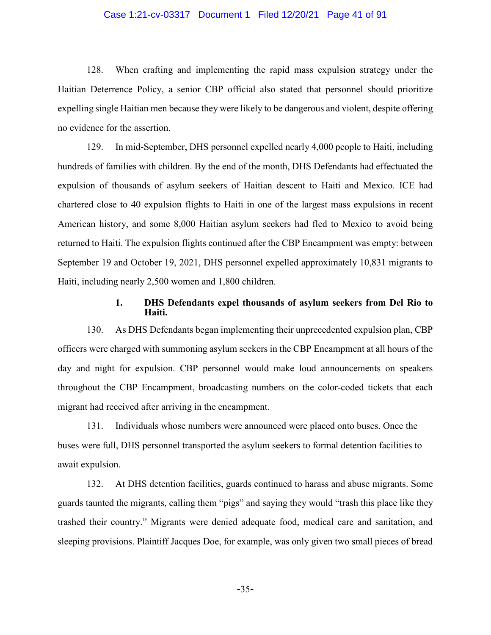### Case 1:21-cv-03317 Document 1 Filed 12/20/21 Page 41 of 91

128. When crafting and implementing the rapid mass expulsion strategy under the Haitian Deterrence Policy, a senior CBP official also stated that personnel should prioritize expelling single Haitian men because they were likely to be dangerous and violent, despite offering no evidence for the assertion.

129. In mid-September, DHS personnel expelled nearly 4,000 people to Haiti, including hundreds of families with children. By the end of the month, DHS Defendants had effectuated the expulsion of thousands of asylum seekers of Haitian descent to Haiti and Mexico. ICE had chartered close to 40 expulsion flights to Haiti in one of the largest mass expulsions in recent American history, and some 8,000 Haitian asylum seekers had fled to Mexico to avoid being returned to Haiti. The expulsion flights continued after the CBP Encampment was empty: between September 19 and October 19, 2021, DHS personnel expelled approximately 10,831 migrants to Haiti, including nearly 2,500 women and 1,800 children.

## **1. DHS Defendants expel thousands of asylum seekers from Del Rio to Haiti.**

130. As DHS Defendants began implementing their unprecedented expulsion plan, CBP officers were charged with summoning asylum seekers in the CBP Encampment at all hours of the day and night for expulsion. CBP personnel would make loud announcements on speakers throughout the CBP Encampment, broadcasting numbers on the color-coded tickets that each migrant had received after arriving in the encampment.

131. Individuals whose numbers were announced were placed onto buses. Once the buses were full, DHS personnel transported the asylum seekers to formal detention facilities to await expulsion.

132. At DHS detention facilities, guards continued to harass and abuse migrants. Some guards taunted the migrants, calling them "pigs" and saying they would "trash this place like they trashed their country." Migrants were denied adequate food, medical care and sanitation, and sleeping provisions. Plaintiff Jacques Doe, for example, was only given two small pieces of bread

-35-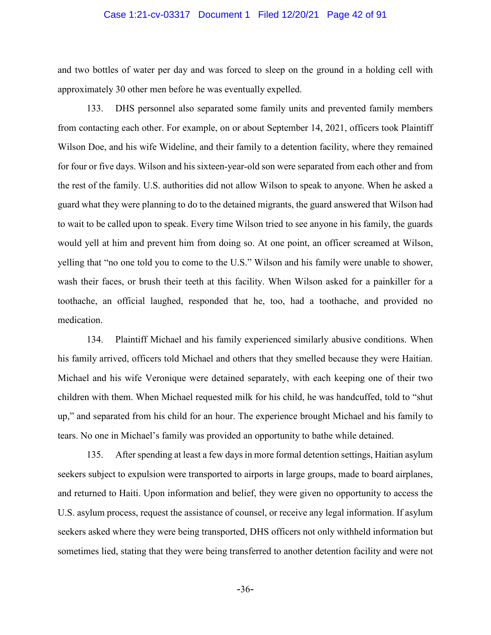### Case 1:21-cv-03317 Document 1 Filed 12/20/21 Page 42 of 91

and two bottles of water per day and was forced to sleep on the ground in a holding cell with approximately 30 other men before he was eventually expelled.

133. DHS personnel also separated some family units and prevented family members from contacting each other. For example, on or about September 14, 2021, officers took Plaintiff Wilson Doe, and his wife Wideline, and their family to a detention facility, where they remained for four or five days. Wilson and his sixteen-year-old son were separated from each other and from the rest of the family. U.S. authorities did not allow Wilson to speak to anyone. When he asked a guard what they were planning to do to the detained migrants, the guard answered that Wilson had to wait to be called upon to speak. Every time Wilson tried to see anyone in his family, the guards would yell at him and prevent him from doing so. At one point, an officer screamed at Wilson, yelling that "no one told you to come to the U.S." Wilson and his family were unable to shower, wash their faces, or brush their teeth at this facility. When Wilson asked for a painkiller for a toothache, an official laughed, responded that he, too, had a toothache, and provided no medication.

134. Plaintiff Michael and his family experienced similarly abusive conditions. When his family arrived, officers told Michael and others that they smelled because they were Haitian. Michael and his wife Veronique were detained separately, with each keeping one of their two children with them. When Michael requested milk for his child, he was handcuffed, told to "shut up," and separated from his child for an hour. The experience brought Michael and his family to tears. No one in Michael's family was provided an opportunity to bathe while detained.

135. After spending at least a few days in more formal detention settings, Haitian asylum seekers subject to expulsion were transported to airports in large groups, made to board airplanes, and returned to Haiti. Upon information and belief, they were given no opportunity to access the U.S. asylum process, request the assistance of counsel, or receive any legal information. If asylum seekers asked where they were being transported, DHS officers not only withheld information but sometimes lied, stating that they were being transferred to another detention facility and were not

-36-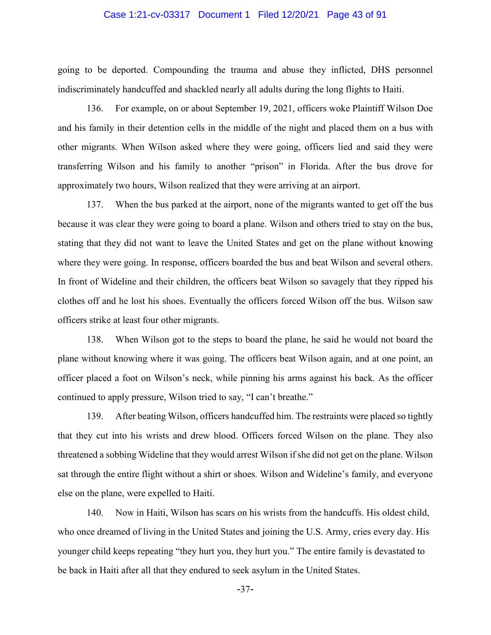#### Case 1:21-cv-03317 Document 1 Filed 12/20/21 Page 43 of 91

going to be deported. Compounding the trauma and abuse they inflicted, DHS personnel indiscriminately handcuffed and shackled nearly all adults during the long flights to Haiti.

136. For example, on or about September 19, 2021, officers woke Plaintiff Wilson Doe and his family in their detention cells in the middle of the night and placed them on a bus with other migrants. When Wilson asked where they were going, officers lied and said they were transferring Wilson and his family to another "prison" in Florida. After the bus drove for approximately two hours, Wilson realized that they were arriving at an airport.

137. When the bus parked at the airport, none of the migrants wanted to get off the bus because it was clear they were going to board a plane. Wilson and others tried to stay on the bus, stating that they did not want to leave the United States and get on the plane without knowing where they were going. In response, officers boarded the bus and beat Wilson and several others. In front of Wideline and their children, the officers beat Wilson so savagely that they ripped his clothes off and he lost his shoes. Eventually the officers forced Wilson off the bus. Wilson saw officers strike at least four other migrants.

138. When Wilson got to the steps to board the plane, he said he would not board the plane without knowing where it was going. The officers beat Wilson again, and at one point, an officer placed a foot on Wilson's neck, while pinning his arms against his back. As the officer continued to apply pressure, Wilson tried to say, "I can't breathe."

139. After beating Wilson, officers handcuffed him. The restraints were placed so tightly that they cut into his wrists and drew blood. Officers forced Wilson on the plane. They also threatened a sobbing Wideline that they would arrest Wilson if she did not get on the plane. Wilson sat through the entire flight without a shirt or shoes. Wilson and Wideline's family, and everyone else on the plane, were expelled to Haiti.

140. Now in Haiti, Wilson has scars on his wrists from the handcuffs. His oldest child, who once dreamed of living in the United States and joining the U.S. Army, cries every day. His younger child keeps repeating "they hurt you, they hurt you." The entire family is devastated to be back in Haiti after all that they endured to seek asylum in the United States.

-37-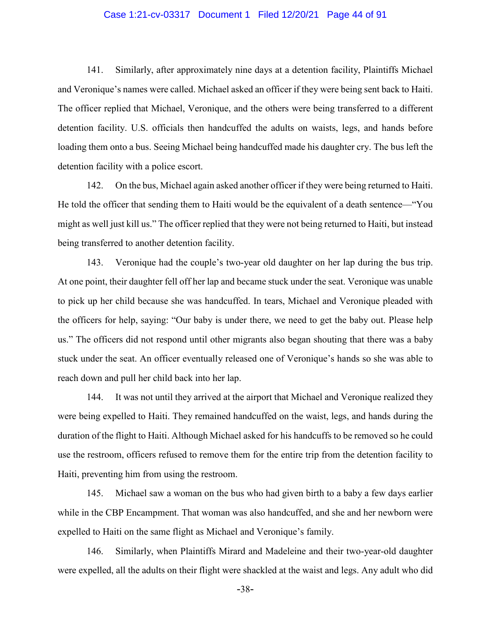### Case 1:21-cv-03317 Document 1 Filed 12/20/21 Page 44 of 91

141. Similarly, after approximately nine days at a detention facility, Plaintiffs Michael and Veronique's names were called. Michael asked an officer if they were being sent back to Haiti. The officer replied that Michael, Veronique, and the others were being transferred to a different detention facility. U.S. officials then handcuffed the adults on waists, legs, and hands before loading them onto a bus. Seeing Michael being handcuffed made his daughter cry. The bus left the detention facility with a police escort.

142. On the bus, Michael again asked another officer if they were being returned to Haiti. He told the officer that sending them to Haiti would be the equivalent of a death sentence—"You might as well just kill us." The officer replied that they were not being returned to Haiti, but instead being transferred to another detention facility.

143. Veronique had the couple's two-year old daughter on her lap during the bus trip. At one point, their daughter fell off her lap and became stuck under the seat. Veronique was unable to pick up her child because she was handcuffed. In tears, Michael and Veronique pleaded with the officers for help, saying: "Our baby is under there, we need to get the baby out. Please help us." The officers did not respond until other migrants also began shouting that there was a baby stuck under the seat. An officer eventually released one of Veronique's hands so she was able to reach down and pull her child back into her lap.

144. It was not until they arrived at the airport that Michael and Veronique realized they were being expelled to Haiti. They remained handcuffed on the waist, legs, and hands during the duration of the flight to Haiti. Although Michael asked for his handcuffs to be removed so he could use the restroom, officers refused to remove them for the entire trip from the detention facility to Haiti, preventing him from using the restroom.

145. Michael saw a woman on the bus who had given birth to a baby a few days earlier while in the CBP Encampment. That woman was also handcuffed, and she and her newborn were expelled to Haiti on the same flight as Michael and Veronique's family.

146. Similarly, when Plaintiffs Mirard and Madeleine and their two-year-old daughter were expelled, all the adults on their flight were shackled at the waist and legs. Any adult who did

-38-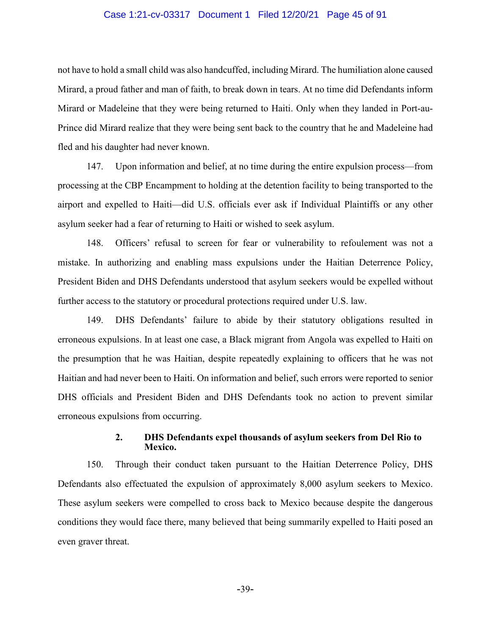#### Case 1:21-cv-03317 Document 1 Filed 12/20/21 Page 45 of 91

not have to hold a small child was also handcuffed, including Mirard. The humiliation alone caused Mirard, a proud father and man of faith, to break down in tears. At no time did Defendants inform Mirard or Madeleine that they were being returned to Haiti. Only when they landed in Port-au-Prince did Mirard realize that they were being sent back to the country that he and Madeleine had fled and his daughter had never known.

147. Upon information and belief, at no time during the entire expulsion process—from processing at the CBP Encampment to holding at the detention facility to being transported to the airport and expelled to Haiti—did U.S. officials ever ask if Individual Plaintiffs or any other asylum seeker had a fear of returning to Haiti or wished to seek asylum.

148. Officers' refusal to screen for fear or vulnerability to refoulement was not a mistake. In authorizing and enabling mass expulsions under the Haitian Deterrence Policy, President Biden and DHS Defendants understood that asylum seekers would be expelled without further access to the statutory or procedural protections required under U.S. law.

149. DHS Defendants' failure to abide by their statutory obligations resulted in erroneous expulsions. In at least one case, a Black migrant from Angola was expelled to Haiti on the presumption that he was Haitian, despite repeatedly explaining to officers that he was not Haitian and had never been to Haiti. On information and belief, such errors were reported to senior DHS officials and President Biden and DHS Defendants took no action to prevent similar erroneous expulsions from occurring.

## **2. DHS Defendants expel thousands of asylum seekers from Del Rio to Mexico.**

150. Through their conduct taken pursuant to the Haitian Deterrence Policy, DHS Defendants also effectuated the expulsion of approximately 8,000 asylum seekers to Mexico. These asylum seekers were compelled to cross back to Mexico because despite the dangerous conditions they would face there, many believed that being summarily expelled to Haiti posed an even graver threat.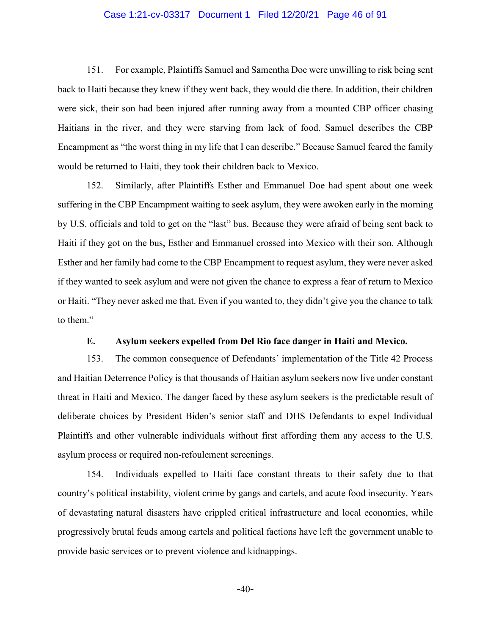### Case 1:21-cv-03317 Document 1 Filed 12/20/21 Page 46 of 91

151. For example, Plaintiffs Samuel and Samentha Doe were unwilling to risk being sent back to Haiti because they knew if they went back, they would die there. In addition, their children were sick, their son had been injured after running away from a mounted CBP officer chasing Haitians in the river, and they were starving from lack of food. Samuel describes the CBP Encampment as "the worst thing in my life that I can describe." Because Samuel feared the family would be returned to Haiti, they took their children back to Mexico.

152. Similarly, after Plaintiffs Esther and Emmanuel Doe had spent about one week suffering in the CBP Encampment waiting to seek asylum, they were awoken early in the morning by U.S. officials and told to get on the "last" bus. Because they were afraid of being sent back to Haiti if they got on the bus, Esther and Emmanuel crossed into Mexico with their son. Although Esther and her family had come to the CBP Encampment to request asylum, they were never asked if they wanted to seek asylum and were not given the chance to express a fear of return to Mexico or Haiti. "They never asked me that. Even if you wanted to, they didn't give you the chance to talk to them."

# **E. Asylum seekers expelled from Del Rio face danger in Haiti and Mexico.**

153. The common consequence of Defendants' implementation of the Title 42 Process and Haitian Deterrence Policy is that thousands of Haitian asylum seekers now live under constant threat in Haiti and Mexico. The danger faced by these asylum seekers is the predictable result of deliberate choices by President Biden's senior staff and DHS Defendants to expel Individual Plaintiffs and other vulnerable individuals without first affording them any access to the U.S. asylum process or required non-refoulement screenings.

154. Individuals expelled to Haiti face constant threats to their safety due to that country's political instability, violent crime by gangs and cartels, and acute food insecurity. Years of devastating natural disasters have crippled critical infrastructure and local economies, while progressively brutal feuds among cartels and political factions have left the government unable to provide basic services or to prevent violence and kidnappings.

 $-40-$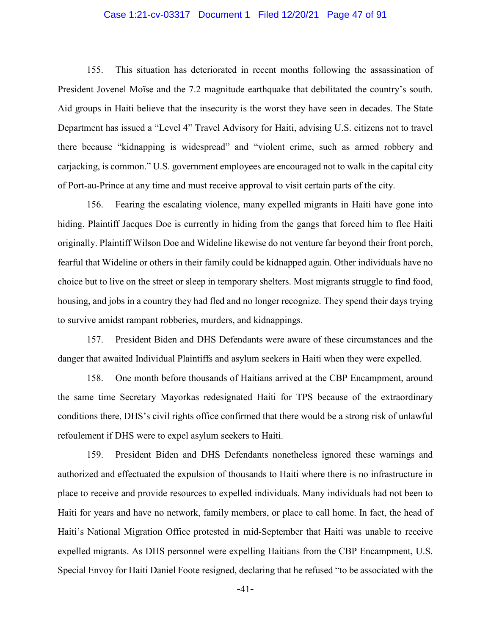### Case 1:21-cv-03317 Document 1 Filed 12/20/21 Page 47 of 91

155. This situation has deteriorated in recent months following the assassination of President Jovenel Moïse and the 7.2 magnitude earthquake that debilitated the country's south. Aid groups in Haiti believe that the insecurity is the worst they have seen in decades. The State Department has issued a "Level 4" Travel Advisory for Haiti, advising U.S. citizens not to travel there because "kidnapping is widespread" and "violent crime, such as armed robbery and carjacking, is common." U.S. government employees are encouraged not to walk in the capital city of Port-au-Prince at any time and must receive approval to visit certain parts of the city.

156. Fearing the escalating violence, many expelled migrants in Haiti have gone into hiding. Plaintiff Jacques Doe is currently in hiding from the gangs that forced him to flee Haiti originally. Plaintiff Wilson Doe and Wideline likewise do not venture far beyond their front porch, fearful that Wideline or others in their family could be kidnapped again. Other individuals have no choice but to live on the street or sleep in temporary shelters. Most migrants struggle to find food, housing, and jobs in a country they had fled and no longer recognize. They spend their days trying to survive amidst rampant robberies, murders, and kidnappings.

157. President Biden and DHS Defendants were aware of these circumstances and the danger that awaited Individual Plaintiffs and asylum seekers in Haiti when they were expelled.

158. One month before thousands of Haitians arrived at the CBP Encampment, around the same time Secretary Mayorkas redesignated Haiti for TPS because of the extraordinary conditions there, DHS's civil rights office confirmed that there would be a strong risk of unlawful refoulement if DHS were to expel asylum seekers to Haiti.

159. President Biden and DHS Defendants nonetheless ignored these warnings and authorized and effectuated the expulsion of thousands to Haiti where there is no infrastructure in place to receive and provide resources to expelled individuals. Many individuals had not been to Haiti for years and have no network, family members, or place to call home. In fact, the head of Haiti's National Migration Office protested in mid-September that Haiti was unable to receive expelled migrants. As DHS personnel were expelling Haitians from the CBP Encampment, U.S. Special Envoy for Haiti Daniel Foote resigned, declaring that he refused "to be associated with the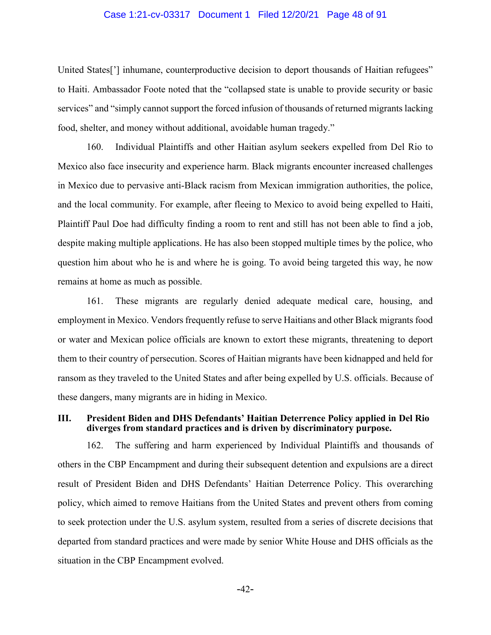#### Case 1:21-cv-03317 Document 1 Filed 12/20/21 Page 48 of 91

United States<sup>[']</sup> inhumane, counterproductive decision to deport thousands of Haitian refugees" to Haiti. Ambassador Foote noted that the "collapsed state is unable to provide security or basic services" and "simply cannot support the forced infusion of thousands of returned migrants lacking food, shelter, and money without additional, avoidable human tragedy."

160. Individual Plaintiffs and other Haitian asylum seekers expelled from Del Rio to Mexico also face insecurity and experience harm. Black migrants encounter increased challenges in Mexico due to pervasive anti-Black racism from Mexican immigration authorities, the police, and the local community. For example, after fleeing to Mexico to avoid being expelled to Haiti, Plaintiff Paul Doe had difficulty finding a room to rent and still has not been able to find a job, despite making multiple applications. He has also been stopped multiple times by the police, who question him about who he is and where he is going. To avoid being targeted this way, he now remains at home as much as possible.

161. These migrants are regularly denied adequate medical care, housing, and employment in Mexico. Vendors frequently refuse to serve Haitians and other Black migrants food or water and Mexican police officials are known to extort these migrants, threatening to deport them to their country of persecution. Scores of Haitian migrants have been kidnapped and held for ransom as they traveled to the United States and after being expelled by U.S. officials. Because of these dangers, many migrants are in hiding in Mexico.

## **III. President Biden and DHS Defendants' Haitian Deterrence Policy applied in Del Rio diverges from standard practices and is driven by discriminatory purpose.**

162. The suffering and harm experienced by Individual Plaintiffs and thousands of others in the CBP Encampment and during their subsequent detention and expulsions are a direct result of President Biden and DHS Defendants' Haitian Deterrence Policy. This overarching policy, which aimed to remove Haitians from the United States and prevent others from coming to seek protection under the U.S. asylum system, resulted from a series of discrete decisions that departed from standard practices and were made by senior White House and DHS officials as the situation in the CBP Encampment evolved.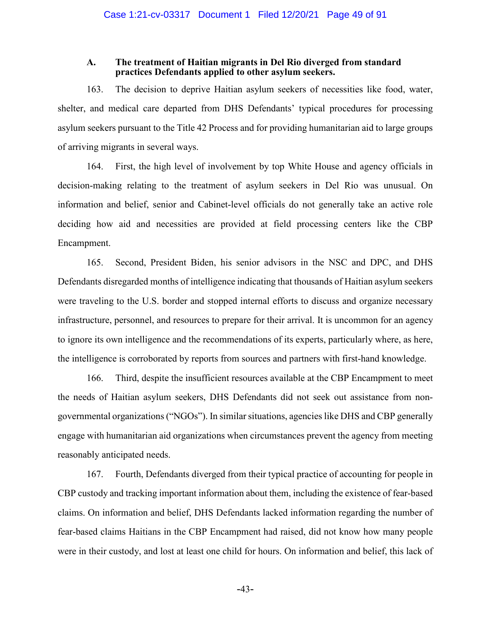## **A. The treatment of Haitian migrants in Del Rio diverged from standard practices Defendants applied to other asylum seekers.**

163. The decision to deprive Haitian asylum seekers of necessities like food, water, shelter, and medical care departed from DHS Defendants' typical procedures for processing asylum seekers pursuant to the Title 42 Process and for providing humanitarian aid to large groups of arriving migrants in several ways.

164. First, the high level of involvement by top White House and agency officials in decision-making relating to the treatment of asylum seekers in Del Rio was unusual. On information and belief, senior and Cabinet-level officials do not generally take an active role deciding how aid and necessities are provided at field processing centers like the CBP Encampment.

165. Second, President Biden, his senior advisors in the NSC and DPC, and DHS Defendants disregarded months of intelligence indicating that thousands of Haitian asylum seekers were traveling to the U.S. border and stopped internal efforts to discuss and organize necessary infrastructure, personnel, and resources to prepare for their arrival. It is uncommon for an agency to ignore its own intelligence and the recommendations of its experts, particularly where, as here, the intelligence is corroborated by reports from sources and partners with first-hand knowledge.

166. Third, despite the insufficient resources available at the CBP Encampment to meet the needs of Haitian asylum seekers, DHS Defendants did not seek out assistance from nongovernmental organizations("NGOs"). In similar situations, agencies like DHS and CBP generally engage with humanitarian aid organizations when circumstances prevent the agency from meeting reasonably anticipated needs.

167. Fourth, Defendants diverged from their typical practice of accounting for people in CBP custody and tracking important information about them, including the existence of fear-based claims. On information and belief, DHS Defendants lacked information regarding the number of fear-based claims Haitians in the CBP Encampment had raised, did not know how many people were in their custody, and lost at least one child for hours. On information and belief, this lack of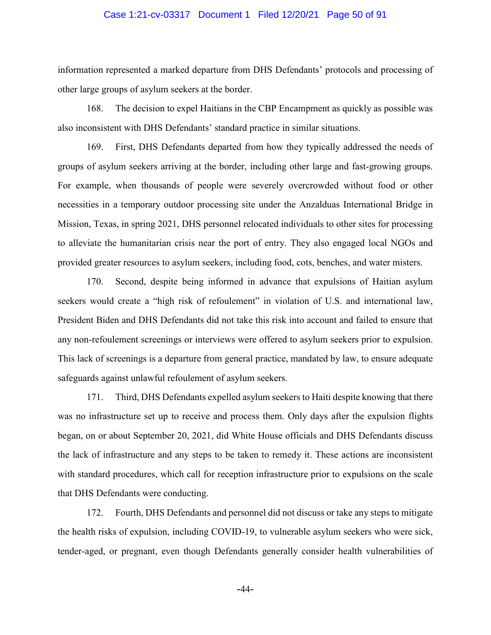#### Case 1:21-cv-03317 Document 1 Filed 12/20/21 Page 50 of 91

information represented a marked departure from DHS Defendants' protocols and processing of other large groups of asylum seekers at the border.

168. The decision to expel Haitians in the CBP Encampment as quickly as possible was also inconsistent with DHS Defendants' standard practice in similar situations.

169. First, DHS Defendants departed from how they typically addressed the needs of groups of asylum seekers arriving at the border, including other large and fast-growing groups. For example, when thousands of people were severely overcrowded without food or other necessities in a temporary outdoor processing site under the Anzalduas International Bridge in Mission, Texas, in spring 2021, DHS personnel relocated individuals to other sites for processing to alleviate the humanitarian crisis near the port of entry. They also engaged local NGOs and provided greater resources to asylum seekers, including food, cots, benches, and water misters.

170. Second, despite being informed in advance that expulsions of Haitian asylum seekers would create a "high risk of refoulement" in violation of U.S. and international law, President Biden and DHS Defendants did not take this risk into account and failed to ensure that any non-refoulement screenings or interviews were offered to asylum seekers prior to expulsion. This lack of screenings is a departure from general practice, mandated by law, to ensure adequate safeguards against unlawful refoulement of asylum seekers.

171. Third, DHS Defendants expelled asylum seekers to Haiti despite knowing that there was no infrastructure set up to receive and process them. Only days after the expulsion flights began, on or about September 20, 2021, did White House officials and DHS Defendants discuss the lack of infrastructure and any steps to be taken to remedy it. These actions are inconsistent with standard procedures, which call for reception infrastructure prior to expulsions on the scale that DHS Defendants were conducting.

172. Fourth, DHS Defendants and personnel did not discuss or take any steps to mitigate the health risks of expulsion, including COVID-19, to vulnerable asylum seekers who were sick, tender-aged, or pregnant, even though Defendants generally consider health vulnerabilities of

-44-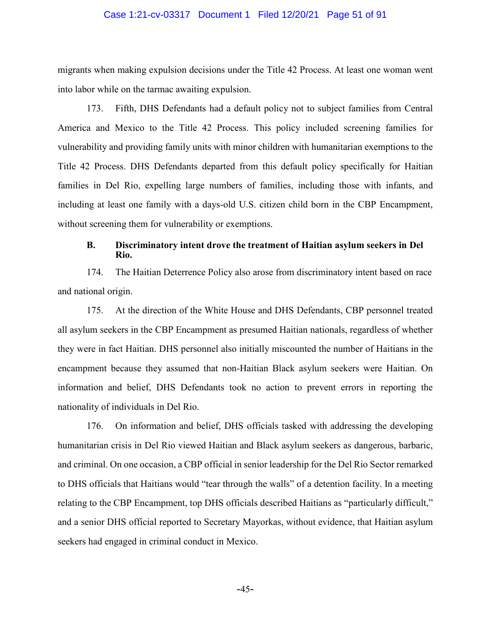### Case 1:21-cv-03317 Document 1 Filed 12/20/21 Page 51 of 91

migrants when making expulsion decisions under the Title 42 Process. At least one woman went into labor while on the tarmac awaiting expulsion.

173. Fifth, DHS Defendants had a default policy not to subject families from Central America and Mexico to the Title 42 Process. This policy included screening families for vulnerability and providing family units with minor children with humanitarian exemptions to the Title 42 Process. DHS Defendants departed from this default policy specifically for Haitian families in Del Rio, expelling large numbers of families, including those with infants, and including at least one family with a days-old U.S. citizen child born in the CBP Encampment, without screening them for vulnerability or exemptions.

### **B. Discriminatory intent drove the treatment of Haitian asylum seekers in Del Rio.**

174. The Haitian Deterrence Policy also arose from discriminatory intent based on race and national origin.

175. At the direction of the White House and DHS Defendants, CBP personnel treated all asylum seekers in the CBP Encampment as presumed Haitian nationals, regardless of whether they were in fact Haitian. DHS personnel also initially miscounted the number of Haitians in the encampment because they assumed that non-Haitian Black asylum seekers were Haitian. On information and belief, DHS Defendants took no action to prevent errors in reporting the nationality of individuals in Del Rio.

176. On information and belief, DHS officials tasked with addressing the developing humanitarian crisis in Del Rio viewed Haitian and Black asylum seekers as dangerous, barbaric, and criminal. On one occasion, a CBP official in senior leadership for the Del Rio Sector remarked to DHS officials that Haitians would "tear through the walls" of a detention facility. In a meeting relating to the CBP Encampment, top DHS officials described Haitians as "particularly difficult," and a senior DHS official reported to Secretary Mayorkas, without evidence, that Haitian asylum seekers had engaged in criminal conduct in Mexico.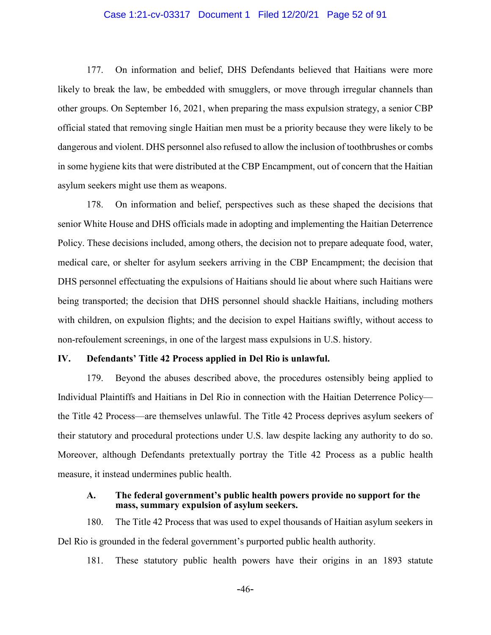### Case 1:21-cv-03317 Document 1 Filed 12/20/21 Page 52 of 91

177. On information and belief, DHS Defendants believed that Haitians were more likely to break the law, be embedded with smugglers, or move through irregular channels than other groups. On September 16, 2021, when preparing the mass expulsion strategy, a senior CBP official stated that removing single Haitian men must be a priority because they were likely to be dangerous and violent. DHS personnel also refused to allow the inclusion of toothbrushes or combs in some hygiene kits that were distributed at the CBP Encampment, out of concern that the Haitian asylum seekers might use them as weapons.

178. On information and belief, perspectives such as these shaped the decisions that senior White House and DHS officials made in adopting and implementing the Haitian Deterrence Policy. These decisions included, among others, the decision not to prepare adequate food, water, medical care, or shelter for asylum seekers arriving in the CBP Encampment; the decision that DHS personnel effectuating the expulsions of Haitians should lie about where such Haitians were being transported; the decision that DHS personnel should shackle Haitians, including mothers with children, on expulsion flights; and the decision to expel Haitians swiftly, without access to non-refoulement screenings, in one of the largest mass expulsions in U.S. history.

### **IV. Defendants' Title 42 Process applied in Del Rio is unlawful.**

179. Beyond the abuses described above, the procedures ostensibly being applied to Individual Plaintiffs and Haitians in Del Rio in connection with the Haitian Deterrence Policy the Title 42 Process—are themselves unlawful. The Title 42 Process deprives asylum seekers of their statutory and procedural protections under U.S. law despite lacking any authority to do so. Moreover, although Defendants pretextually portray the Title 42 Process as a public health measure, it instead undermines public health.

### **A. The federal government's public health powers provide no support for the mass, summary expulsion of asylum seekers.**

180. The Title 42 Process that was used to expel thousands of Haitian asylum seekers in Del Rio is grounded in the federal government's purported public health authority.

181. These statutory public health powers have their origins in an 1893 statute

-46-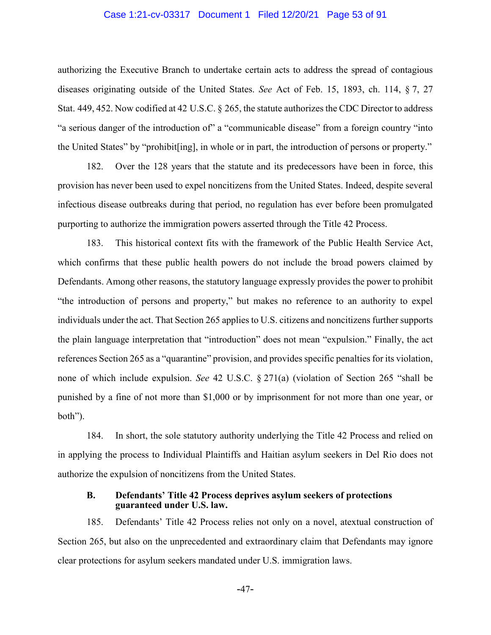### Case 1:21-cv-03317 Document 1 Filed 12/20/21 Page 53 of 91

authorizing the Executive Branch to undertake certain acts to address the spread of contagious diseases originating outside of the United States. *See* Act of Feb. 15, 1893, ch. 114, § 7, 27 Stat. 449, 452. Now codified at 42 U.S.C. § 265, the statute authorizes the CDC Director to address "a serious danger of the introduction of" a "communicable disease" from a foreign country "into the United States" by "prohibit[ing], in whole or in part, the introduction of persons or property."

182. Over the 128 years that the statute and its predecessors have been in force, this provision has never been used to expel noncitizens from the United States. Indeed, despite several infectious disease outbreaks during that period, no regulation has ever before been promulgated purporting to authorize the immigration powers asserted through the Title 42 Process.

183. This historical context fits with the framework of the Public Health Service Act, which confirms that these public health powers do not include the broad powers claimed by Defendants. Among other reasons, the statutory language expressly provides the power to prohibit "the introduction of persons and property," but makes no reference to an authority to expel individuals under the act. That Section 265 applies to U.S. citizens and noncitizens further supports the plain language interpretation that "introduction" does not mean "expulsion." Finally, the act references Section 265 as a "quarantine" provision, and provides specific penalties for its violation, none of which include expulsion. *See* 42 U.S.C. § 271(a) (violation of Section 265 "shall be punished by a fine of not more than \$1,000 or by imprisonment for not more than one year, or both").

184. In short, the sole statutory authority underlying the Title 42 Process and relied on in applying the process to Individual Plaintiffs and Haitian asylum seekers in Del Rio does not authorize the expulsion of noncitizens from the United States.

### **B. Defendants' Title 42 Process deprives asylum seekers of protections guaranteed under U.S. law.**

185. Defendants' Title 42 Process relies not only on a novel, atextual construction of Section 265, but also on the unprecedented and extraordinary claim that Defendants may ignore clear protections for asylum seekers mandated under U.S. immigration laws.

-47-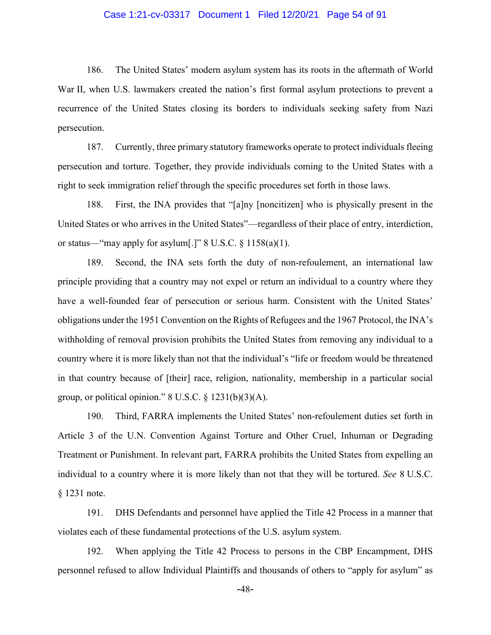### Case 1:21-cv-03317 Document 1 Filed 12/20/21 Page 54 of 91

186. The United States' modern asylum system has its roots in the aftermath of World War II, when U.S. lawmakers created the nation's first formal asylum protections to prevent a recurrence of the United States closing its borders to individuals seeking safety from Nazi persecution.

187. Currently, three primary statutory frameworks operate to protect individuals fleeing persecution and torture. Together, they provide individuals coming to the United States with a right to seek immigration relief through the specific procedures set forth in those laws.

188. First, the INA provides that "[a]ny [noncitizen] who is physically present in the United States or who arrives in the United States"—regardless of their place of entry, interdiction, or status—"may apply for asylum[.]" 8 U.S.C.  $\S$  1158(a)(1).

189. Second, the INA sets forth the duty of non-refoulement, an international law principle providing that a country may not expel or return an individual to a country where they have a well-founded fear of persecution or serious harm. Consistent with the United States' obligations under the 1951 Convention on the Rights of Refugees and the 1967 Protocol, the INA's withholding of removal provision prohibits the United States from removing any individual to a country where it is more likely than not that the individual's "life or freedom would be threatened in that country because of [their] race, religion, nationality, membership in a particular social group, or political opinion."  $8 \text{ U.S.C.} \$ § 1231(b)(3)(A).

190. Third, FARRA implements the United States' non-refoulement duties set forth in Article 3 of the U.N. Convention Against Torture and Other Cruel, Inhuman or Degrading Treatment or Punishment. In relevant part, FARRA prohibits the United States from expelling an individual to a country where it is more likely than not that they will be tortured. *See* 8 U.S.C. § 1231 note.

191. DHS Defendants and personnel have applied the Title 42 Process in a manner that violates each of these fundamental protections of the U.S. asylum system.

192. When applying the Title 42 Process to persons in the CBP Encampment, DHS personnel refused to allow Individual Plaintiffs and thousands of others to "apply for asylum" as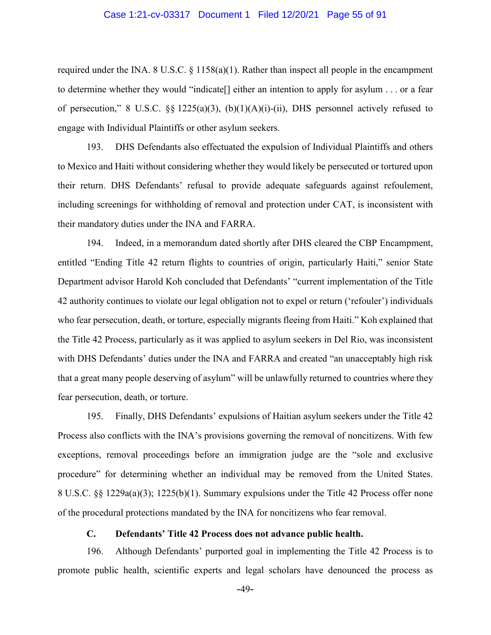### Case 1:21-cv-03317 Document 1 Filed 12/20/21 Page 55 of 91

required under the INA. 8 U.S.C.  $\S$  1158(a)(1). Rather than inspect all people in the encampment to determine whether they would "indicate[] either an intention to apply for asylum . . . or a fear of persecution," 8 U.S.C.  $\S$  1225(a)(3), (b)(1)(A)(i)-(ii), DHS personnel actively refused to engage with Individual Plaintiffs or other asylum seekers.

193. DHS Defendants also effectuated the expulsion of Individual Plaintiffs and others to Mexico and Haiti without considering whether they would likely be persecuted or tortured upon their return. DHS Defendants' refusal to provide adequate safeguards against refoulement, including screenings for withholding of removal and protection under CAT, is inconsistent with their mandatory duties under the INA and FARRA.

194. Indeed, in a memorandum dated shortly after DHS cleared the CBP Encampment, entitled "Ending Title 42 return flights to countries of origin, particularly Haiti," senior State Department advisor Harold Koh concluded that Defendants' "current implementation of the Title 42 authority continues to violate our legal obligation not to expel or return ('refouler') individuals who fear persecution, death, or torture, especially migrants fleeing from Haiti." Koh explained that the Title 42 Process, particularly as it was applied to asylum seekers in Del Rio, was inconsistent with DHS Defendants' duties under the INA and FARRA and created "an unacceptably high risk that a great many people deserving of asylum" will be unlawfully returned to countries where they fear persecution, death, or torture.

195. Finally, DHS Defendants' expulsions of Haitian asylum seekers under the Title 42 Process also conflicts with the INA's provisions governing the removal of noncitizens. With few exceptions, removal proceedings before an immigration judge are the "sole and exclusive procedure" for determining whether an individual may be removed from the United States. 8 U.S.C. §§ 1229a(a)(3); 1225(b)(1). Summary expulsions under the Title 42 Process offer none of the procedural protections mandated by the INA for noncitizens who fear removal.

# **C. Defendants' Title 42 Process does not advance public health.**

196. Although Defendants' purported goal in implementing the Title 42 Process is to promote public health, scientific experts and legal scholars have denounced the process as

-49-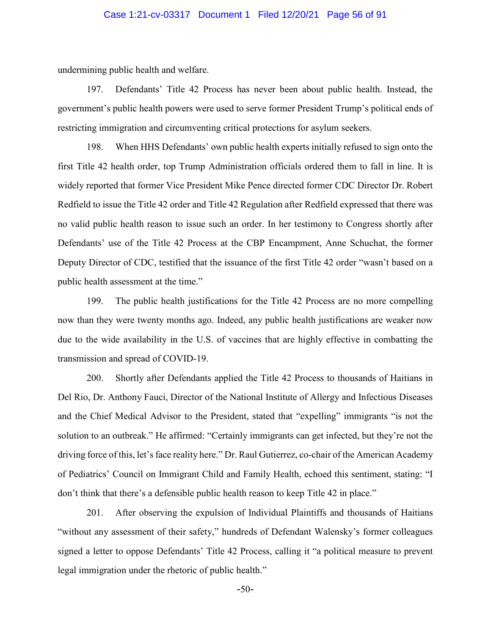### Case 1:21-cv-03317 Document 1 Filed 12/20/21 Page 56 of 91

undermining public health and welfare.

197. Defendants' Title 42 Process has never been about public health. Instead, the government's public health powers were used to serve former President Trump's political ends of restricting immigration and circumventing critical protections for asylum seekers.

198. When HHS Defendants' own public health experts initially refused to sign onto the first Title 42 health order, top Trump Administration officials ordered them to fall in line. It is widely reported that former Vice President Mike Pence directed former CDC Director Dr. Robert Redfield to issue the Title 42 order and Title 42 Regulation after Redfield expressed that there was no valid public health reason to issue such an order. In her testimony to Congress shortly after Defendants' use of the Title 42 Process at the CBP Encampment, Anne Schuchat, the former Deputy Director of CDC, testified that the issuance of the first Title 42 order "wasn't based on a public health assessment at the time."

199. The public health justifications for the Title 42 Process are no more compelling now than they were twenty months ago. Indeed, any public health justifications are weaker now due to the wide availability in the U.S. of vaccines that are highly effective in combatting the transmission and spread of COVID-19.

200. Shortly after Defendants applied the Title 42 Process to thousands of Haitians in Del Rio, Dr. Anthony Fauci, Director of the National Institute of Allergy and Infectious Diseases and the Chief Medical Advisor to the President, stated that "expelling" immigrants "is not the solution to an outbreak." He affirmed: "Certainly immigrants can get infected, but they're not the driving force of this, let's face reality here." Dr. Raul Gutierrez, co-chair of the American Academy of Pediatrics' Council on Immigrant Child and Family Health, echoed this sentiment, stating: "I don't think that there's a defensible public health reason to keep Title 42 in place."

201. After observing the expulsion of Individual Plaintiffs and thousands of Haitians "without any assessment of their safety," hundreds of Defendant Walensky's former colleagues signed a letter to oppose Defendants' Title 42 Process, calling it "a political measure to prevent legal immigration under the rhetoric of public health."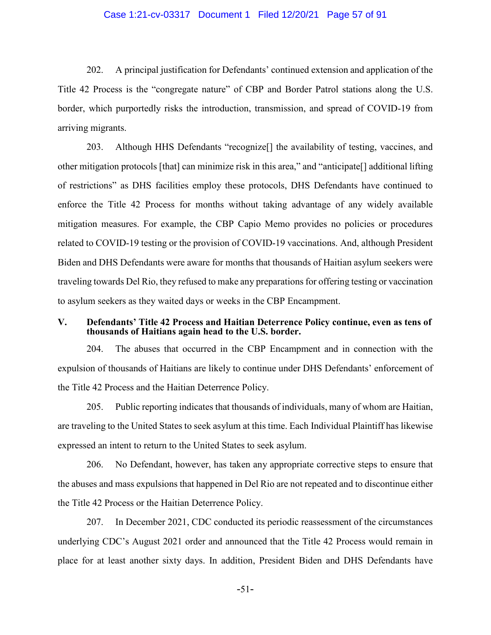### Case 1:21-cv-03317 Document 1 Filed 12/20/21 Page 57 of 91

202. A principal justification for Defendants' continued extension and application of the Title 42 Process is the "congregate nature" of CBP and Border Patrol stations along the U.S. border, which purportedly risks the introduction, transmission, and spread of COVID-19 from arriving migrants.

203. Although HHS Defendants "recognize[] the availability of testing, vaccines, and other mitigation protocols [that] can minimize risk in this area," and "anticipate[] additional lifting of restrictions" as DHS facilities employ these protocols, DHS Defendants have continued to enforce the Title 42 Process for months without taking advantage of any widely available mitigation measures. For example, the CBP Capio Memo provides no policies or procedures related to COVID-19 testing or the provision of COVID-19 vaccinations. And, although President Biden and DHS Defendants were aware for months that thousands of Haitian asylum seekers were traveling towards Del Rio, they refused to make any preparations for offering testing or vaccination to asylum seekers as they waited days or weeks in the CBP Encampment.

# **V. Defendants' Title 42 Process and Haitian Deterrence Policy continue, even as tens of thousands of Haitians again head to the U.S. border.**

204. The abuses that occurred in the CBP Encampment and in connection with the expulsion of thousands of Haitians are likely to continue under DHS Defendants' enforcement of the Title 42 Process and the Haitian Deterrence Policy.

205. Public reporting indicates that thousands of individuals, many of whom are Haitian, are traveling to the United States to seek asylum at this time. Each Individual Plaintiff has likewise expressed an intent to return to the United States to seek asylum.

206. No Defendant, however, has taken any appropriate corrective steps to ensure that the abuses and mass expulsions that happened in Del Rio are not repeated and to discontinue either the Title 42 Process or the Haitian Deterrence Policy.

207. In December 2021, CDC conducted its periodic reassessment of the circumstances underlying CDC's August 2021 order and announced that the Title 42 Process would remain in place for at least another sixty days. In addition, President Biden and DHS Defendants have

-51-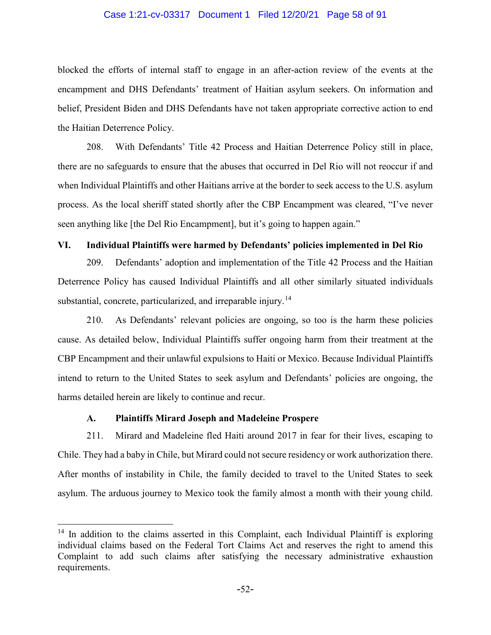### Case 1:21-cv-03317 Document 1 Filed 12/20/21 Page 58 of 91

blocked the efforts of internal staff to engage in an after-action review of the events at the encampment and DHS Defendants' treatment of Haitian asylum seekers. On information and belief, President Biden and DHS Defendants have not taken appropriate corrective action to end the Haitian Deterrence Policy.

208. With Defendants' Title 42 Process and Haitian Deterrence Policy still in place, there are no safeguards to ensure that the abuses that occurred in Del Rio will not reoccur if and when Individual Plaintiffs and other Haitians arrive at the border to seek access to the U.S. asylum process. As the local sheriff stated shortly after the CBP Encampment was cleared, "I've never seen anything like [the Del Rio Encampment], but it's going to happen again."

# **VI. Individual Plaintiffs were harmed by Defendants' policies implemented in Del Rio**

209. Defendants' adoption and implementation of the Title 42 Process and the Haitian Deterrence Policy has caused Individual Plaintiffs and all other similarly situated individuals substantial, concrete, particularized, and irreparable injury.<sup>[14](#page-57-0)</sup>

210. As Defendants' relevant policies are ongoing, so too is the harm these policies cause. As detailed below, Individual Plaintiffs suffer ongoing harm from their treatment at the CBP Encampment and their unlawful expulsions to Haiti or Mexico. Because Individual Plaintiffs intend to return to the United States to seek asylum and Defendants' policies are ongoing, the harms detailed herein are likely to continue and recur.

## **A. Plaintiffs Mirard Joseph and Madeleine Prospere**

211. Mirard and Madeleine fled Haiti around 2017 in fear for their lives, escaping to Chile. They had a baby in Chile, but Mirard could not secure residency or work authorization there. After months of instability in Chile, the family decided to travel to the United States to seek asylum. The arduous journey to Mexico took the family almost a month with their young child.

<span id="page-57-0"></span> $14$  In addition to the claims asserted in this Complaint, each Individual Plaintiff is exploring individual claims based on the Federal Tort Claims Act and reserves the right to amend this Complaint to add such claims after satisfying the necessary administrative exhaustion requirements.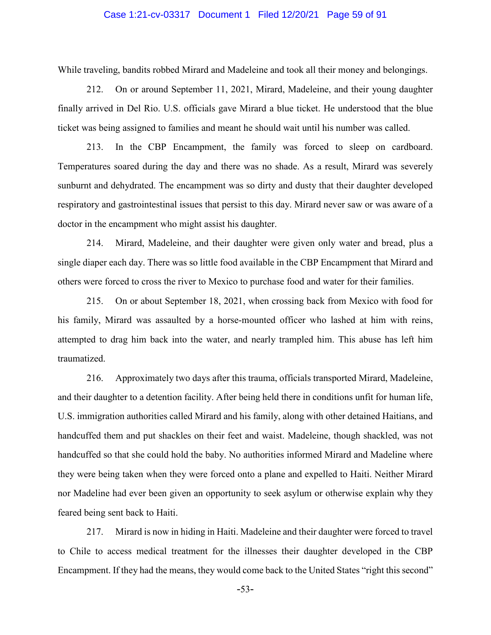### Case 1:21-cv-03317 Document 1 Filed 12/20/21 Page 59 of 91

While traveling, bandits robbed Mirard and Madeleine and took all their money and belongings.

212. On or around September 11, 2021, Mirard, Madeleine, and their young daughter finally arrived in Del Rio. U.S. officials gave Mirard a blue ticket. He understood that the blue ticket was being assigned to families and meant he should wait until his number was called.

213. In the CBP Encampment, the family was forced to sleep on cardboard. Temperatures soared during the day and there was no shade. As a result, Mirard was severely sunburnt and dehydrated. The encampment was so dirty and dusty that their daughter developed respiratory and gastrointestinal issues that persist to this day. Mirard never saw or was aware of a doctor in the encampment who might assist his daughter.

214. Mirard, Madeleine, and their daughter were given only water and bread, plus a single diaper each day. There was so little food available in the CBP Encampment that Mirard and others were forced to cross the river to Mexico to purchase food and water for their families.

215. On or about September 18, 2021, when crossing back from Mexico with food for his family, Mirard was assaulted by a horse-mounted officer who lashed at him with reins, attempted to drag him back into the water, and nearly trampled him. This abuse has left him traumatized.

216. Approximately two days after this trauma, officials transported Mirard, Madeleine, and their daughter to a detention facility. After being held there in conditions unfit for human life, U.S. immigration authorities called Mirard and his family, along with other detained Haitians, and handcuffed them and put shackles on their feet and waist. Madeleine, though shackled, was not handcuffed so that she could hold the baby. No authorities informed Mirard and Madeline where they were being taken when they were forced onto a plane and expelled to Haiti. Neither Mirard nor Madeline had ever been given an opportunity to seek asylum or otherwise explain why they feared being sent back to Haiti.

217. Mirard is now in hiding in Haiti. Madeleine and their daughter were forced to travel to Chile to access medical treatment for the illnesses their daughter developed in the CBP Encampment. If they had the means, they would come back to the United States "right this second"

-53-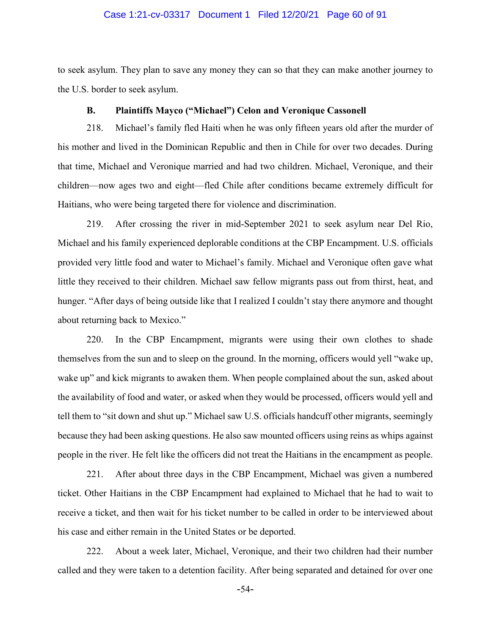### Case 1:21-cv-03317 Document 1 Filed 12/20/21 Page 60 of 91

to seek asylum. They plan to save any money they can so that they can make another journey to the U.S. border to seek asylum.

## **B. Plaintiffs Mayco ("Michael") Celon and Veronique Cassonell**

218. Michael's family fled Haiti when he was only fifteen years old after the murder of his mother and lived in the Dominican Republic and then in Chile for over two decades. During that time, Michael and Veronique married and had two children. Michael, Veronique, and their children—now ages two and eight—fled Chile after conditions became extremely difficult for Haitians, who were being targeted there for violence and discrimination.

219. After crossing the river in mid-September 2021 to seek asylum near Del Rio, Michael and his family experienced deplorable conditions at the CBP Encampment. U.S. officials provided very little food and water to Michael's family. Michael and Veronique often gave what little they received to their children. Michael saw fellow migrants pass out from thirst, heat, and hunger. "After days of being outside like that I realized I couldn't stay there anymore and thought about returning back to Mexico."

220. In the CBP Encampment, migrants were using their own clothes to shade themselves from the sun and to sleep on the ground. In the morning, officers would yell "wake up, wake up" and kick migrants to awaken them. When people complained about the sun, asked about the availability of food and water, or asked when they would be processed, officers would yell and tell them to "sit down and shut up." Michael saw U.S. officials handcuff other migrants, seemingly because they had been asking questions. He also saw mounted officers using reins as whips against people in the river. He felt like the officers did not treat the Haitians in the encampment as people.

221. After about three days in the CBP Encampment, Michael was given a numbered ticket. Other Haitians in the CBP Encampment had explained to Michael that he had to wait to receive a ticket, and then wait for his ticket number to be called in order to be interviewed about his case and either remain in the United States or be deported.

222. About a week later, Michael, Veronique, and their two children had their number called and they were taken to a detention facility. After being separated and detained for over one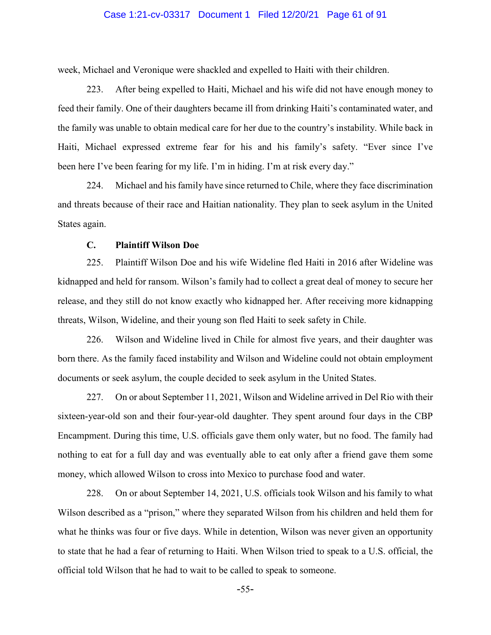### Case 1:21-cv-03317 Document 1 Filed 12/20/21 Page 61 of 91

week, Michael and Veronique were shackled and expelled to Haiti with their children.

223. After being expelled to Haiti, Michael and his wife did not have enough money to feed their family. One of their daughters became ill from drinking Haiti's contaminated water, and the family was unable to obtain medical care for her due to the country's instability. While back in Haiti, Michael expressed extreme fear for his and his family's safety. "Ever since I've been here I've been fearing for my life. I'm in hiding. I'm at risk every day."

224. Michael and his family have since returned to Chile, where they face discrimination and threats because of their race and Haitian nationality. They plan to seek asylum in the United States again.

# **C. Plaintiff Wilson Doe**

225. Plaintiff Wilson Doe and his wife Wideline fled Haiti in 2016 after Wideline was kidnapped and held for ransom. Wilson's family had to collect a great deal of money to secure her release, and they still do not know exactly who kidnapped her. After receiving more kidnapping threats, Wilson, Wideline, and their young son fled Haiti to seek safety in Chile.

226. Wilson and Wideline lived in Chile for almost five years, and their daughter was born there. As the family faced instability and Wilson and Wideline could not obtain employment documents or seek asylum, the couple decided to seek asylum in the United States.

227. On or about September 11, 2021, Wilson and Wideline arrived in Del Rio with their sixteen-year-old son and their four-year-old daughter. They spent around four days in the CBP Encampment. During this time, U.S. officials gave them only water, but no food. The family had nothing to eat for a full day and was eventually able to eat only after a friend gave them some money, which allowed Wilson to cross into Mexico to purchase food and water.

228. On or about September 14, 2021, U.S. officials took Wilson and his family to what Wilson described as a "prison," where they separated Wilson from his children and held them for what he thinks was four or five days. While in detention, Wilson was never given an opportunity to state that he had a fear of returning to Haiti. When Wilson tried to speak to a U.S. official, the official told Wilson that he had to wait to be called to speak to someone.

-55-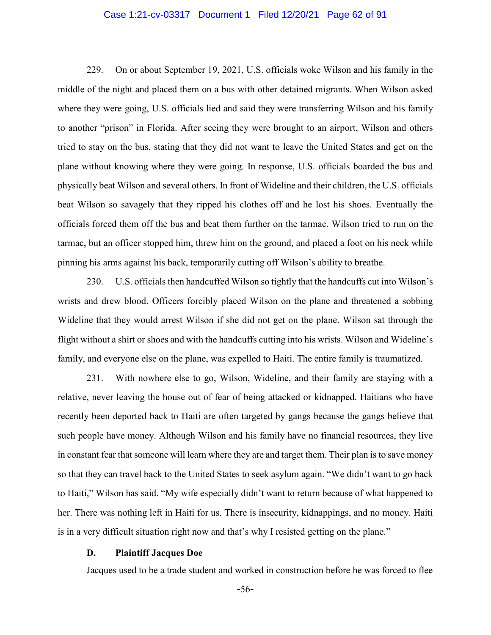### Case 1:21-cv-03317 Document 1 Filed 12/20/21 Page 62 of 91

229. On or about September 19, 2021, U.S. officials woke Wilson and his family in the middle of the night and placed them on a bus with other detained migrants. When Wilson asked where they were going, U.S. officials lied and said they were transferring Wilson and his family to another "prison" in Florida. After seeing they were brought to an airport, Wilson and others tried to stay on the bus, stating that they did not want to leave the United States and get on the plane without knowing where they were going. In response, U.S. officials boarded the bus and physically beat Wilson and several others. In front of Wideline and their children, the U.S. officials beat Wilson so savagely that they ripped his clothes off and he lost his shoes. Eventually the officials forced them off the bus and beat them further on the tarmac. Wilson tried to run on the tarmac, but an officer stopped him, threw him on the ground, and placed a foot on his neck while pinning his arms against his back, temporarily cutting off Wilson's ability to breathe.

230. U.S. officials then handcuffed Wilson so tightly that the handcuffs cut into Wilson's wrists and drew blood. Officers forcibly placed Wilson on the plane and threatened a sobbing Wideline that they would arrest Wilson if she did not get on the plane. Wilson sat through the flight without a shirt or shoes and with the handcuffs cutting into his wrists. Wilson and Wideline's family, and everyone else on the plane, was expelled to Haiti. The entire family is traumatized.

231. With nowhere else to go, Wilson, Wideline, and their family are staying with a relative, never leaving the house out of fear of being attacked or kidnapped. Haitians who have recently been deported back to Haiti are often targeted by gangs because the gangs believe that such people have money. Although Wilson and his family have no financial resources, they live in constant fear that someone will learn where they are and target them. Their plan is to save money so that they can travel back to the United States to seek asylum again. "We didn't want to go back to Haiti," Wilson has said. "My wife especially didn't want to return because of what happened to her. There was nothing left in Haiti for us. There is insecurity, kidnappings, and no money. Haiti is in a very difficult situation right now and that's why I resisted getting on the plane."

#### **D. Plaintiff Jacques Doe**

Jacques used to be a trade student and worked in construction before he was forced to flee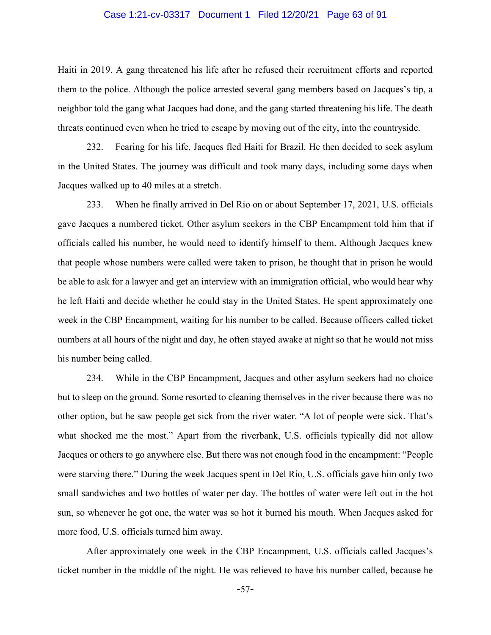#### Case 1:21-cv-03317 Document 1 Filed 12/20/21 Page 63 of 91

Haiti in 2019. A gang threatened his life after he refused their recruitment efforts and reported them to the police. Although the police arrested several gang members based on Jacques's tip, a neighbor told the gang what Jacques had done, and the gang started threatening his life. The death threats continued even when he tried to escape by moving out of the city, into the countryside.

232. Fearing for his life, Jacques fled Haiti for Brazil. He then decided to seek asylum in the United States. The journey was difficult and took many days, including some days when Jacques walked up to 40 miles at a stretch.

233. When he finally arrived in Del Rio on or about September 17, 2021, U.S. officials gave Jacques a numbered ticket. Other asylum seekers in the CBP Encampment told him that if officials called his number, he would need to identify himself to them. Although Jacques knew that people whose numbers were called were taken to prison, he thought that in prison he would be able to ask for a lawyer and get an interview with an immigration official, who would hear why he left Haiti and decide whether he could stay in the United States. He spent approximately one week in the CBP Encampment, waiting for his number to be called. Because officers called ticket numbers at all hours of the night and day, he often stayed awake at night so that he would not miss his number being called.

234. While in the CBP Encampment, Jacques and other asylum seekers had no choice but to sleep on the ground. Some resorted to cleaning themselves in the river because there was no other option, but he saw people get sick from the river water. "A lot of people were sick. That's what shocked me the most." Apart from the riverbank, U.S. officials typically did not allow Jacques or others to go anywhere else. But there was not enough food in the encampment: "People were starving there." During the week Jacques spent in Del Rio, U.S. officials gave him only two small sandwiches and two bottles of water per day. The bottles of water were left out in the hot sun, so whenever he got one, the water was so hot it burned his mouth. When Jacques asked for more food, U.S. officials turned him away.

After approximately one week in the CBP Encampment, U.S. officials called Jacques's ticket number in the middle of the night. He was relieved to have his number called, because he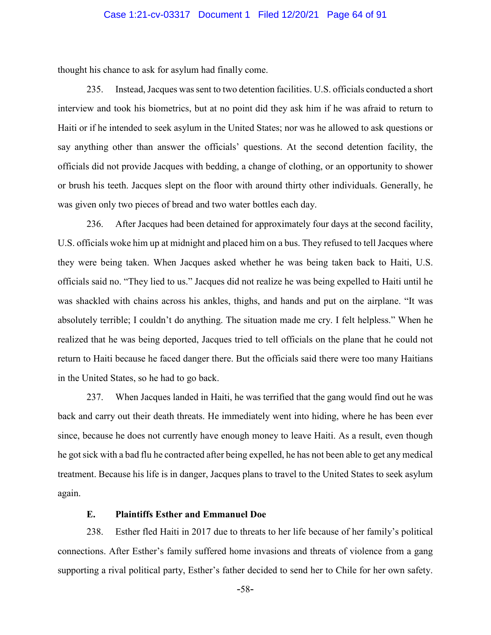### Case 1:21-cv-03317 Document 1 Filed 12/20/21 Page 64 of 91

thought his chance to ask for asylum had finally come.

235. Instead, Jacques was sent to two detention facilities. U.S. officials conducted a short interview and took his biometrics, but at no point did they ask him if he was afraid to return to Haiti or if he intended to seek asylum in the United States; nor was he allowed to ask questions or say anything other than answer the officials' questions. At the second detention facility, the officials did not provide Jacques with bedding, a change of clothing, or an opportunity to shower or brush his teeth. Jacques slept on the floor with around thirty other individuals. Generally, he was given only two pieces of bread and two water bottles each day.

236. After Jacques had been detained for approximately four days at the second facility, U.S. officials woke him up at midnight and placed him on a bus. They refused to tell Jacques where they were being taken. When Jacques asked whether he was being taken back to Haiti, U.S. officials said no. "They lied to us." Jacques did not realize he was being expelled to Haiti until he was shackled with chains across his ankles, thighs, and hands and put on the airplane. "It was absolutely terrible; I couldn't do anything. The situation made me cry. I felt helpless." When he realized that he was being deported, Jacques tried to tell officials on the plane that he could not return to Haiti because he faced danger there. But the officials said there were too many Haitians in the United States, so he had to go back.

237. When Jacques landed in Haiti, he was terrified that the gang would find out he was back and carry out their death threats. He immediately went into hiding, where he has been ever since, because he does not currently have enough money to leave Haiti. As a result, even though he got sick with a bad flu he contracted after being expelled, he has not been able to get any medical treatment. Because his life is in danger, Jacques plans to travel to the United States to seek asylum again.

#### **E. Plaintiffs Esther and Emmanuel Doe**

238. Esther fled Haiti in 2017 due to threats to her life because of her family's political connections. After Esther's family suffered home invasions and threats of violence from a gang supporting a rival political party, Esther's father decided to send her to Chile for her own safety.

-58-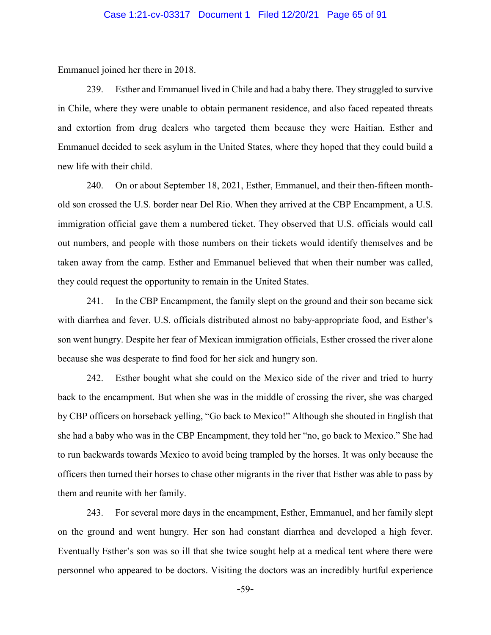Emmanuel joined her there in 2018.

239. Esther and Emmanuel lived in Chile and had a baby there. They struggled to survive in Chile, where they were unable to obtain permanent residence, and also faced repeated threats and extortion from drug dealers who targeted them because they were Haitian. Esther and Emmanuel decided to seek asylum in the United States, where they hoped that they could build a new life with their child.

240. On or about September 18, 2021, Esther, Emmanuel, and their then-fifteen monthold son crossed the U.S. border near Del Rio. When they arrived at the CBP Encampment, a U.S. immigration official gave them a numbered ticket. They observed that U.S. officials would call out numbers, and people with those numbers on their tickets would identify themselves and be taken away from the camp. Esther and Emmanuel believed that when their number was called, they could request the opportunity to remain in the United States.

241. In the CBP Encampment, the family slept on the ground and their son became sick with diarrhea and fever. U.S. officials distributed almost no baby-appropriate food, and Esther's son went hungry. Despite her fear of Mexican immigration officials, Esther crossed the river alone because she was desperate to find food for her sick and hungry son.

242. Esther bought what she could on the Mexico side of the river and tried to hurry back to the encampment. But when she was in the middle of crossing the river, she was charged by CBP officers on horseback yelling, "Go back to Mexico!" Although she shouted in English that she had a baby who was in the CBP Encampment, they told her "no, go back to Mexico." She had to run backwards towards Mexico to avoid being trampled by the horses. It was only because the officers then turned their horses to chase other migrants in the river that Esther was able to pass by them and reunite with her family.

243. For several more days in the encampment, Esther, Emmanuel, and her family slept on the ground and went hungry. Her son had constant diarrhea and developed a high fever. Eventually Esther's son was so ill that she twice sought help at a medical tent where there were personnel who appeared to be doctors. Visiting the doctors was an incredibly hurtful experience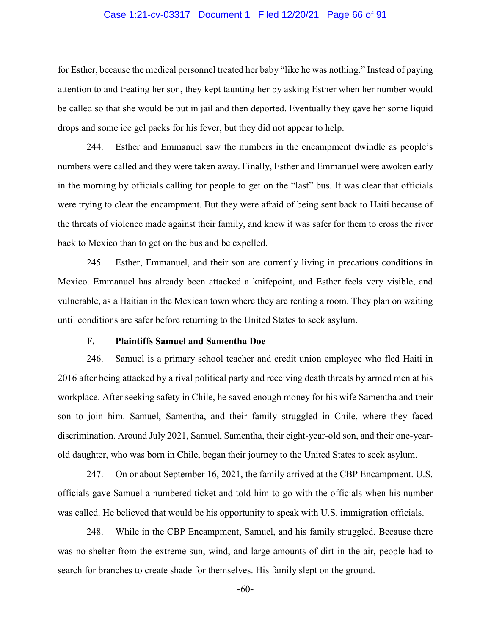### Case 1:21-cv-03317 Document 1 Filed 12/20/21 Page 66 of 91

for Esther, because the medical personnel treated her baby "like he was nothing." Instead of paying attention to and treating her son, they kept taunting her by asking Esther when her number would be called so that she would be put in jail and then deported. Eventually they gave her some liquid drops and some ice gel packs for his fever, but they did not appear to help.

244. Esther and Emmanuel saw the numbers in the encampment dwindle as people's numbers were called and they were taken away. Finally, Esther and Emmanuel were awoken early in the morning by officials calling for people to get on the "last" bus. It was clear that officials were trying to clear the encampment. But they were afraid of being sent back to Haiti because of the threats of violence made against their family, and knew it was safer for them to cross the river back to Mexico than to get on the bus and be expelled.

245. Esther, Emmanuel, and their son are currently living in precarious conditions in Mexico. Emmanuel has already been attacked a knifepoint, and Esther feels very visible, and vulnerable, as a Haitian in the Mexican town where they are renting a room. They plan on waiting until conditions are safer before returning to the United States to seek asylum.

#### **F. Plaintiffs Samuel and Samentha Doe**

246. Samuel is a primary school teacher and credit union employee who fled Haiti in 2016 after being attacked by a rival political party and receiving death threats by armed men at his workplace. After seeking safety in Chile, he saved enough money for his wife Samentha and their son to join him. Samuel, Samentha, and their family struggled in Chile, where they faced discrimination. Around July 2021, Samuel, Samentha, their eight-year-old son, and their one-yearold daughter, who was born in Chile, began their journey to the United States to seek asylum.

247. On or about September 16, 2021, the family arrived at the CBP Encampment. U.S. officials gave Samuel a numbered ticket and told him to go with the officials when his number was called. He believed that would be his opportunity to speak with U.S. immigration officials.

248. While in the CBP Encampment, Samuel, and his family struggled. Because there was no shelter from the extreme sun, wind, and large amounts of dirt in the air, people had to search for branches to create shade for themselves. His family slept on the ground.

-60-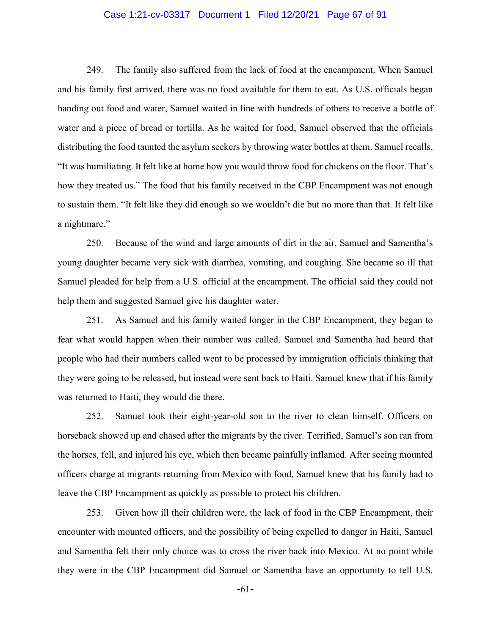### Case 1:21-cv-03317 Document 1 Filed 12/20/21 Page 67 of 91

249. The family also suffered from the lack of food at the encampment. When Samuel and his family first arrived, there was no food available for them to eat. As U.S. officials began handing out food and water, Samuel waited in line with hundreds of others to receive a bottle of water and a piece of bread or tortilla. As he waited for food, Samuel observed that the officials distributing the food taunted the asylum seekers by throwing water bottles at them. Samuel recalls, "It was humiliating. It felt like at home how you would throw food for chickens on the floor. That's how they treated us." The food that his family received in the CBP Encampment was not enough to sustain them. "It felt like they did enough so we wouldn't die but no more than that. It felt like a nightmare."

250. Because of the wind and large amounts of dirt in the air, Samuel and Samentha's young daughter became very sick with diarrhea, vomiting, and coughing. She became so ill that Samuel pleaded for help from a U.S. official at the encampment. The official said they could not help them and suggested Samuel give his daughter water.

251. As Samuel and his family waited longer in the CBP Encampment, they began to fear what would happen when their number was called. Samuel and Samentha had heard that people who had their numbers called went to be processed by immigration officials thinking that they were going to be released, but instead were sent back to Haiti. Samuel knew that if his family was returned to Haiti, they would die there.

252. Samuel took their eight-year-old son to the river to clean himself. Officers on horseback showed up and chased after the migrants by the river. Terrified, Samuel's son ran from the horses, fell, and injured his eye, which then became painfully inflamed. After seeing mounted officers charge at migrants returning from Mexico with food, Samuel knew that his family had to leave the CBP Encampment as quickly as possible to protect his children.

253. Given how ill their children were, the lack of food in the CBP Encampment, their encounter with mounted officers, and the possibility of being expelled to danger in Haiti, Samuel and Samentha felt their only choice was to cross the river back into Mexico. At no point while they were in the CBP Encampment did Samuel or Samentha have an opportunity to tell U.S.

-61-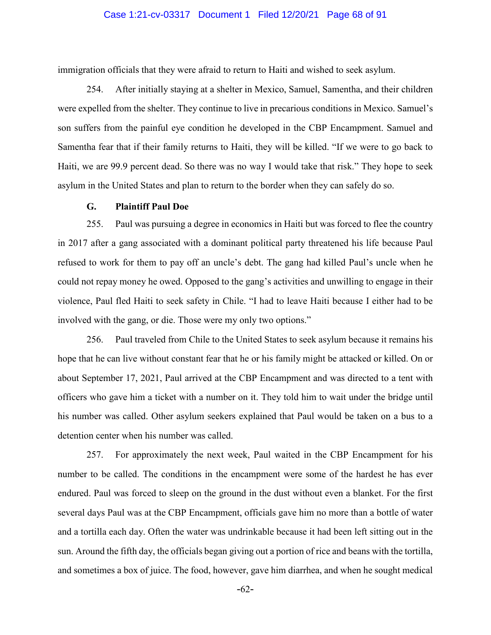### Case 1:21-cv-03317 Document 1 Filed 12/20/21 Page 68 of 91

immigration officials that they were afraid to return to Haiti and wished to seek asylum.

254. After initially staying at a shelter in Mexico, Samuel, Samentha, and their children were expelled from the shelter. They continue to live in precarious conditions in Mexico. Samuel's son suffers from the painful eye condition he developed in the CBP Encampment. Samuel and Samentha fear that if their family returns to Haiti, they will be killed. "If we were to go back to Haiti, we are 99.9 percent dead. So there was no way I would take that risk." They hope to seek asylum in the United States and plan to return to the border when they can safely do so.

#### **G. Plaintiff Paul Doe**

255. Paul was pursuing a degree in economics in Haiti but was forced to flee the country in 2017 after a gang associated with a dominant political party threatened his life because Paul refused to work for them to pay off an uncle's debt. The gang had killed Paul's uncle when he could not repay money he owed. Opposed to the gang's activities and unwilling to engage in their violence, Paul fled Haiti to seek safety in Chile. "I had to leave Haiti because I either had to be involved with the gang, or die. Those were my only two options."

256. Paul traveled from Chile to the United States to seek asylum because it remains his hope that he can live without constant fear that he or his family might be attacked or killed. On or about September 17, 2021, Paul arrived at the CBP Encampment and was directed to a tent with officers who gave him a ticket with a number on it. They told him to wait under the bridge until his number was called. Other asylum seekers explained that Paul would be taken on a bus to a detention center when his number was called.

257. For approximately the next week, Paul waited in the CBP Encampment for his number to be called. The conditions in the encampment were some of the hardest he has ever endured. Paul was forced to sleep on the ground in the dust without even a blanket. For the first several days Paul was at the CBP Encampment, officials gave him no more than a bottle of water and a tortilla each day. Often the water was undrinkable because it had been left sitting out in the sun. Around the fifth day, the officials began giving out a portion of rice and beans with the tortilla, and sometimes a box of juice. The food, however, gave him diarrhea, and when he sought medical

-62-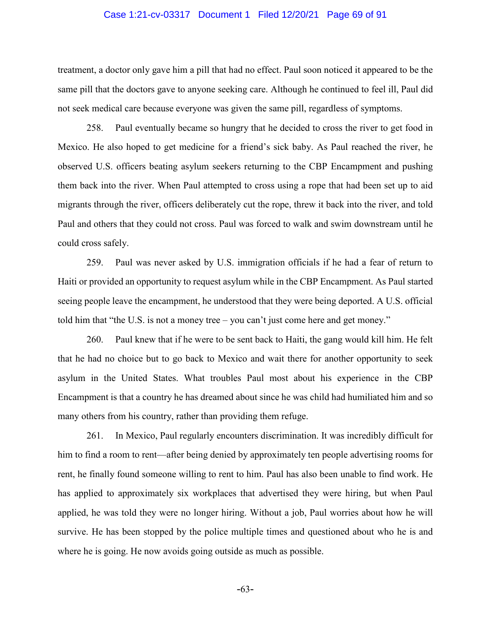#### Case 1:21-cv-03317 Document 1 Filed 12/20/21 Page 69 of 91

treatment, a doctor only gave him a pill that had no effect. Paul soon noticed it appeared to be the same pill that the doctors gave to anyone seeking care. Although he continued to feel ill, Paul did not seek medical care because everyone was given the same pill, regardless of symptoms.

258. Paul eventually became so hungry that he decided to cross the river to get food in Mexico. He also hoped to get medicine for a friend's sick baby. As Paul reached the river, he observed U.S. officers beating asylum seekers returning to the CBP Encampment and pushing them back into the river. When Paul attempted to cross using a rope that had been set up to aid migrants through the river, officers deliberately cut the rope, threw it back into the river, and told Paul and others that they could not cross. Paul was forced to walk and swim downstream until he could cross safely.

259. Paul was never asked by U.S. immigration officials if he had a fear of return to Haiti or provided an opportunity to request asylum while in the CBP Encampment. As Paul started seeing people leave the encampment, he understood that they were being deported. A U.S. official told him that "the U.S. is not a money tree – you can't just come here and get money."

260. Paul knew that if he were to be sent back to Haiti, the gang would kill him. He felt that he had no choice but to go back to Mexico and wait there for another opportunity to seek asylum in the United States. What troubles Paul most about his experience in the CBP Encampment is that a country he has dreamed about since he was child had humiliated him and so many others from his country, rather than providing them refuge.

261. In Mexico, Paul regularly encounters discrimination. It was incredibly difficult for him to find a room to rent—after being denied by approximately ten people advertising rooms for rent, he finally found someone willing to rent to him. Paul has also been unable to find work. He has applied to approximately six workplaces that advertised they were hiring, but when Paul applied, he was told they were no longer hiring. Without a job, Paul worries about how he will survive. He has been stopped by the police multiple times and questioned about who he is and where he is going. He now avoids going outside as much as possible.

-63-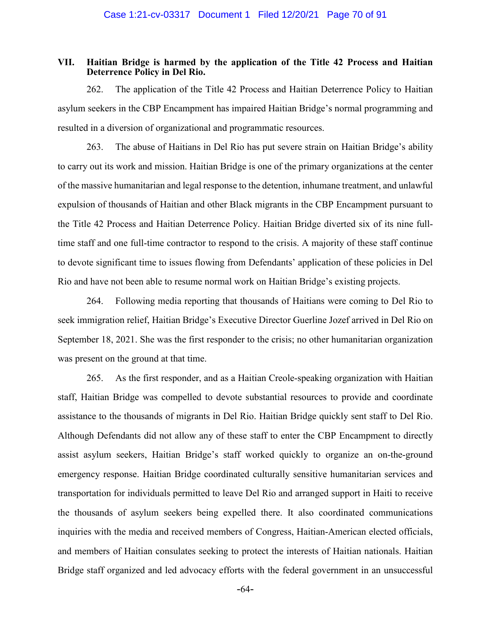### **VII. Haitian Bridge is harmed by the application of the Title 42 Process and Haitian Deterrence Policy in Del Rio.**

262. The application of the Title 42 Process and Haitian Deterrence Policy to Haitian asylum seekers in the CBP Encampment has impaired Haitian Bridge's normal programming and resulted in a diversion of organizational and programmatic resources.

263. The abuse of Haitians in Del Rio has put severe strain on Haitian Bridge's ability to carry out its work and mission. Haitian Bridge is one of the primary organizations at the center of the massive humanitarian and legal response to the detention, inhumane treatment, and unlawful expulsion of thousands of Haitian and other Black migrants in the CBP Encampment pursuant to the Title 42 Process and Haitian Deterrence Policy. Haitian Bridge diverted six of its nine fulltime staff and one full-time contractor to respond to the crisis. A majority of these staff continue to devote significant time to issues flowing from Defendants' application of these policies in Del Rio and have not been able to resume normal work on Haitian Bridge's existing projects.

264. Following media reporting that thousands of Haitians were coming to Del Rio to seek immigration relief, Haitian Bridge's Executive Director Guerline Jozef arrived in Del Rio on September 18, 2021. She was the first responder to the crisis; no other humanitarian organization was present on the ground at that time.

265. As the first responder, and as a Haitian Creole-speaking organization with Haitian staff, Haitian Bridge was compelled to devote substantial resources to provide and coordinate assistance to the thousands of migrants in Del Rio. Haitian Bridge quickly sent staff to Del Rio. Although Defendants did not allow any of these staff to enter the CBP Encampment to directly assist asylum seekers, Haitian Bridge's staff worked quickly to organize an on-the-ground emergency response. Haitian Bridge coordinated culturally sensitive humanitarian services and transportation for individuals permitted to leave Del Rio and arranged support in Haiti to receive the thousands of asylum seekers being expelled there. It also coordinated communications inquiries with the media and received members of Congress, Haitian-American elected officials, and members of Haitian consulates seeking to protect the interests of Haitian nationals. Haitian Bridge staff organized and led advocacy efforts with the federal government in an unsuccessful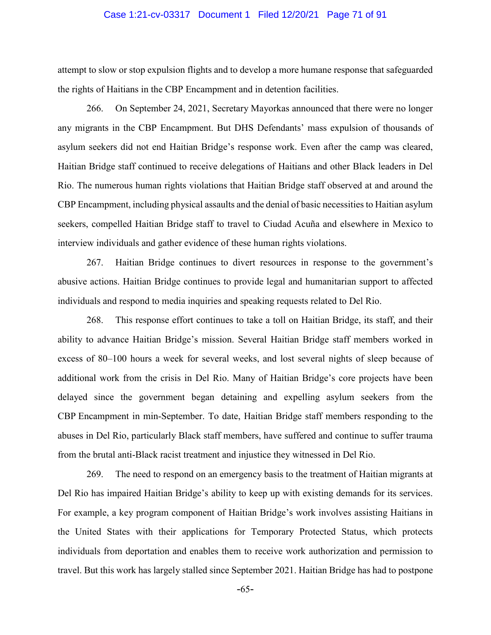#### Case 1:21-cv-03317 Document 1 Filed 12/20/21 Page 71 of 91

attempt to slow or stop expulsion flights and to develop a more humane response that safeguarded the rights of Haitians in the CBP Encampment and in detention facilities.

266. On September 24, 2021, Secretary Mayorkas announced that there were no longer any migrants in the CBP Encampment. But DHS Defendants' mass expulsion of thousands of asylum seekers did not end Haitian Bridge's response work. Even after the camp was cleared, Haitian Bridge staff continued to receive delegations of Haitians and other Black leaders in Del Rio. The numerous human rights violations that Haitian Bridge staff observed at and around the CBP Encampment, including physical assaults and the denial of basic necessities to Haitian asylum seekers, compelled Haitian Bridge staff to travel to Ciudad Acuña and elsewhere in Mexico to interview individuals and gather evidence of these human rights violations.

267. Haitian Bridge continues to divert resources in response to the government's abusive actions. Haitian Bridge continues to provide legal and humanitarian support to affected individuals and respond to media inquiries and speaking requests related to Del Rio.

268. This response effort continues to take a toll on Haitian Bridge, its staff, and their ability to advance Haitian Bridge's mission. Several Haitian Bridge staff members worked in excess of 80–100 hours a week for several weeks, and lost several nights of sleep because of additional work from the crisis in Del Rio. Many of Haitian Bridge's core projects have been delayed since the government began detaining and expelling asylum seekers from the CBP Encampment in min-September. To date, Haitian Bridge staff members responding to the abuses in Del Rio, particularly Black staff members, have suffered and continue to suffer trauma from the brutal anti-Black racist treatment and injustice they witnessed in Del Rio.

269. The need to respond on an emergency basis to the treatment of Haitian migrants at Del Rio has impaired Haitian Bridge's ability to keep up with existing demands for its services. For example, a key program component of Haitian Bridge's work involves assisting Haitians in the United States with their applications for Temporary Protected Status, which protects individuals from deportation and enables them to receive work authorization and permission to travel. But this work has largely stalled since September 2021. Haitian Bridge has had to postpone

-65-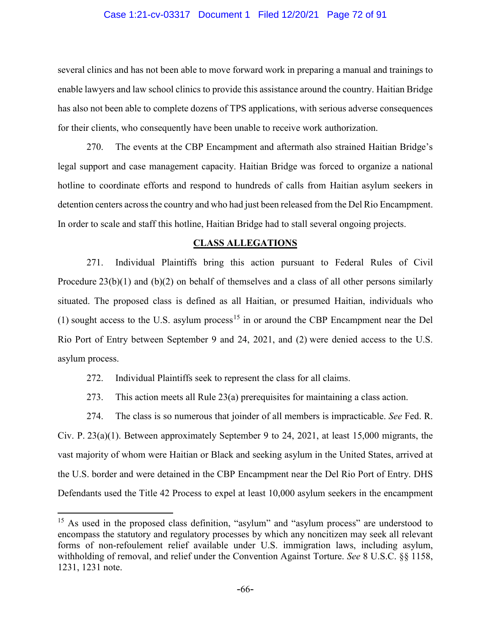#### Case 1:21-cv-03317 Document 1 Filed 12/20/21 Page 72 of 91

several clinics and has not been able to move forward work in preparing a manual and trainings to enable lawyers and law school clinics to provide this assistance around the country. Haitian Bridge has also not been able to complete dozens of TPS applications, with serious adverse consequences for their clients, who consequently have been unable to receive work authorization.

270. The events at the CBP Encampment and aftermath also strained Haitian Bridge's legal support and case management capacity. Haitian Bridge was forced to organize a national hotline to coordinate efforts and respond to hundreds of calls from Haitian asylum seekers in detention centers across the country and who had just been released from the Del Rio Encampment. In order to scale and staff this hotline, Haitian Bridge had to stall several ongoing projects.

#### **CLASS ALLEGATIONS**

271. Individual Plaintiffs bring this action pursuant to Federal Rules of Civil Procedure 23(b)(1) and (b)(2) on behalf of themselves and a class of all other persons similarly situated. The proposed class is defined as all Haitian, or presumed Haitian, individuals who (1) sought access to the U.S. asylum process<sup>[15](#page-71-0)</sup> in or around the CBP Encampment near the Del Rio Port of Entry between September 9 and 24, 2021, and (2) were denied access to the U.S. asylum process.

272. Individual Plaintiffs seek to represent the class for all claims.

273. This action meets all Rule 23(a) prerequisites for maintaining a class action.

274. The class is so numerous that joinder of all members is impracticable. *See* Fed. R. Civ. P. 23(a)(1). Between approximately September 9 to 24, 2021, at least 15,000 migrants, the vast majority of whom were Haitian or Black and seeking asylum in the United States, arrived at the U.S. border and were detained in the CBP Encampment near the Del Rio Port of Entry. DHS Defendants used the Title 42 Process to expel at least 10,000 asylum seekers in the encampment

<span id="page-71-0"></span><sup>&</sup>lt;sup>15</sup> As used in the proposed class definition, "asylum" and "asylum process" are understood to encompass the statutory and regulatory processes by which any noncitizen may seek all relevant forms of non-refoulement relief available under U.S. immigration laws, including asylum, withholding of removal, and relief under the Convention Against Torture. *See* 8 U.S.C. §§ 1158, 1231, 1231 note.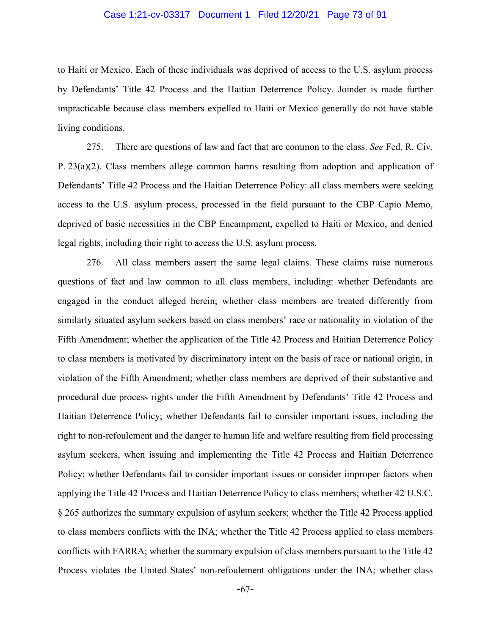### Case 1:21-cv-03317 Document 1 Filed 12/20/21 Page 73 of 91

to Haiti or Mexico. Each of these individuals was deprived of access to the U.S. asylum process by Defendants' Title 42 Process and the Haitian Deterrence Policy. Joinder is made further impracticable because class members expelled to Haiti or Mexico generally do not have stable living conditions.

275. There are questions of law and fact that are common to the class. *See* Fed. R. Civ. P. 23(a)(2). Class members allege common harms resulting from adoption and application of Defendants' Title 42 Process and the Haitian Deterrence Policy: all class members were seeking access to the U.S. asylum process, processed in the field pursuant to the CBP Capio Memo, deprived of basic necessities in the CBP Encampment, expelled to Haiti or Mexico, and denied legal rights, including their right to access the U.S. asylum process.

276. All class members assert the same legal claims. These claims raise numerous questions of fact and law common to all class members, including: whether Defendants are engaged in the conduct alleged herein; whether class members are treated differently from similarly situated asylum seekers based on class members' race or nationality in violation of the Fifth Amendment; whether the application of the Title 42 Process and Haitian Deterrence Policy to class members is motivated by discriminatory intent on the basis of race or national origin, in violation of the Fifth Amendment; whether class members are deprived of their substantive and procedural due process rights under the Fifth Amendment by Defendants' Title 42 Process and Haitian Deterrence Policy; whether Defendants fail to consider important issues, including the right to non-refoulement and the danger to human life and welfare resulting from field processing asylum seekers, when issuing and implementing the Title 42 Process and Haitian Deterrence Policy; whether Defendants fail to consider important issues or consider improper factors when applying the Title 42 Process and Haitian Deterrence Policy to class members; whether 42 U.S.C. § 265 authorizes the summary expulsion of asylum seekers; whether the Title 42 Process applied to class members conflicts with the INA; whether the Title 42 Process applied to class members conflicts with FARRA; whether the summary expulsion of class members pursuant to the Title 42 Process violates the United States' non-refoulement obligations under the INA; whether class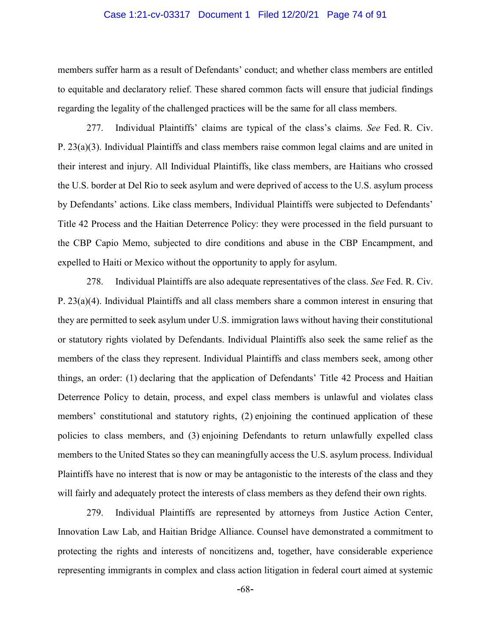### Case 1:21-cv-03317 Document 1 Filed 12/20/21 Page 74 of 91

members suffer harm as a result of Defendants' conduct; and whether class members are entitled to equitable and declaratory relief. These shared common facts will ensure that judicial findings regarding the legality of the challenged practices will be the same for all class members.

277. Individual Plaintiffs' claims are typical of the class's claims. *See* Fed. R. Civ. P. 23(a)(3). Individual Plaintiffs and class members raise common legal claims and are united in their interest and injury. All Individual Plaintiffs, like class members, are Haitians who crossed the U.S. border at Del Rio to seek asylum and were deprived of access to the U.S. asylum process by Defendants' actions. Like class members, Individual Plaintiffs were subjected to Defendants' Title 42 Process and the Haitian Deterrence Policy: they were processed in the field pursuant to the CBP Capio Memo, subjected to dire conditions and abuse in the CBP Encampment, and expelled to Haiti or Mexico without the opportunity to apply for asylum.

278. Individual Plaintiffs are also adequate representatives of the class. *See* Fed. R. Civ. P. 23(a)(4). Individual Plaintiffs and all class members share a common interest in ensuring that they are permitted to seek asylum under U.S. immigration laws without having their constitutional or statutory rights violated by Defendants. Individual Plaintiffs also seek the same relief as the members of the class they represent. Individual Plaintiffs and class members seek, among other things, an order: (1) declaring that the application of Defendants' Title 42 Process and Haitian Deterrence Policy to detain, process, and expel class members is unlawful and violates class members' constitutional and statutory rights, (2) enjoining the continued application of these policies to class members, and (3) enjoining Defendants to return unlawfully expelled class members to the United States so they can meaningfully access the U.S. asylum process. Individual Plaintiffs have no interest that is now or may be antagonistic to the interests of the class and they will fairly and adequately protect the interests of class members as they defend their own rights.

279. Individual Plaintiffs are represented by attorneys from Justice Action Center, Innovation Law Lab, and Haitian Bridge Alliance. Counsel have demonstrated a commitment to protecting the rights and interests of noncitizens and, together, have considerable experience representing immigrants in complex and class action litigation in federal court aimed at systemic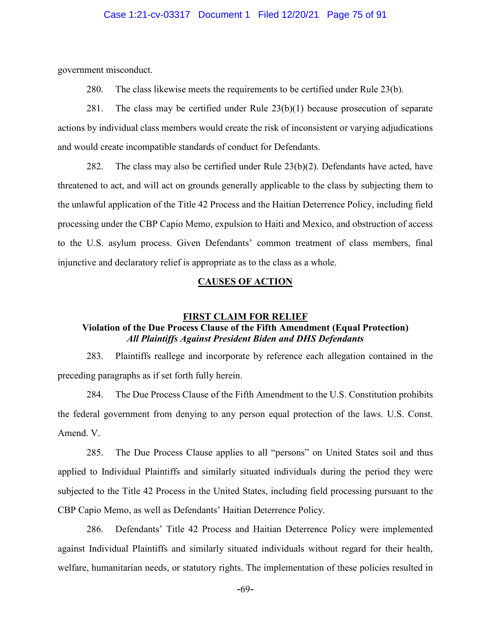### Case 1:21-cv-03317 Document 1 Filed 12/20/21 Page 75 of 91

government misconduct.

280. The class likewise meets the requirements to be certified under Rule 23(b).

281. The class may be certified under Rule 23(b)(1) because prosecution of separate actions by individual class members would create the risk of inconsistent or varying adjudications and would create incompatible standards of conduct for Defendants.

282. The class may also be certified under Rule 23(b)(2). Defendants have acted, have threatened to act, and will act on grounds generally applicable to the class by subjecting them to the unlawful application of the Title 42 Process and the Haitian Deterrence Policy, including field processing under the CBP Capio Memo, expulsion to Haiti and Mexico, and obstruction of access to the U.S. asylum process. Given Defendants' common treatment of class members, final injunctive and declaratory relief is appropriate as to the class as a whole.

## **CAUSES OF ACTION**

## **FIRST CLAIM FOR RELIEF Violation of the Due Process Clause of the Fifth Amendment (Equal Protection)** *All Plaintiffs Against President Biden and DHS Defendants*

283. Plaintiffs reallege and incorporate by reference each allegation contained in the preceding paragraphs as if set forth fully herein.

284. The Due Process Clause of the Fifth Amendment to the U.S. Constitution prohibits the federal government from denying to any person equal protection of the laws. U.S. Const. Amend. V.

285. The Due Process Clause applies to all "persons" on United States soil and thus applied to Individual Plaintiffs and similarly situated individuals during the period they were subjected to the Title 42 Process in the United States, including field processing pursuant to the CBP Capio Memo, as well as Defendants' Haitian Deterrence Policy.

286. Defendants' Title 42 Process and Haitian Deterrence Policy were implemented against Individual Plaintiffs and similarly situated individuals without regard for their health, welfare, humanitarian needs, or statutory rights. The implementation of these policies resulted in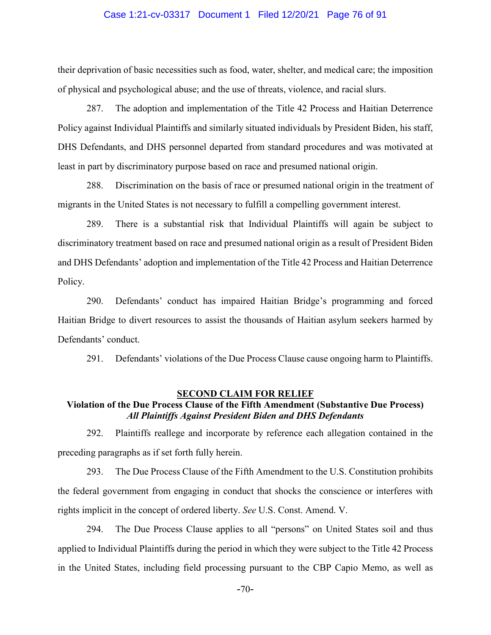### Case 1:21-cv-03317 Document 1 Filed 12/20/21 Page 76 of 91

their deprivation of basic necessities such as food, water, shelter, and medical care; the imposition of physical and psychological abuse; and the use of threats, violence, and racial slurs.

287. The adoption and implementation of the Title 42 Process and Haitian Deterrence Policy against Individual Plaintiffs and similarly situated individuals by President Biden, his staff, DHS Defendants, and DHS personnel departed from standard procedures and was motivated at least in part by discriminatory purpose based on race and presumed national origin.

288. Discrimination on the basis of race or presumed national origin in the treatment of migrants in the United States is not necessary to fulfill a compelling government interest.

289. There is a substantial risk that Individual Plaintiffs will again be subject to discriminatory treatment based on race and presumed national origin as a result of President Biden and DHS Defendants' adoption and implementation of the Title 42 Process and Haitian Deterrence Policy.

290. Defendants' conduct has impaired Haitian Bridge's programming and forced Haitian Bridge to divert resources to assist the thousands of Haitian asylum seekers harmed by Defendants' conduct.

291. Defendants' violations of the Due Process Clause cause ongoing harm to Plaintiffs.

#### **SECOND CLAIM FOR RELIEF**

## **Violation of the Due Process Clause of the Fifth Amendment (Substantive Due Process)** *All Plaintiffs Against President Biden and DHS Defendants*

292. Plaintiffs reallege and incorporate by reference each allegation contained in the preceding paragraphs as if set forth fully herein.

293. The Due Process Clause of the Fifth Amendment to the U.S. Constitution prohibits the federal government from engaging in conduct that shocks the conscience or interferes with rights implicit in the concept of ordered liberty. *See* U.S. Const. Amend. V.

294. The Due Process Clause applies to all "persons" on United States soil and thus applied to Individual Plaintiffs during the period in which they were subject to the Title 42 Process in the United States, including field processing pursuant to the CBP Capio Memo, as well as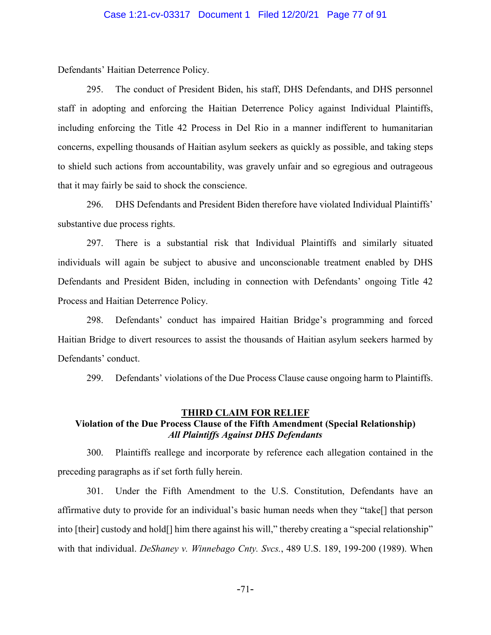Defendants' Haitian Deterrence Policy.

295. The conduct of President Biden, his staff, DHS Defendants, and DHS personnel staff in adopting and enforcing the Haitian Deterrence Policy against Individual Plaintiffs, including enforcing the Title 42 Process in Del Rio in a manner indifferent to humanitarian concerns, expelling thousands of Haitian asylum seekers as quickly as possible, and taking steps to shield such actions from accountability, was gravely unfair and so egregious and outrageous that it may fairly be said to shock the conscience.

296. DHS Defendants and President Biden therefore have violated Individual Plaintiffs' substantive due process rights.

297. There is a substantial risk that Individual Plaintiffs and similarly situated individuals will again be subject to abusive and unconscionable treatment enabled by DHS Defendants and President Biden, including in connection with Defendants' ongoing Title 42 Process and Haitian Deterrence Policy.

298. Defendants' conduct has impaired Haitian Bridge's programming and forced Haitian Bridge to divert resources to assist the thousands of Haitian asylum seekers harmed by Defendants' conduct.

299. Defendants' violations of the Due Process Clause cause ongoing harm to Plaintiffs.

### **THIRD CLAIM FOR RELIEF Violation of the Due Process Clause of the Fifth Amendment (Special Relationship)** *All Plaintiffs Against DHS Defendants*

300. Plaintiffs reallege and incorporate by reference each allegation contained in the preceding paragraphs as if set forth fully herein.

301. Under the Fifth Amendment to the U.S. Constitution, Defendants have an affirmative duty to provide for an individual's basic human needs when they "take[] that person into [their] custody and hold[] him there against his will," thereby creating a "special relationship" with that individual. *DeShaney v. Winnebago Cnty. Svcs.*, 489 U.S. 189, 199-200 (1989). When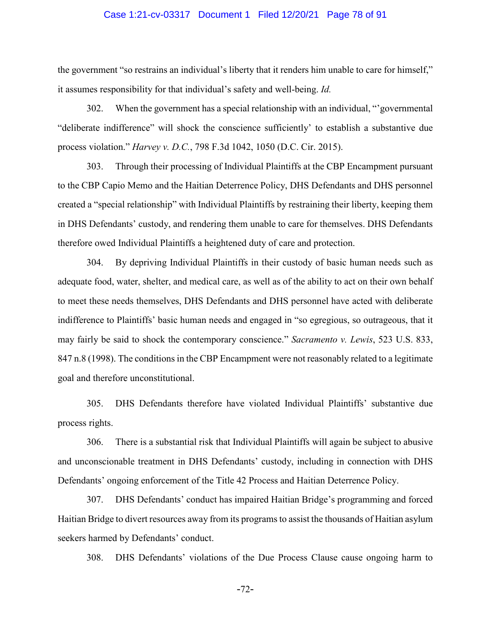### Case 1:21-cv-03317 Document 1 Filed 12/20/21 Page 78 of 91

the government "so restrains an individual's liberty that it renders him unable to care for himself," it assumes responsibility for that individual's safety and well-being. *Id.*

302. When the government has a special relationship with an individual, "'governmental "deliberate indifference" will shock the conscience sufficiently' to establish a substantive due process violation." *Harvey v. D.C.*, 798 F.3d 1042, 1050 (D.C. Cir. 2015).

303. Through their processing of Individual Plaintiffs at the CBP Encampment pursuant to the CBP Capio Memo and the Haitian Deterrence Policy, DHS Defendants and DHS personnel created a "special relationship" with Individual Plaintiffs by restraining their liberty, keeping them in DHS Defendants' custody, and rendering them unable to care for themselves. DHS Defendants therefore owed Individual Plaintiffs a heightened duty of care and protection.

304. By depriving Individual Plaintiffs in their custody of basic human needs such as adequate food, water, shelter, and medical care, as well as of the ability to act on their own behalf to meet these needs themselves, DHS Defendants and DHS personnel have acted with deliberate indifference to Plaintiffs' basic human needs and engaged in "so egregious, so outrageous, that it may fairly be said to shock the contemporary conscience." *Sacramento v. Lewis*, 523 U.S. 833, 847 n.8 (1998). The conditions in the CBP Encampment were not reasonably related to a legitimate goal and therefore unconstitutional.

305. DHS Defendants therefore have violated Individual Plaintiffs' substantive due process rights.

306. There is a substantial risk that Individual Plaintiffs will again be subject to abusive and unconscionable treatment in DHS Defendants' custody, including in connection with DHS Defendants' ongoing enforcement of the Title 42 Process and Haitian Deterrence Policy.

307. DHS Defendants' conduct has impaired Haitian Bridge's programming and forced Haitian Bridge to divert resources away from its programs to assist the thousands of Haitian asylum seekers harmed by Defendants' conduct.

308. DHS Defendants' violations of the Due Process Clause cause ongoing harm to

-72-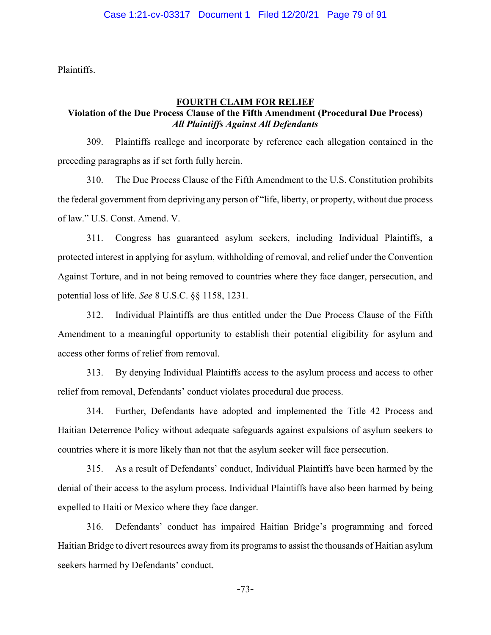Plaintiffs.

### **FOURTH CLAIM FOR RELIEF**

# **Violation of the Due Process Clause of the Fifth Amendment (Procedural Due Process)** *All Plaintiffs Against All Defendants*

309. Plaintiffs reallege and incorporate by reference each allegation contained in the preceding paragraphs as if set forth fully herein.

310. The Due Process Clause of the Fifth Amendment to the U.S. Constitution prohibits the federal government from depriving any person of "life, liberty, or property, without due process of law." U.S. Const. Amend. V.

311. Congress has guaranteed asylum seekers, including Individual Plaintiffs, a protected interest in applying for asylum, withholding of removal, and relief under the Convention Against Torture, and in not being removed to countries where they face danger, persecution, and potential loss of life. *See* 8 U.S.C. §§ 1158, 1231.

312. Individual Plaintiffs are thus entitled under the Due Process Clause of the Fifth Amendment to a meaningful opportunity to establish their potential eligibility for asylum and access other forms of relief from removal.

313. By denying Individual Plaintiffs access to the asylum process and access to other relief from removal, Defendants' conduct violates procedural due process.

314. Further, Defendants have adopted and implemented the Title 42 Process and Haitian Deterrence Policy without adequate safeguards against expulsions of asylum seekers to countries where it is more likely than not that the asylum seeker will face persecution.

315. As a result of Defendants' conduct, Individual Plaintiffs have been harmed by the denial of their access to the asylum process. Individual Plaintiffs have also been harmed by being expelled to Haiti or Mexico where they face danger.

316. Defendants' conduct has impaired Haitian Bridge's programming and forced Haitian Bridge to divert resources away from its programs to assist the thousands of Haitian asylum seekers harmed by Defendants' conduct.

-73-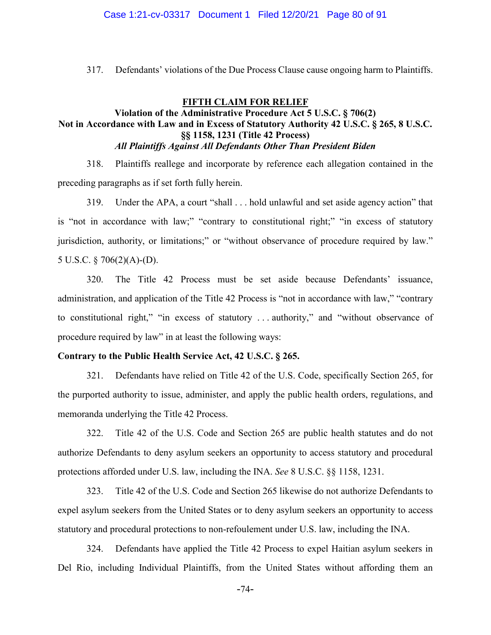### Case 1:21-cv-03317 Document 1 Filed 12/20/21 Page 80 of 91

317. Defendants' violations of the Due Process Clause cause ongoing harm to Plaintiffs.

## **FIFTH CLAIM FOR RELIEF Violation of the Administrative Procedure Act 5 U.S.C. § 706(2) Not in Accordance with Law and in Excess of Statutory Authority 42 U.S.C. § 265, 8 U.S.C. §§ 1158, 1231 (Title 42 Process)** *All Plaintiffs Against All Defendants Other Than President Biden*

318. Plaintiffs reallege and incorporate by reference each allegation contained in the preceding paragraphs as if set forth fully herein.

319. Under the APA, a court "shall . . . hold unlawful and set aside agency action" that is "not in accordance with law;" "contrary to constitutional right;" "in excess of statutory jurisdiction, authority, or limitations;" or "without observance of procedure required by law." 5 U.S.C. § 706(2)(A)-(D).

320. The Title 42 Process must be set aside because Defendants' issuance, administration, and application of the Title 42 Process is "not in accordance with law," "contrary to constitutional right," "in excess of statutory . . . authority," and "without observance of procedure required by law" in at least the following ways:

### **Contrary to the Public Health Service Act, 42 U.S.C. § 265.**

321. Defendants have relied on Title 42 of the U.S. Code, specifically Section 265, for the purported authority to issue, administer, and apply the public health orders, regulations, and memoranda underlying the Title 42 Process.

322. Title 42 of the U.S. Code and Section 265 are public health statutes and do not authorize Defendants to deny asylum seekers an opportunity to access statutory and procedural protections afforded under U.S. law, including the INA. *See* 8 U.S.C. §§ 1158, 1231.

323. Title 42 of the U.S. Code and Section 265 likewise do not authorize Defendants to expel asylum seekers from the United States or to deny asylum seekers an opportunity to access statutory and procedural protections to non-refoulement under U.S. law, including the INA.

324. Defendants have applied the Title 42 Process to expel Haitian asylum seekers in Del Rio, including Individual Plaintiffs, from the United States without affording them an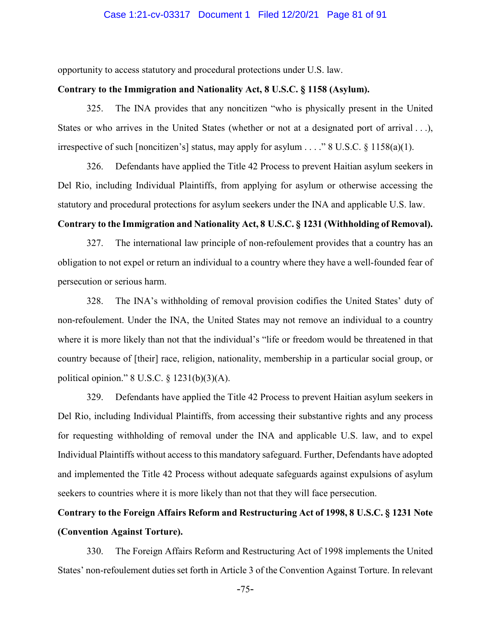### Case 1:21-cv-03317 Document 1 Filed 12/20/21 Page 81 of 91

opportunity to access statutory and procedural protections under U.S. law.

### **Contrary to the Immigration and Nationality Act, 8 U.S.C. § 1158 (Asylum).**

325. The INA provides that any noncitizen "who is physically present in the United States or who arrives in the United States (whether or not at a designated port of arrival . . .), irrespective of such [noncitizen's] status, may apply for asylum . . . ." 8 U.S.C.  $\S$  1158(a)(1).

326. Defendants have applied the Title 42 Process to prevent Haitian asylum seekers in Del Rio, including Individual Plaintiffs, from applying for asylum or otherwise accessing the statutory and procedural protections for asylum seekers under the INA and applicable U.S. law.

### **Contrary to the Immigration and Nationality Act, 8 U.S.C. § 1231 (Withholding of Removal).**

327. The international law principle of non-refoulement provides that a country has an obligation to not expel or return an individual to a country where they have a well-founded fear of persecution or serious harm.

328. The INA's withholding of removal provision codifies the United States' duty of non-refoulement. Under the INA, the United States may not remove an individual to a country where it is more likely than not that the individual's "life or freedom would be threatened in that country because of [their] race, religion, nationality, membership in a particular social group, or political opinion." 8 U.S.C. § 1231(b)(3)(A).

329. Defendants have applied the Title 42 Process to prevent Haitian asylum seekers in Del Rio, including Individual Plaintiffs, from accessing their substantive rights and any process for requesting withholding of removal under the INA and applicable U.S. law, and to expel Individual Plaintiffs without access to this mandatory safeguard. Further, Defendants have adopted and implemented the Title 42 Process without adequate safeguards against expulsions of asylum seekers to countries where it is more likely than not that they will face persecution.

# **Contrary to the Foreign Affairs Reform and Restructuring Act of 1998, 8 U.S.C. § 1231 Note (Convention Against Torture).**

330. The Foreign Affairs Reform and Restructuring Act of 1998 implements the United States' non-refoulement duties set forth in Article 3 of the Convention Against Torture. In relevant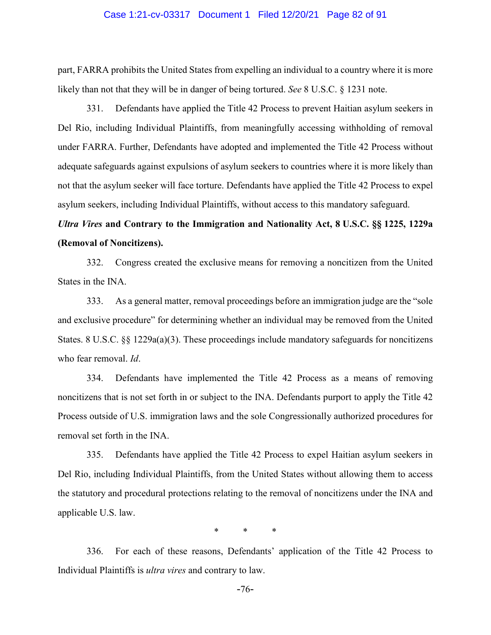### Case 1:21-cv-03317 Document 1 Filed 12/20/21 Page 82 of 91

part, FARRA prohibits the United States from expelling an individual to a country where it is more likely than not that they will be in danger of being tortured. *See* 8 U.S.C. § 1231 note.

331. Defendants have applied the Title 42 Process to prevent Haitian asylum seekers in Del Rio, including Individual Plaintiffs, from meaningfully accessing withholding of removal under FARRA. Further, Defendants have adopted and implemented the Title 42 Process without adequate safeguards against expulsions of asylum seekers to countries where it is more likely than not that the asylum seeker will face torture. Defendants have applied the Title 42 Process to expel asylum seekers, including Individual Plaintiffs, without access to this mandatory safeguard.

# *Ultra Vires* **and Contrary to the Immigration and Nationality Act, 8 U.S.C. §§ 1225, 1229a (Removal of Noncitizens).**

332. Congress created the exclusive means for removing a noncitizen from the United States in the INA.

333. As a general matter, removal proceedings before an immigration judge are the "sole and exclusive procedure" for determining whether an individual may be removed from the United States. 8 U.S.C. §§ 1229a(a)(3). These proceedings include mandatory safeguards for noncitizens who fear removal. *Id*.

334. Defendants have implemented the Title 42 Process as a means of removing noncitizens that is not set forth in or subject to the INA. Defendants purport to apply the Title 42 Process outside of U.S. immigration laws and the sole Congressionally authorized procedures for removal set forth in the INA.

335. Defendants have applied the Title 42 Process to expel Haitian asylum seekers in Del Rio, including Individual Plaintiffs, from the United States without allowing them to access the statutory and procedural protections relating to the removal of noncitizens under the INA and applicable U.S. law.

\* \* \*

336. For each of these reasons, Defendants' application of the Title 42 Process to Individual Plaintiffs is *ultra vires* and contrary to law.

-76-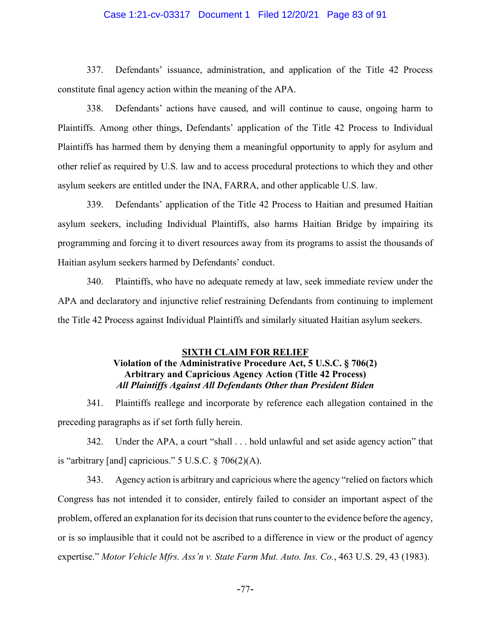### Case 1:21-cv-03317 Document 1 Filed 12/20/21 Page 83 of 91

337. Defendants' issuance, administration, and application of the Title 42 Process constitute final agency action within the meaning of the APA.

338. Defendants' actions have caused, and will continue to cause, ongoing harm to Plaintiffs. Among other things, Defendants' application of the Title 42 Process to Individual Plaintiffs has harmed them by denying them a meaningful opportunity to apply for asylum and other relief as required by U.S. law and to access procedural protections to which they and other asylum seekers are entitled under the INA, FARRA, and other applicable U.S. law.

339. Defendants' application of the Title 42 Process to Haitian and presumed Haitian asylum seekers, including Individual Plaintiffs, also harms Haitian Bridge by impairing its programming and forcing it to divert resources away from its programs to assist the thousands of Haitian asylum seekers harmed by Defendants' conduct.

340. Plaintiffs, who have no adequate remedy at law, seek immediate review under the APA and declaratory and injunctive relief restraining Defendants from continuing to implement the Title 42 Process against Individual Plaintiffs and similarly situated Haitian asylum seekers.

### **SIXTH CLAIM FOR RELIEF**

# **Violation of the Administrative Procedure Act, 5 U.S.C. § 706(2) Arbitrary and Capricious Agency Action (Title 42 Process)** *All Plaintiffs Against All Defendants Other than President Biden*

341. Plaintiffs reallege and incorporate by reference each allegation contained in the preceding paragraphs as if set forth fully herein.

342. Under the APA, a court "shall . . . hold unlawful and set aside agency action" that is "arbitrary [and] capricious."  $5 \text{ U.S.C.} \$   $706(2)(\text{A})$ .

343. Agency action is arbitrary and capricious where the agency "relied on factors which Congress has not intended it to consider, entirely failed to consider an important aspect of the problem, offered an explanation for its decision that runs counter to the evidence before the agency, or is so implausible that it could not be ascribed to a difference in view or the product of agency expertise." *Motor Vehicle Mfrs. Ass'n v. State Farm Mut. Auto. Ins. Co.*, 463 U.S. 29, 43 (1983).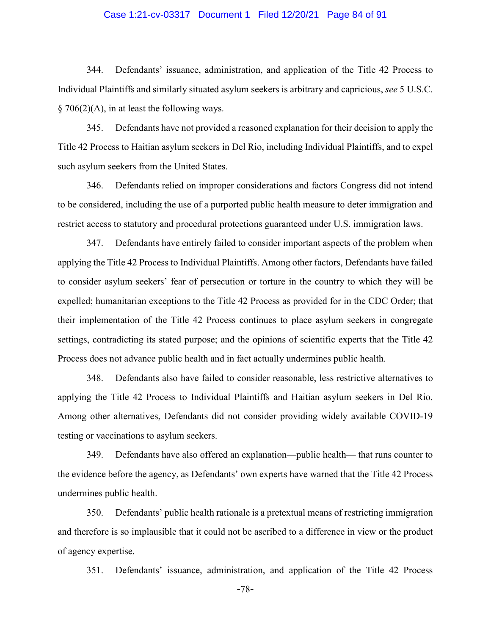### Case 1:21-cv-03317 Document 1 Filed 12/20/21 Page 84 of 91

344. Defendants' issuance, administration, and application of the Title 42 Process to Individual Plaintiffs and similarly situated asylum seekers is arbitrary and capricious, *see* 5 U.S.C.  $\S$  706(2)(A), in at least the following ways.

345. Defendants have not provided a reasoned explanation for their decision to apply the Title 42 Process to Haitian asylum seekers in Del Rio, including Individual Plaintiffs, and to expel such asylum seekers from the United States.

346. Defendants relied on improper considerations and factors Congress did not intend to be considered, including the use of a purported public health measure to deter immigration and restrict access to statutory and procedural protections guaranteed under U.S. immigration laws.

347. Defendants have entirely failed to consider important aspects of the problem when applying the Title 42 Process to Individual Plaintiffs. Among other factors, Defendants have failed to consider asylum seekers' fear of persecution or torture in the country to which they will be expelled; humanitarian exceptions to the Title 42 Process as provided for in the CDC Order; that their implementation of the Title 42 Process continues to place asylum seekers in congregate settings, contradicting its stated purpose; and the opinions of scientific experts that the Title 42 Process does not advance public health and in fact actually undermines public health.

348. Defendants also have failed to consider reasonable, less restrictive alternatives to applying the Title 42 Process to Individual Plaintiffs and Haitian asylum seekers in Del Rio. Among other alternatives, Defendants did not consider providing widely available COVID-19 testing or vaccinations to asylum seekers.

349. Defendants have also offered an explanation—public health— that runs counter to the evidence before the agency, as Defendants' own experts have warned that the Title 42 Process undermines public health.

350. Defendants' public health rationale is a pretextual means of restricting immigration and therefore is so implausible that it could not be ascribed to a difference in view or the product of agency expertise.

351. Defendants' issuance, administration, and application of the Title 42 Process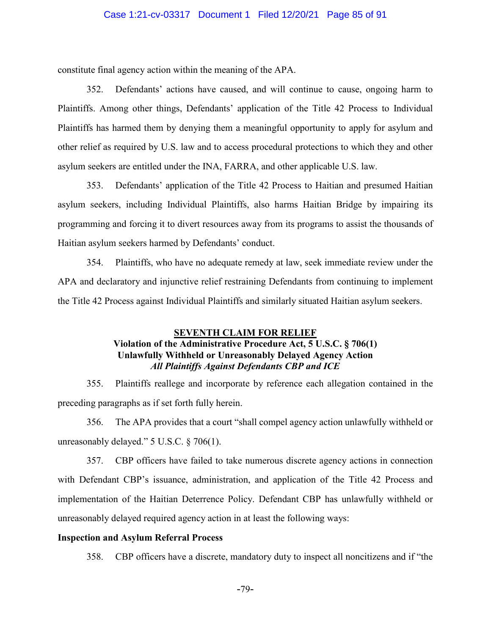### Case 1:21-cv-03317 Document 1 Filed 12/20/21 Page 85 of 91

constitute final agency action within the meaning of the APA.

352. Defendants' actions have caused, and will continue to cause, ongoing harm to Plaintiffs. Among other things, Defendants' application of the Title 42 Process to Individual Plaintiffs has harmed them by denying them a meaningful opportunity to apply for asylum and other relief as required by U.S. law and to access procedural protections to which they and other asylum seekers are entitled under the INA, FARRA, and other applicable U.S. law.

353. Defendants' application of the Title 42 Process to Haitian and presumed Haitian asylum seekers, including Individual Plaintiffs, also harms Haitian Bridge by impairing its programming and forcing it to divert resources away from its programs to assist the thousands of Haitian asylum seekers harmed by Defendants' conduct.

354. Plaintiffs, who have no adequate remedy at law, seek immediate review under the APA and declaratory and injunctive relief restraining Defendants from continuing to implement the Title 42 Process against Individual Plaintiffs and similarly situated Haitian asylum seekers.

## **SEVENTH CLAIM FOR RELIEF Violation of the Administrative Procedure Act, 5 U.S.C. § 706(1) Unlawfully Withheld or Unreasonably Delayed Agency Action**  *All Plaintiffs Against Defendants CBP and ICE*

355. Plaintiffs reallege and incorporate by reference each allegation contained in the preceding paragraphs as if set forth fully herein.

356. The APA provides that a court "shall compel agency action unlawfully withheld or unreasonably delayed." 5 U.S.C. § 706(1).

357. CBP officers have failed to take numerous discrete agency actions in connection with Defendant CBP's issuance, administration, and application of the Title 42 Process and implementation of the Haitian Deterrence Policy. Defendant CBP has unlawfully withheld or unreasonably delayed required agency action in at least the following ways:

### **Inspection and Asylum Referral Process**

358. CBP officers have a discrete, mandatory duty to inspect all noncitizens and if "the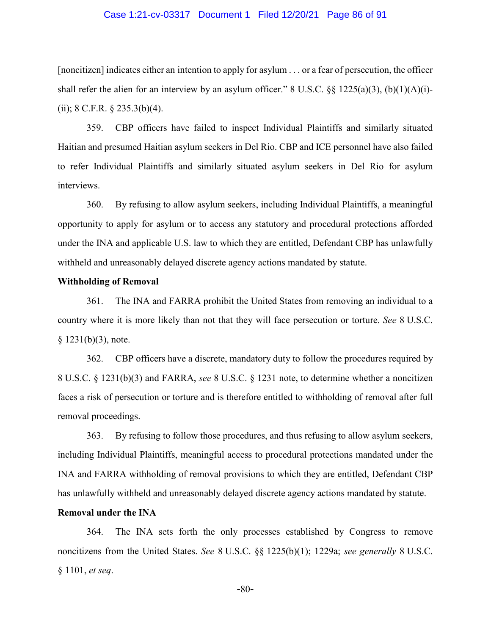### Case 1:21-cv-03317 Document 1 Filed 12/20/21 Page 86 of 91

[noncitizen] indicates either an intention to apply for asylum . . . or a fear of persecution, the officer shall refer the alien for an interview by an asylum officer." 8 U.S.C.  $\S\S 1225(a)(3)$ , (b)(1)(A)(i)-(ii); 8 C.F.R.  $\S$  235.3(b)(4).

359. CBP officers have failed to inspect Individual Plaintiffs and similarly situated Haitian and presumed Haitian asylum seekers in Del Rio. CBP and ICE personnel have also failed to refer Individual Plaintiffs and similarly situated asylum seekers in Del Rio for asylum interviews.

360. By refusing to allow asylum seekers, including Individual Plaintiffs, a meaningful opportunity to apply for asylum or to access any statutory and procedural protections afforded under the INA and applicable U.S. law to which they are entitled, Defendant CBP has unlawfully withheld and unreasonably delayed discrete agency actions mandated by statute.

### **Withholding of Removal**

361. The INA and FARRA prohibit the United States from removing an individual to a country where it is more likely than not that they will face persecution or torture. *See* 8 U.S.C.  $§$  1231(b)(3), note.

362. CBP officers have a discrete, mandatory duty to follow the procedures required by 8 U.S.C. § 1231(b)(3) and FARRA, *see* 8 U.S.C. § 1231 note, to determine whether a noncitizen faces a risk of persecution or torture and is therefore entitled to withholding of removal after full removal proceedings.

363. By refusing to follow those procedures, and thus refusing to allow asylum seekers, including Individual Plaintiffs, meaningful access to procedural protections mandated under the INA and FARRA withholding of removal provisions to which they are entitled, Defendant CBP has unlawfully withheld and unreasonably delayed discrete agency actions mandated by statute.

## **Removal under the INA**

364. The INA sets forth the only processes established by Congress to remove noncitizens from the United States. *See* 8 U.S.C. §§ 1225(b)(1); 1229a; *see generally* 8 U.S.C. § 1101, *et seq*.

-80-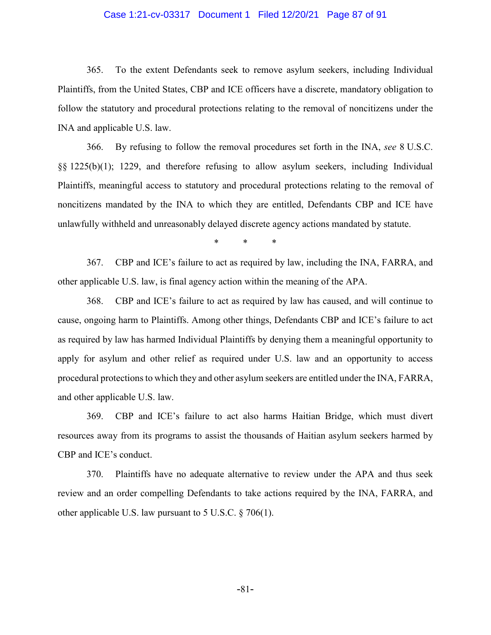### Case 1:21-cv-03317 Document 1 Filed 12/20/21 Page 87 of 91

365. To the extent Defendants seek to remove asylum seekers, including Individual Plaintiffs, from the United States, CBP and ICE officers have a discrete, mandatory obligation to follow the statutory and procedural protections relating to the removal of noncitizens under the INA and applicable U.S. law.

366. By refusing to follow the removal procedures set forth in the INA, *see* 8 U.S.C. §§ 1225(b)(1); 1229, and therefore refusing to allow asylum seekers, including Individual Plaintiffs, meaningful access to statutory and procedural protections relating to the removal of noncitizens mandated by the INA to which they are entitled, Defendants CBP and ICE have unlawfully withheld and unreasonably delayed discrete agency actions mandated by statute.

\* \* \*

367. CBP and ICE's failure to act as required by law, including the INA, FARRA, and other applicable U.S. law, is final agency action within the meaning of the APA.

368. CBP and ICE's failure to act as required by law has caused, and will continue to cause, ongoing harm to Plaintiffs. Among other things, Defendants CBP and ICE's failure to act as required by law has harmed Individual Plaintiffs by denying them a meaningful opportunity to apply for asylum and other relief as required under U.S. law and an opportunity to access procedural protections to which they and other asylum seekers are entitled under the INA, FARRA, and other applicable U.S. law.

369. CBP and ICE's failure to act also harms Haitian Bridge, which must divert resources away from its programs to assist the thousands of Haitian asylum seekers harmed by CBP and ICE's conduct.

370. Plaintiffs have no adequate alternative to review under the APA and thus seek review and an order compelling Defendants to take actions required by the INA, FARRA, and other applicable U.S. law pursuant to 5 U.S.C. § 706(1).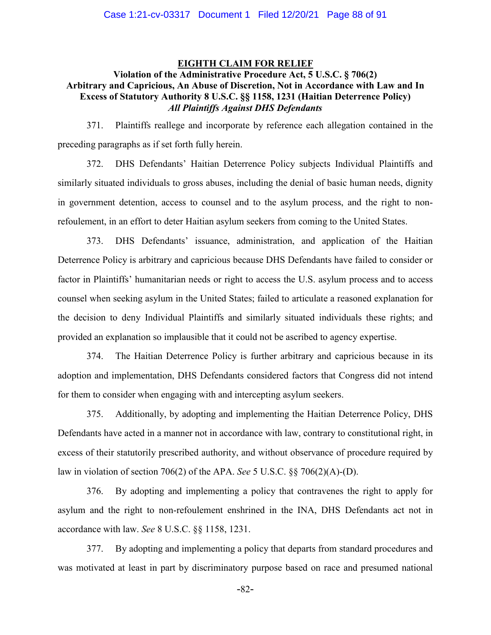## **EIGHTH CLAIM FOR RELIEF**

## **Violation of the Administrative Procedure Act, 5 U.S.C. § 706(2) Arbitrary and Capricious, An Abuse of Discretion, Not in Accordance with Law and In Excess of Statutory Authority 8 U.S.C. §§ 1158, 1231 (Haitian Deterrence Policy)** *All Plaintiffs Against DHS Defendants*

371. Plaintiffs reallege and incorporate by reference each allegation contained in the preceding paragraphs as if set forth fully herein.

372. DHS Defendants' Haitian Deterrence Policy subjects Individual Plaintiffs and similarly situated individuals to gross abuses, including the denial of basic human needs, dignity in government detention, access to counsel and to the asylum process, and the right to nonrefoulement, in an effort to deter Haitian asylum seekers from coming to the United States.

373. DHS Defendants' issuance, administration, and application of the Haitian Deterrence Policy is arbitrary and capricious because DHS Defendants have failed to consider or factor in Plaintiffs' humanitarian needs or right to access the U.S. asylum process and to access counsel when seeking asylum in the United States; failed to articulate a reasoned explanation for the decision to deny Individual Plaintiffs and similarly situated individuals these rights; and provided an explanation so implausible that it could not be ascribed to agency expertise.

374. The Haitian Deterrence Policy is further arbitrary and capricious because in its adoption and implementation, DHS Defendants considered factors that Congress did not intend for them to consider when engaging with and intercepting asylum seekers.

375. Additionally, by adopting and implementing the Haitian Deterrence Policy, DHS Defendants have acted in a manner not in accordance with law, contrary to constitutional right, in excess of their statutorily prescribed authority, and without observance of procedure required by law in violation of section 706(2) of the APA. *See* 5 U.S.C. §§ 706(2)(A)-(D).

376. By adopting and implementing a policy that contravenes the right to apply for asylum and the right to non-refoulement enshrined in the INA, DHS Defendants act not in accordance with law. *See* 8 U.S.C. §§ 1158, 1231.

377. By adopting and implementing a policy that departs from standard procedures and was motivated at least in part by discriminatory purpose based on race and presumed national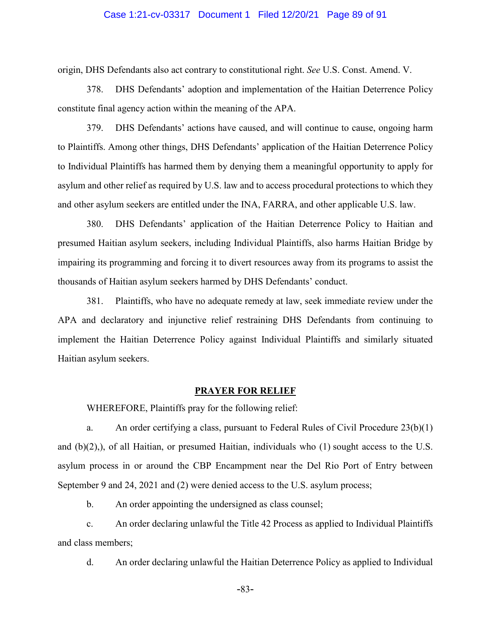### Case 1:21-cv-03317 Document 1 Filed 12/20/21 Page 89 of 91

origin, DHS Defendants also act contrary to constitutional right. *See* U.S. Const. Amend. V.

378. DHS Defendants' adoption and implementation of the Haitian Deterrence Policy constitute final agency action within the meaning of the APA.

379. DHS Defendants' actions have caused, and will continue to cause, ongoing harm to Plaintiffs. Among other things, DHS Defendants' application of the Haitian Deterrence Policy to Individual Plaintiffs has harmed them by denying them a meaningful opportunity to apply for asylum and other relief as required by U.S. law and to access procedural protections to which they and other asylum seekers are entitled under the INA, FARRA, and other applicable U.S. law.

380. DHS Defendants' application of the Haitian Deterrence Policy to Haitian and presumed Haitian asylum seekers, including Individual Plaintiffs, also harms Haitian Bridge by impairing its programming and forcing it to divert resources away from its programs to assist the thousands of Haitian asylum seekers harmed by DHS Defendants' conduct.

381. Plaintiffs, who have no adequate remedy at law, seek immediate review under the APA and declaratory and injunctive relief restraining DHS Defendants from continuing to implement the Haitian Deterrence Policy against Individual Plaintiffs and similarly situated Haitian asylum seekers.

#### **PRAYER FOR RELIEF**

WHEREFORE, Plaintiffs pray for the following relief:

a. An order certifying a class, pursuant to Federal Rules of Civil Procedure 23(b)(1) and (b)(2),), of all Haitian, or presumed Haitian, individuals who (1) sought access to the U.S. asylum process in or around the CBP Encampment near the Del Rio Port of Entry between September 9 and 24, 2021 and (2) were denied access to the U.S. asylum process;

b. An order appointing the undersigned as class counsel;

c. An order declaring unlawful the Title 42 Process as applied to Individual Plaintiffs and class members;

d. An order declaring unlawful the Haitian Deterrence Policy as applied to Individual

-83-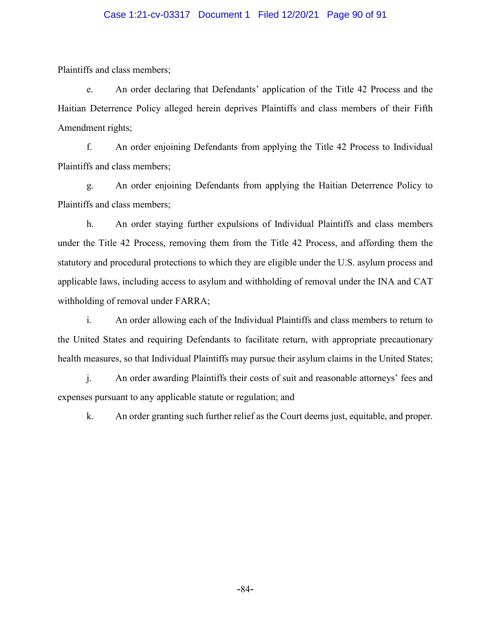### Case 1:21-cv-03317 Document 1 Filed 12/20/21 Page 90 of 91

Plaintiffs and class members;

e. An order declaring that Defendants' application of the Title 42 Process and the Haitian Deterrence Policy alleged herein deprives Plaintiffs and class members of their Fifth Amendment rights;

f. An order enjoining Defendants from applying the Title 42 Process to Individual Plaintiffs and class members;

g. An order enjoining Defendants from applying the Haitian Deterrence Policy to Plaintiffs and class members;

h. An order staying further expulsions of Individual Plaintiffs and class members under the Title 42 Process, removing them from the Title 42 Process, and affording them the statutory and procedural protections to which they are eligible under the U.S. asylum process and applicable laws, including access to asylum and withholding of removal under the INA and CAT withholding of removal under FARRA;

i. An order allowing each of the Individual Plaintiffs and class members to return to the United States and requiring Defendants to facilitate return, with appropriate precautionary health measures, so that Individual Plaintiffs may pursue their asylum claims in the United States;

j. An order awarding Plaintiffs their costs of suit and reasonable attorneys' fees and expenses pursuant to any applicable statute or regulation; and

k. An order granting such further relief as the Court deems just, equitable, and proper.

-84-